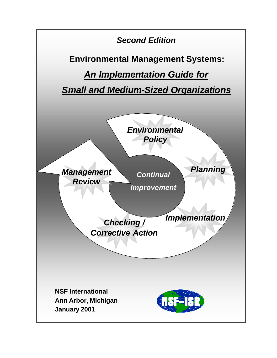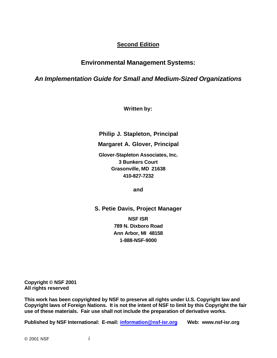### **Second Edition**

### **Environmental Management Systems:**

*An Implementation Guide for Small and Medium-Sized Organizations*

**Written by:**

**Philip J. Stapleton, Principal**

**Margaret A. Glover, Principal**

**Glover-Stapleton Associates, Inc. 3 Bunkers Court Grasonville, MD 21638 410-827-7232**

**and**

**S. Petie Davis, Project Manager**

**NSF ISR 789 N. Dixboro Road Ann Arbor, MI 48158 1-888-NSF-9000**

**Copyright © NSF 2001 All rights reserved**

**This work has been copyrighted by NSF to preserve all rights under U.S. Copyright law and Copyright laws of Foreign Nations. It is not the intent of NSF to limit by this Copyright the fair use of these materials. Fair use shall not include the preparation of derivative works.**

**Published by NSF International: E-mail: information@nsf-isr.org Web: www.nsf-isr.org**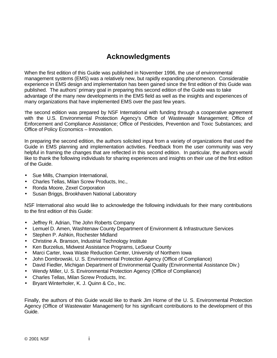### **Acknowledgments**

When the first edition of this Guide was published in November 1996, the use of environmental management systems (EMS) was a relatively new, but rapidly expanding phenomenon. Considerable experience in EMS design and implementation has been gained since the first edition of this Guide was published. The authors' primary goal in preparing this second edition of the Guide was to take advantage of the many new developments in the EMS field as well as the insights and experiences of many organizations that have implemented EMS over the past few years.

The second edition was prepared by NSF International with funding through a cooperative agreement with the U.S. Environmental Protection Agency's Office of Wastewater Management; Office of Enforcement and Compliance Assistance; Office of Pesticides, Prevention and Toxic Substances; and Office of Policy Economics – Innovation.

In preparing the second edition, the authors solicited input from a variety of organizations that used the Guide in EMS planning and implementation activities. Feedback from the user community was very helpful in framing the changes that are reflected in this second edition. In particular, the authors would like to thank the following individuals for sharing experiences and insights on their use of the first edition of the Guide.

- Sue Mills, Champion International,
- Charles Tellas, Milan Screw Products, Inc.,
- Ronda Moore, Zexel Corporation
- Susan Briggs, Brookhaven National Laboratory

NSF International also would like to acknowledge the following individuals for their many contributions to the first edition of this Guide:

- Jeffrey R. Adrian, The John Roberts Company
- Lemuel D. Amen, Washtenaw County Department of Environment & Infrastructure Services
- Stephen P. Ashkin, Rochester Midland
- Christine A. Branson, Industrial Technology Institute
- Ken Burzelius, Midwest Assistance Programs, LeSueur County
- Marci Carter, Iowa Waste Reduction Center, University of Northern Iowa
- John Dombrowski, U. S. Environmental Protection Agency (Office of Compliance)
- David Fiedler, Michigan Department of Environmental Quality (Environmental Assistance Div.)
- Wendy Miller, U. S. Environmental Protection Agency (Office of Compliance)
- Charles Tellas, Milan Screw Products, Inc.
- Bryant Winterholer, K. J. Quinn & Co., Inc.

Finally, the authors of this Guide would like to thank Jim Horne of the U. S. Environmental Protection Agency (Office of Wastewater Management) for his significant contributions to the development of this Guide.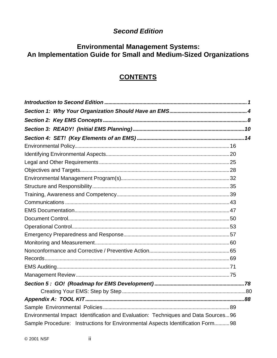### **Second Edition**

# Environmental Management Systems:<br>An Implementation Guide for Small and Medium-Sized Organizations

### **CONTENTS**

| Environmental Impact Identification and Evaluation: Techniques and Data Sources96 |  |
|-----------------------------------------------------------------------------------|--|
| Sample Procedure: Instructions for Environmental Aspects Identification Form 98   |  |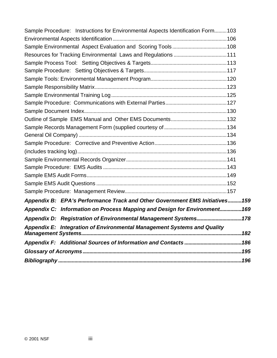| Sample Procedure: Instructions for Environmental Aspects Identification Form103 |  |
|---------------------------------------------------------------------------------|--|
|                                                                                 |  |
|                                                                                 |  |
|                                                                                 |  |
|                                                                                 |  |
|                                                                                 |  |
|                                                                                 |  |
|                                                                                 |  |
|                                                                                 |  |
|                                                                                 |  |
|                                                                                 |  |
|                                                                                 |  |
|                                                                                 |  |
|                                                                                 |  |
|                                                                                 |  |
|                                                                                 |  |
|                                                                                 |  |
|                                                                                 |  |
|                                                                                 |  |
|                                                                                 |  |
|                                                                                 |  |
| Appendix B: EPA's Performance Track and Other Government EMS Initiatives159     |  |
| Appendix C: Information on Process Mapping and Design for Environment169        |  |
| Appendix D: Registration of Environmental Management Systems178                 |  |
| <b>Appendix E: Integration of Environmental Management Systems and Quality</b>  |  |
|                                                                                 |  |
|                                                                                 |  |
|                                                                                 |  |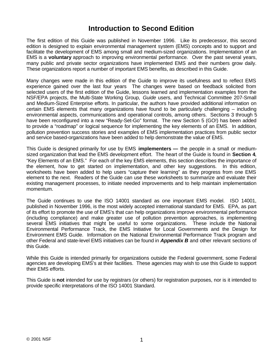### **Introduction to Second Edition**

The first edition of this Guide was published in November 1996. Like its predecessor, this second edition is designed to explain environmental management system (EMS) concepts and to support and facilitate the development of EMS among small and medium-sized organizations. Implementation of an EMS is a **voluntary** approach to improving environmental performance. Over the past several years, many public and private sector organizations have implemented EMS and their numbers grow daily. These organizations report a number of important EMS benefits, as described in this Guide.

Many changes were made in this edition of the Guide to improve its usefulness and to reflect EMS experience gained over the last four years The changes were based on feedback solicited from selected users of the first edition of the Guide, lessons learned and implementation examples from the NSF/EPA projects, the Multi-State Working Group, *Guide* users, and Technical Committee 207-Small and Medium-Sized Enterprise efforts. In particular, the authors have provided additional information on certain EMS elements that many organizations have found to be particularly challenging – including environmental aspects, communications and operational controls, among others. Sections 3 through 5 have been reconfigured into a new "Ready-Set-Go" format. The new Section 5 (GO!) has been added to provide a "roadmap" or logical sequence for implementing the key elements of an EMS. In addition, pollution prevention success stories and examples of EMS implementation practices from public sector and service based-organizations have been added to help demonstrate the value of EMS.

This Guide is designed primarily for use by EMS **implementers —** the people in a small or mediumsized organization that lead the EMS development effort. The heart of the Guide is found in **Section 4**, "Key Elements of an EMS." For each of the key EMS elements, this section describes the importance of the element, how to get started on implementation, and other key suggestions. In this edition, worksheets have been added to help users "capture their learning" as they progress from one EMS element to the next. Readers of the Guide can use these worksheets to summarize and evaluate their existing management processes, to initiate needed improvements and to help maintain implementation momentum.

The Guide continues to use the ISO 14001 standard as one important EMS model. ISO 14001, published in November 1996, is the most widely accepted international standard for EMS. EPA, as part of its effort to promote the use of EMS's that can help organizations improve environmental performance (including compliance) and make greater use of pollution prevention approaches, is implementing several EMS initiatives that might be useful to some organizations. These include the National Environmental Performance Track, the EMS Initiative for Local Governments and the Design for Environment EMS Guide. Information on the National Environmental Performance Track program and other Federal and state-level EMS initiatives can be found in *Appendix B* and other relevant sections of this Guide.

While this Guide is intended primarily for organizations outside the Federal government, some Federal agencies are developing EMS's at their facilities. These agencies may wish to use this Guide to support their EMS efforts.

This Guide is **not** intended for use by registrars (or others) for registration purposes, nor is it intended to provide specific interpretations of the ISO 14001 Standard.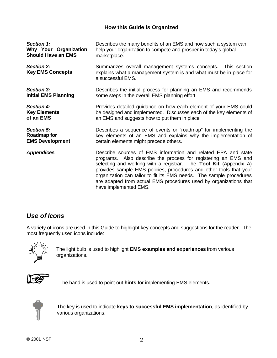### **How this Guide is Organized**

| Section 1:                                   | Describes the many benefits of an EMS and how such a system can                                                                                                                                                                                                                                                                                                                                                                                 |  |
|----------------------------------------------|-------------------------------------------------------------------------------------------------------------------------------------------------------------------------------------------------------------------------------------------------------------------------------------------------------------------------------------------------------------------------------------------------------------------------------------------------|--|
| Why Your Organization                        | help your organization to compete and prosper in today's global                                                                                                                                                                                                                                                                                                                                                                                 |  |
| <b>Should Have an EMS</b>                    | marketplace.                                                                                                                                                                                                                                                                                                                                                                                                                                    |  |
| <b>Section 2:</b><br><b>Key EMS Concepts</b> | Summarizes overall management systems concepts. This section<br>explains what a management system is and what must be in place for<br>a successful EMS.                                                                                                                                                                                                                                                                                         |  |
| Section 3:                                   | Describes the initial process for planning an EMS and recommends                                                                                                                                                                                                                                                                                                                                                                                |  |
| <b>Initial EMS Planning</b>                  | some steps in the overall EMS planning effort.                                                                                                                                                                                                                                                                                                                                                                                                  |  |
| Section 4:                                   | Provides detailed guidance on how each element of your EMS could                                                                                                                                                                                                                                                                                                                                                                                |  |
| <b>Key Elements</b>                          | be designed and implemented. Discusses each of the key elements of                                                                                                                                                                                                                                                                                                                                                                              |  |
| of an EMS                                    | an EMS and suggests how to put them in place.                                                                                                                                                                                                                                                                                                                                                                                                   |  |
| Section 5:                                   | Describes a sequence of events or "roadmap" for implementing the                                                                                                                                                                                                                                                                                                                                                                                |  |
| Roadmap for                                  | key elements of an EMS and explains why the implementation of                                                                                                                                                                                                                                                                                                                                                                                   |  |
| <b>EMS Development</b>                       | certain elements might precede others.                                                                                                                                                                                                                                                                                                                                                                                                          |  |
| <b>Appendices</b>                            | Describe sources of EMS information and related EPA and state<br>programs. Also describe the process for registering an EMS and<br>selecting and working with a registrar. The Tool Kit (Appendix A)<br>provides sample EMS policies, procedures and other tools that your<br>organization can tailor to fit its EMS needs. The sample procedures<br>are adapted from actual EMS procedures used by organizations that<br>have implemented EMS. |  |

### *Use of Icons*

A variety of icons are used in this Guide to highlight key concepts and suggestions for the reader. The most frequently used icons include:



The light bulb is used to highlight **EMS examples and experiences** from various organizations.



The hand is used to point out **hints** for implementing EMS elements.



The key is used to indicate **keys to successful EMS implementation**, as identified by various organizations.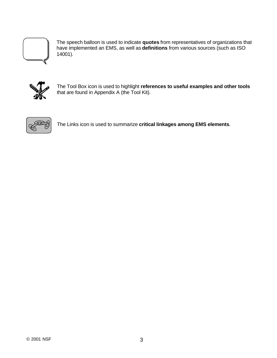

The speech balloon is used to indicate **quotes** from representatives of organizations that have implemented an EMS, as well as **definitions** from various sources (such as ISO 14001).



The Tool Box icon is used to highlight **references to useful examples and other tools** that are found in Appendix A (the Tool Kit).



The Links icon is used to summarize **critical linkages among EMS elements**.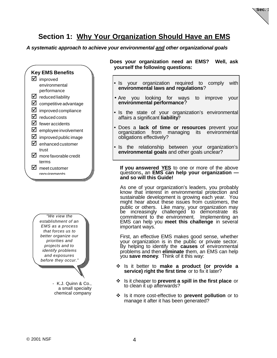

### **Section 1: Why Your Organization Should Have an EMS**

*A systematic approach to achieve your environmental and other organizational goals*



*"We view the establishment of an EMS as a process that forces us to better organize our priorities and projects and to identify problems and exposures before they occur."*

> - K.J. Quinn & Co., a small specialty chemical company

**Does your organization need an EMS? Well, ask yourself the following questions:**

- Is your organization required to comply with **environmental laws and regulations**?
- Are you looking for ways to improve your **environmental performance**?
- Is the state of your organization's environmental affairs a significant **liability**?
- Does a **lack of time or resources** prevent your organization from managing its environmental obligations effectively?
- Is the relationship between your organization's **environmental goals** and other goals unclear?

**If you answered YES** to one or more of the above questions**,** an **EMS can help your organization and so will this Guide!**

As one of your organization's leaders, you probably know that interest in environmental protection and sustainable development is growing each year. You might hear about these issues from customers, the public or others. Like many, your organization may be increasingly challenged to demonstrate its commitment to the environment. Implementing an EMS can help you **meet this challenge** in several important ways.

First, an effective EMS makes good sense, whether your organization is in the public or private sector. By helping to identify the **causes** of environmental problems and then **eliminate** them, an EMS can help you **save money**. Think of it this way:

- v Is it better to **make a product (or provide a service) right the first time** or to fix it later?
- v Is it cheaper to **prevent a spill in the first place** or to clean it up afterwards?
- v Is it more cost-effective to **prevent pollution** or to manage it after it has been generated?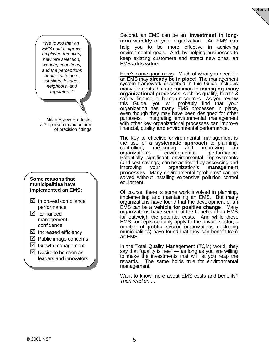

*"We found that an EMS could improve employee retention, new hire selection, working conditions, and the perceptions of our customers, suppliers, lenders, neighbors, and regulators."*

Milan Screw Products, a 32-person manufacturer of precision fittings

### **Some reasons that municipalities have implemented an EMS:**

- $\boxtimes$  Improved compliance performance
- □ Enhanced management confidence
- $\boxtimes$  Increased efficiency
- $\boxtimes$  Public image concerns
- $\boxtimes$  Growth management
- $\boxtimes$  Desire to be seen as leaders and innovators

Second, an EMS can be an **investment in longterm viability** of your organization. An EMS can help you to be more effective in achieving environmental goals. And, by helping businesses to keep existing customers and attract new ones, an EMS **adds value**.

Here's some good news: Much of what you need for an EMS may **already be in place!** The management system framework described in this Guide includes many elements that are common to **managing many organizational processes**, such as quality, health & safety, finance, or human resources. As you review this Guide, you will probably find that your organization has many EMS processes in place, even though they may have been designed for other purposes. Integrating environmental management with other key organizational processes can improve financial, quality **and** environmental performance.

The key to effective environmental management is the use of a **systematic approach** to planning, controlling, measuring and improving an organization's environmental performance. Potentially significant environmental improvements (and cost savings) can be achieved by assessing and<br>improving your organization's **management** improving your organization's **processes**. Many environmental "problems" can be solved without installing expensive pollution control equipment.

Of course, there is some work involved in planning, implementing and maintaining an EMS. But many organizations have found that the development of an EMS can be a **vehicle for positive change**. Many organizations have seen that the benefits of an EMS far outweigh the potential costs. And while these EMS concepts certainly apply to the private sector, a number of **public sector** organizations (including municipalities) have found that they can benefit from an EMS.

In the Total Quality Management (TQM) world, they say that "quality is free"  $\overline{\phantom{a}}$  as long as you are willing to make the investments that will let you reap the rewards. The same holds true for environmental management.

Want to know more about EMS costs and benefits? *Then read on …*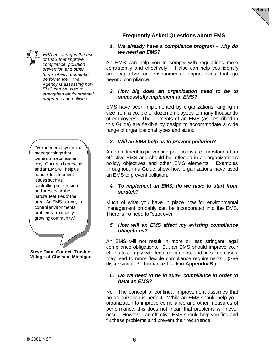

*EPA encourages the use of EMS that improve compliance, pollution prevention and other forms of environmental performance. The Agency is assessing how EMS can be used to strengthen environmental programs and policies.*

"We needed a system to manage things that came up in a consistent way. Our area is growing and an EMS will help us handle development issues such as controlling soil erosion and preserving the natural features of the area. An EMS is a way to control environmental problems in a rapidly growing community."

**Steve Daut, Council Trustee Village of Chelsea, Michigan**

### **Frequently Asked Questions about EMS**

**Sec. 1**

#### *1. We already have a compliance program – why do we need an EMS?*

An EMS can help you to comply with regulations more consistently and effectively. It also can help you identify and capitalize on environmental opportunities that go beyond compliance.

### *2. How big does an organization need to be to successfully implement an EMS?*

EMS have been implemented by organizations ranging in size from a couple of dozen employees to many thousands of employees. The elements of an EMS (as described in this Guide) are flexible by design to accommodate a wide range of organizational types and sizes.

### *3. Will an EMS help us to prevent pollution?*

A commitment to preventing pollution is a cornerstone of an effective EMS and should be reflected in an organization's policy, objectives and other EMS elements. Examples throughout this Guide show how organizations have used an EMS to prevent pollution.

### *4. To implement an EMS, do we have to start from scratch?*

Much of what you have in place now for environmental management probably can be incorporated into the EMS. There is no need to "start over".

### *5. How will an EMS affect my existing compliance obligations?*

An EMS will not result in more or less stringent legal compliance obligations. But an EMS should improve your efforts to comply with legal obligations, and, in some cases, may lead to more flexible compliance requirements. (See discussion of Performance Track in **Appendix B**.)

### *6. Do we need to be in 100% compliance in order to have an EMS?*

No. The concept of continual improvement assumes that no organization is perfect. While an EMS should help your organization to improve compliance and other measures of performance, this does not mean that problems will never occur. However, an effective EMS should help you find and fix these problems and prevent their recurrence.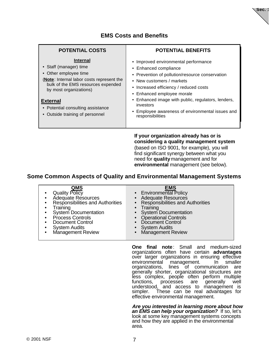### **EMS Costs and Benefits**

| <b>POTENTIAL COSTS</b>                                                                                                                                                                                                                                              | <b>POTENTIAL BENEFITS</b>                                                                                                                                                                                                                                                                                                                                      |
|---------------------------------------------------------------------------------------------------------------------------------------------------------------------------------------------------------------------------------------------------------------------|----------------------------------------------------------------------------------------------------------------------------------------------------------------------------------------------------------------------------------------------------------------------------------------------------------------------------------------------------------------|
| Internal<br>• Staff (manager) time<br>• Other employee time<br>(Note: Internal labor costs represent the<br>bulk of the EMS resources expended<br>by most organizations)<br><b>External</b><br>• Potential consulting assistance<br>• Outside training of personnel | • Improved environmental performance<br>• Enhanced compliance<br>• Prevention of pollution/resource conservation<br>• New customers / markets<br>• Increased efficiency / reduced costs<br>• Enhanced employee morale<br>• Enhanced image with public, regulators, lenders,<br>investors<br>Employee awareness of environmental issues and<br>responsibilities |
|                                                                                                                                                                                                                                                                     | If your organization already has or is                                                                                                                                                                                                                                                                                                                         |

**Some Common Aspects of Quality and Environmental Management Systems**

| <b>QMS</b><br><b>EMS</b><br>Quality Policy<br>• Environmental Policy<br>• Adequate Resources<br><b>Adequate Resources</b><br>Responsibilities and Authorities<br><b>Responsibilities and Authorities</b><br>$\bullet$<br>$\bullet$ Training<br>Training<br>• System Documentation<br>• System Documentation<br>• Process Controls<br><b>Operational Controls</b><br>• Document Control<br>• Document Control<br><b>System Audits</b><br>• System Audits<br>Management Review<br>Management Review |
|---------------------------------------------------------------------------------------------------------------------------------------------------------------------------------------------------------------------------------------------------------------------------------------------------------------------------------------------------------------------------------------------------------------------------------------------------------------------------------------------------|
|---------------------------------------------------------------------------------------------------------------------------------------------------------------------------------------------------------------------------------------------------------------------------------------------------------------------------------------------------------------------------------------------------------------------------------------------------------------------------------------------------|

**One final note**: Small and medium-sized organizations often have certain **advantages** over larger organizations in ensuring effective environmental management. In smaller organizations, lines of communication are generally shorter, organizational structures are less complex, people often perform multiple functions, processes are generally well understood, and access to management is simpler. These can be real advantages for effective environmental management.

**considering a quality management system** (based on ISO 9001, for example), you will find significant synergy between what you need for **quality** management and for **environmental** management (see below).

**Sec. 1**

*Are you interested in learning more about how an EMS can help your organization?* If so, let's look at some key management systems concepts and how they are applied in the environmental area.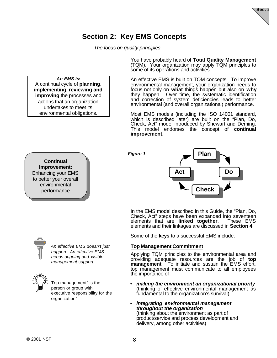

### **Section 2: Key EMS Concepts**

*Figure 1*

*The focus on quality principles*

*An EMS is:* A continual cycle of **planning**, **implementing**, **reviewing and improving** the processes and actions that an organization undertakes to meet its environmental obligations.

You have probably heard of **Total Quality Management** (TQM). Your organization may apply TQM principles to some of its operations and activities.

An effective EMS is built on TQM concepts. To improve environmental management, your organization needs to focus not only on **what** things happen but also on **why** they happen. Over time, the systematic identification and correction of system deficiencies leads to better environmental (and overall organizational) performance.

Most EMS models (including the ISO 14001 standard, which is described later) are built on the "Plan, Do, Check, Act" model introduced by Shewart and Deming. This model endorses the concept of **continual improvement**.





In the EMS model described in this Guide, the "Plan, Do, Check, Act" steps have been expanded into seventeen elements that are **linked together**. These EMS elements that are **linked together**. elements and their linkages are discussed in **Section 4**.

Some of the **keys** to a successful EMS include:

### **Top Management Commitment**

Applying TQM principles to the environmental area and providing adequate resources are the job of **top management**. To initiate and sustain the EMS effort, top management must communicate to all employees the importance of :

- *making the environment an organizational priority* (thinking of effective environmental management as fundamental to the organization's survival)
- *integrating environmental management throughout the organization* (thinking about the environment as part of product/service and process development and delivery, among other activities)

Enhancing your EMS



*An effective EMS doesn't just happen. An effective EMS needs ongoing and visible management support*



Top management" is the person or group with executive responsibility for the organization"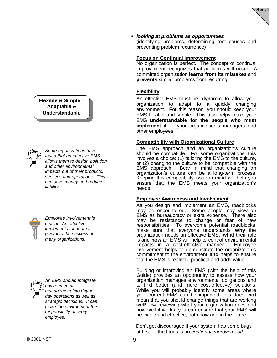

#### • *looking at problems as opportunities*

(identifying problems, determining root causes and preventing problem recurrence)

#### **Focus on Continual Improvement**

No organization is perfect. The concept of continual improvement recognizes that problems will occur. A committed organization **learns from its mistakes** and **prevents** similar problems from recurring.

#### **Flexibility**

An effective EMS must be **dynamic** to allow your organization to adapt to a quickly changing environment. For this reason, you should keep your EMS flexible and simple. This also helps make your EMS **understandable for the people who must implement** it — your organization's managers and other employees.

#### **Compatibility with Organizational Culture**

The EMS approach and an organization's culture should be compatible. For some organizations, this involves a choice: (1) tailoring the EMS to the culture, or (2) changing the culture to be compatible with the EMS approach. Bear in mind that changing an organization's culture can be a long-term process. Keeping this compatibility issue in mind will help you ensure that the EMS meets your organization's needs.

#### **Employee Awareness and Involvement**

As you design and implement an EMS, roadblocks may be encountered. Some people may view an EMS as bureaucracy or extra expense. There also may be resistance to change or fear of new responsibilities. To overcome potential roadblocks, make sure that everyone understands **why** the organization needs an effective EMS, **what** their role is and **how** an EMS will help to control environmental impacts in a cost-effective manner. Employee involvement helps to demonstrate the organization's commitment to the environment **and** helps to ensure that the EMS is realistic, practical and adds value.

Building or improving an EMS (with the help of this Guide) provides an opportunity to assess how your organization manages environmental obligations and to find better (and more cost-effective) solutions. While you will probably identify some areas where your current EMS can be improved, this does **not** mean that you should change things that are working well! By reviewing what your organization does and how well it works, you can ensure that your EMS will be viable and effective, both now and in the future.

Don't get discouraged if your system has some bugs at first — the focus is on *continual improvement!*

### **Flexible & Simple = Adaptable & Understandable**



*Some organizations have found that an effective EMS allows them to design pollution and other environmental impacts out of their products, services and operations. This can save money and reduce liability.*



*Employee involvement is crucial. An effective implementation team is pivotal to the success of many organizations.*



*An EMS should integrate environmental management into day-today operations as well as strategic decisions. It can make the environment the responsibiity of every employee.*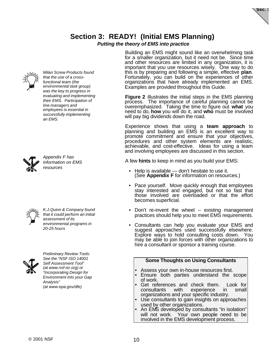## **Section 3: READY! (Initial EMS Planning)**

### *Putting the theory of EMS into practice*



*Milan Screw Products found that the use of a crossfunctional team (the environmental task group) was the key to progress in evaluating and implementing their EMS. Participation of line managers and employees is essential in successfully implementing an EMS.*



*Appendix F has information on EMS resources*



*K.J.Quinn & Company found that it could perform an initial assessment of its environmental programs in 20-25 hours*



*Preliminary Review Tools: See the "NSF ISO 14001 Self Assessment Tool" (at www.nsf-isr.org) or "Incorporating Design for Environment into your Gap Analysis" (at www.epa.gov/dfe)*

Building an EMS might sound like an overwhelming task for a smaller organization, but it need not be. Since time and other resources are limited in any organization, it is important that you use resources wisely. One way to do this is by preparing and following a simple, effective **plan**. Fortunately, you can build on the experiences of other organizations that have already implemented an EMS. Examples are provided throughout this Guide.

**Figure 2** illustrates the initial steps in the EMS planning process. The importance of careful planning cannot be overemphasized. Taking the time to figure out **what** you need to do, **how** you will do it, and **who** must be involved will pay big dividends down the road.

Experience shows that using a **team approach** to planning and building an EMS is an excellent way to promote commitment and ensure that your objectives, procedures and other system elements are realistic, achievable, and cost-effective. Ideas for using a team and involving employees are discussed in this section.

A few **hints** to keep in mind as you build your EMS:

- Help is available don't hesitate to use it. (See **Appendix F** for information on resources.)
- Pace yourself. Move quickly enough that employees stay interested and engaged, but not so fast that those involved are overloaded or that the effort becomes superficial.
- Don't re-invent the wheel -- existing management practices should help you to meet EMS requirements.
- Consultants can help you evaluate your EMS and suggest approaches used successfully elsewhere. Explore ways to hold consulting costs down. You may be able to join forces with other organizations to hire a consultant or sponsor a training course.

|  |  |  | <b>Some Thoughts on Using Consultants</b> |
|--|--|--|-------------------------------------------|
|--|--|--|-------------------------------------------|

- Assess your own in-house resources first.
- Ensure both parties understand the scope of work.
- Get references and check them. Look for consultants with experience in small organizations and your specific industry.
- Use consultants to gain insights on approaches used by other organizations.
- An EMS developed by consultants "in isolation" will not work. Your own people need to be involved in the EMS development process.



Sec.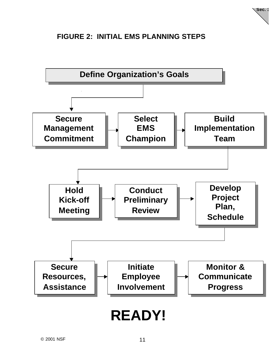

### **FIGURE 2: INITIAL EMS PLANNING STEPS**

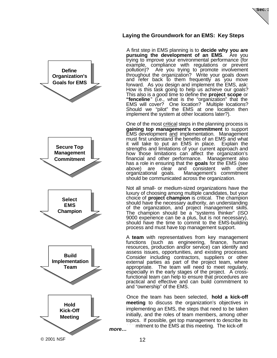

### **Laying the Groundwork for an EMS: Key Steps**

A first step in EMS planning is to **decide why you are pursuing the development of an EMS**. Are you trying to improve your environmental performance (for example, compliance with regulations or prevent pollution)? Are you trying to promote involvement throughout the organization? Write your goals down and refer back to them frequently as you move forward. As you design and implement the EMS, ask: How is this task going to help us achieve our goals? This also is a good time to define the **project scope** or "fenceline" (i.e., what is the "organization" that the EMS will cover? One location? Multiple locations? Should we "pilot" the EMS at one location then implement the system at other locations later?).

One of the most critical steps in the planning process is **gaining top management's commitment** to support **EMS** development and implementation. Management must first understand the benefits of an EMS and what it will take to put an EMS in place. Explain the strengths and limitations of your current approach and how those limitations can affect the organization's financial and other performance. Management also has a role in ensuring that the **goals** for the EMS (see above) are clear and consistent with other<br>organizational goals. Management's commitment Management's commitment should be communicated across the organization.

Not all small- or medium-sized organizations have the luxury of choosing among multiple candidates, but your choice of **project champion** is critical. The champion should have the necessary authority, an understanding of the organization, and project management skills. The champion should be a "systems thinker" (ISO 9000 experience can be a plus, but is not necessary), should have the time to commit to the EMS-building process and must have top management support.

A **team** with representatives from key management functions (such as engineering, finance, human resources, production and/or service) can identify and assess issues, opportunities, and existing processes. Consider including contractors, suppliers or other external parties as part of the project team, where appropriate. The team will need to meet regularly, especially in the early stages of the project. A crossfunctional team can help to ensure that procedures are practical and effective and can build commitment to and "ownership" of the EMS.

Once the team has been selected, **hold a kick-off meeting** to discuss the organization's objectives in implementing an EMS, the steps that need to be taken initially, and the roles of team members, among other topics. If possible, get top management to describe its



mitment to the EMS at this meeting. The kick-off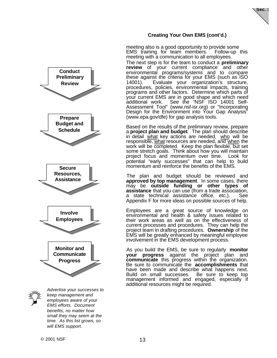

### **Creating Your Own EMS (cont'd.)**

meeting also is a good opportunity to provide some EMS training for team members. Follow-up this meeting with a communication to all employees. The next step is for the team to conduct a **preliminary review** of your current compliance and other environmental programs/systems and to compare these against the criteria for your EMS (such as ISO 14001). Evaluate your organization's structure, procedures, policies, environmental impacts, training programs and other factors. Determine which parts of your current EMS are in good shape and which need additional work. See the "NSF ISO 14001 Self-Assessment Tool" (www.nsf-isr.org) or "Incorporating Design for the Environment into Your Gap Analysis" (www.epa.gov/dfe) for gap analysis tools.

Based on the results of the preliminary review, prepare a **project plan and budget**. The plan should describe in detail what key actions are needed, who will be responsible, what resources are needed, and when the work will be completed. Keep the plan flexible, but set some stretch goals. Think about how you will maintain project focus and momentum over time. Look for potential "early successes" that can help to build momentum and reinforce the benefits of the EMS.

The plan and budget should be reviewed and **approved by top management**. In some cases, there may be **outside funding or other types of assistance** that you can use (from a trade association, a state technical assistance office, etc.). See Appendix F for more ideas on possible sources of help.

Employees are a great source of knowledge on environmental and health & safety issues related to their work areas as well as on the effectiveness of current processes and procedures. They can help the project team in drafting procedures. **Ownership** of the EMS will be greatly enhanced by meaningful employee involvement in the EMS development process.

As you build the EMS, be sure to regularly **monitor your progress** against the project plan and **communicate** this progress within the organization. Be sure to communicate the **accomplishments** that have been made and describe what happens next. Build on small successes. Be sure to keep top management informed and engaged, especially if additional resources might be required.

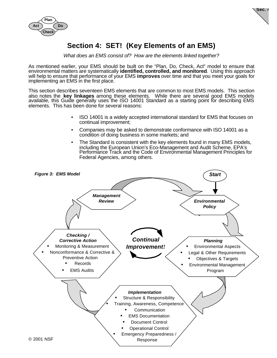

**Sec. 4**

### **Section 4: SET! (Key Elements of an EMS)**

*What does an EMS consist of? How are the elements linked together?*

As mentioned earlier, your EMS should be built on the "Plan, Do, Check, Act" model to ensure that environmental matters are systematically **identified, controlled, and monitored**. Using this approach will help to ensure that performance of your EMS **improves** over time and that you meet your goals for implementing an EMS in the first place.

This section describes seventeen EMS elements that are common to most EMS models. This section also notes the **key linkages** among these elements. While there are several good EMS models available, this Guide generally uses the ISO 14001 Standard as a starting point for describing EMS elements. This has been done for several reasons:

- ISO 14001 is a widely accepted international standard for EMS that focuses on continual improvement;
- Companies may be asked to demonstrate conformance with ISO 14001 as a condition of doing business in some markets; and
- The Standard is consistent with the key elements found in many EMS models, including the European Union's Eco-Management and Audit Scheme, EPA's Performance Track and the Code of Environmental Management Principles for Federal Agencies, among others.

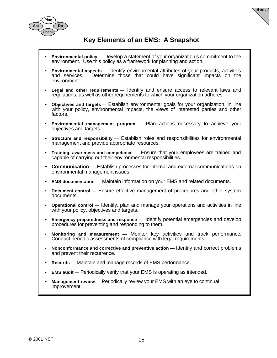

### **Key Elements of an EMS: A Snapshot**

**Sec. 4**

- **Environmental policy** Develop a statement of your organization's commitment to the environment. Use this policy as a framework for planning and action.
- **Environmental aspects** Identify environmental attributes of your products, activities Determine those that could have significant impacts on the environment.
- **Legal and other requirements** Identify and ensure access to relevant laws and regulations, as well as other requirements to which your organization adheres.
- **Objectives and targets** Establish environmental goals for your organization, in line with your policy, environmental impacts, the views of interested parties and other factors.
- **Environmental management program** Plan actions necessary to achieve your objectives and targets.
- **Structure and responsibility** Establish roles and responsibilities for environmental management and provide appropriate resources.
- **Training, awareness and competence** Ensure that your employees are trained and capable of carrying out their environmental responsibilities.
- **Communication** Establish processes for internal and external communications on environmental management issues.
- **EMS documentation** Maintain information on your EMS and related documents.
- **Document control** Ensure effective management of procedures and other system documents.
- **Operational control** Identify, plan and manage your operations and activities in line with your policy, objectives and targets.
- **Emergency preparedness and response** Identify potential emergencies and develop procedures for preventing and responding to them.
- **Monitoring and measurement** Monitor key activities and track performance. Conduct periodic assessments of compliance with legal requirements.
- **Nonconformance and corrective and preventive action** Identify and correct problems and prevent their recurrence.
- **Records** Maintain and manage records of EMS performance.
- **EMS audit** Periodically verify that your EMS is operating as intended.
- **Management review** Periodically review your EMS with an eye to continual improvement.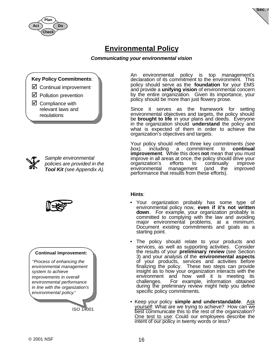



### **Environmental Policy**

### *Communicating your environmental vision*

### **Key Policy Commitments**:

- $\boxtimes$  Continual improvement
- $\boxtimes$  Pollution prevention
- $\boxtimes$  Compliance with relevant laws and regulations



*Sample environmental policies are provided in the Tool Kit (see Appendix A).*



#### **Continual Improvement:**

*"Process of enhancing the environmental management system to achieve improvements in overall environmental performance in line with the organization's environmental policy."*

ISO 14001

An environmental policy is top management's declaration of its commitment to the environment. This policy should serve as the **foundation** for your EMS and provide a **unifying vision** of environmental concern by the entire organization. Given its importance, your policy should be more than just flowery prose.

Since it serves as the framework for setting environmental objectives and targets, the policy should be **brought to life** in your plans and deeds. Everyone in the organization should **understand** the policy and what is expected of them in order to achieve the organization's objectives and targets.

Your policy should reflect three key commitments *(see box),* including a commitment to **continual improvement**. While this does **not** mean that you must improve in all areas at once, the policy should drive your organization's efforts to continually improve environmental management (and the improved performance that results from these efforts).

#### **Hints**:

- Your organization probably has some type of environmental policy now, **even if it's not written down**. For example, your organization probably is committed to complying with the law and avoiding major environmental problems, at a minimum. Document existing commitments and goals as a starting point.
- The policy should relate to your products and services, as well as supporting activities. Consider the results of your **preliminary review** (see Section 3) and your analysis of the **environmental aspects** of your products, services and activities before finalizing the policy. These two steps can provide insight as to how your organization interacts with the environment and how well it is meeting its challenges. For example, information obtained during the preliminary review might help you define specific policy commitments.
- Keep your policy **simple and understandable**. Ask yourself: What are we trying to achieve? How can we best communicate this to the rest of the organization? One test to use: Could our employees describe the intent of our policy in twenty words or less?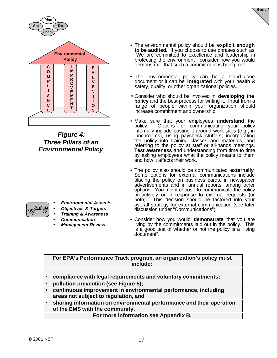

*Figure 4: Three Pillars of an Environmental Policy*

- 
- *Environmental Aspects*
- *Objectives & Targets*
- *Training & Awareness*
- *Communication*
- *Management Review*

• The environmental policy should be **explicit enough to be audited**. If you choose to use phrases such as "We are committed to excellence and leadership in protecting the environment", consider how you would demonstrate that such a commitment is being met.

**Sec. 4**

- The environmental policy can be a stand-alone document or it can be **integrated** with your health & safety, quality, or other organizational policies.
- Consider who should be involved in **developing the policy** and the best process for writing it. Input from a range of people within your organization should increase commitment and ownership.
- Make sure that your employees **understand** the policy. Options for communicating your policy internally include posting it around work sites (e.g., in lunchrooms), using paycheck stuffers, incorporating the policy into training classes and materials, and referring to the policy at staff or all-hands meetings. **Test awareness** and understanding from time to time by asking employees what the policy means to them and how it affects their work.
- The policy also should be communicated **externally**. Some options for external communications include placing the policy on business cards, in newspaper advertisements and in annual reports, among other options. You might choose to communicate the policy proactively or in response to external requests (or both). This decision should be factored into your overall strategy for external communication (see later discussion under "Communications").
- Consider how you would **demonstrate** that you are living by the commitments laid out in the policy. This is a good test of whether or not the policy is a "living document".

### **For EPA's Performance Track program, an organization's policy must include:**

- **compliance with legal requirements and voluntary commitments;**
- **pollution prevention (see Figure 5);**
- **continuous improvement in environmental performance, including areas not subject to regulation, and**
- **sharing information on environmental performance and their operation of the EMS with the community.**

**For more information see Appendix B.**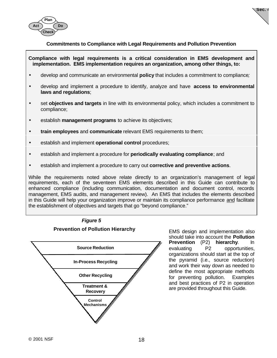

**Sec. 4**

#### **Commitments to Compliance with Legal Requirements and Pollution Prevention**

**Compliance with legal requirements is a critical consideration in EMS development and implementation. EMS implementation requires an organization, among other things, to:**

- develop and communicate an environmental **policy** that includes a commitment to compliance*;*
- develop and implement a procedure to identify, analyze and have **access to environmental laws and regulations**;
- set **objectives and targets** in line with its environmental policy, which includes a commitment to compliance;
- establish **management programs** to achieve its objectives;
- **train employees** and **communicate** relevant EMS requirements to them;
- establish and implement **operational control** procedures;
- establish and implement a procedure for **periodically evaluating compliance**; and
- establish and implement a procedure to carry out **corrective and preventive actions**.

While the requirements noted above relate directly to an organization's management of legal requirements, each of the seventeen EMS elements described in this Guide can contribute to enhanced compliance (including communication, documentation and document control, records management, EMS audits, and management review). An EMS that includes the elements described in this Guide will help your organization improve or maintain its compliance performance and facilitate the establishment of objectives and targets that go "beyond compliance."



EMS design and implementation also should take into account the **Pollution Prevention** (P2) **hierarchy**. In evaluating P2 opportunities, organizations should start at the top of the pyramid (i.e., source reduction) and work their way down as needed to define the most appropriate methods for preventing pollution. Examples and best practices of P2 in operation are provided throughout this Guide.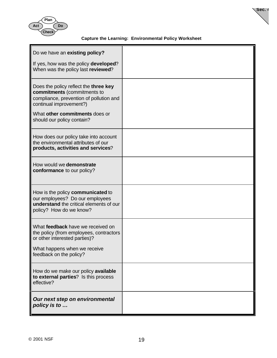

### **Capture the Learning: Environmental Policy Worksheet**

**Sec. 4**

| Do we have an existing policy?<br>If yes, how was the policy developed?<br>When was the policy last reviewed?                                                                                              |  |
|------------------------------------------------------------------------------------------------------------------------------------------------------------------------------------------------------------|--|
| Does the policy reflect the three key<br>commitments (commitments to<br>compliance, prevention of pollution and<br>continual improvement?)<br>What other commitments does or<br>should our policy contain? |  |
| How does our policy take into account<br>the environmental attributes of our<br>products, activities and services?                                                                                         |  |
| How would we demonstrate<br>conformance to our policy?                                                                                                                                                     |  |
| How is the policy communicated to<br>our employees? Do our employees<br>understand the critical elements of our<br>policy? How do we know?                                                                 |  |
| What feedback have we received on<br>the policy (from employees, contractors<br>or other interested parties)?<br>What happens when we receive<br>feedback on the policy?                                   |  |
| How do we make our policy available<br>to external parties? Is this process<br>effective?                                                                                                                  |  |
| Our next step on environmental<br>policy is to                                                                                                                                                             |  |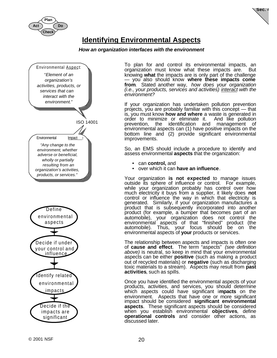



### **Identifying Environmental Aspects**

### *How an organization interfaces with the environment*



To plan for and control its environmental impacts, an organization must know what these impacts are. But knowing **what** the impacts are is only part of the challenge — you also should know **where these impacts come from**. Stated another way, *how does your organization (i.e., your products, services and activities) interact with the environment?*

If your organization has undertaken pollution prevention projects, you are probably familiar with this concept — that is, you must know **how and where** a waste is generated in order to minimize or eliminate it. prevention, the identification and management of environmental aspects can (1) have positive impacts on the bottom line and (2) provide significant environmental improvements.

So, an EMS should include a procedure to identify and assess environmental **aspects** that the organization:

- can **control,** and
- over which it can **have an influence**.

Your organization **is not expected** to manage issues outside its sphere of influence or control. For example, while your organization probably has control over how much electricity it buys from a supplier, it likely does **not** control or influence the way in which that electricity is generated. Similarly, if your organization manufactures a product that is subsequently incorporated into another product (for example, a bumper that becomes part of an automobile), your organization does not control the environmental aspects of that "finished" product (the automobile). Thus, your focus should be on the environmental aspects of **your** products or services.

The relationship between aspects and impacts is often one of **cause and effect**. The term "aspects" *(see definition above)* is neutral, so keep in mind that your environmental aspects can be either **positive** (such as making a product out of recycled materials) or **negative** (such as discharging toxic materials to a stream). Aspects may result from **past activities**, such as spills.

Once you have identified the environmental aspects of your products, activities, and services, you should determine which aspects could have significant i**mpacts** on the environment. Aspects that have one or more significant impact should be considered **significant environmental aspects**. These significant aspects should be considered when you establish environmental **objectives**, define **operational controls** and consider other actions, as discussed later.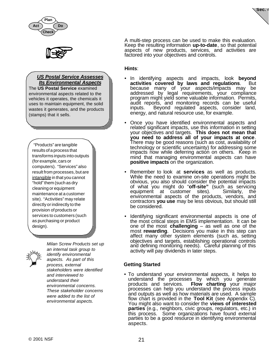



### *US Postal Service Assesses Its Environmental Aspects*

The **US Postal Service** examined environmental aspects related to the vehicles it operates, the chemicals it uses to maintain equipment, the solid wastes it generates, and the products (stamps) that it sells.

 "Products" are tangible results of a process that transforms inputs into outputs (for example, cars or computers). "Services" also result from processes, but are intangible in that you cannot "hold" them (such as dry cleaning or equipment maintenance at a customer site). "Activities" may relate directly or indirectly to the provision of products or services to customers (such as purchasing or product design).



*an internal task group to identify environmental aspects. As part of this process, external stakeholders were identified and interviewed to understand their environmental concerns. These stakeholder concerns were added to the list of environmental aspects.*

*Milan Screw Products set up*

A multi-step process can be used to make this evaluation. Keep the resulting information **up-to-date**, so that potential aspects of new products, services, and activities are factored into your objectives and controls.

**Sec. 4**

### **Hints**:

- In identifying aspects and impacts, look **beyond activities covered by laws and regulations**. But because many of your aspects/impacts may be addressed by legal requirements, your compliance program might yield some valuable information. Permits, audit reports, and monitoring records can be useful inputs. Beyond regulated aspects, consider land, energy, and natural resource use, for example.
- Once you have identified environmental aspects and related significant impacts, use this information in setting your objectives and targets. **This does not mean that you need to address all of your impacts at once**. There may be good reasons (such as cost, availability of technology or scientific uncertainty) for addressing some impacts now while deferring action on others. Keep in mind that managing environmental aspects can have **positive impacts** on the organization.
- Remember to look at **services** as well as products. While the need to examine on-site operations might be obvious, you also should consider the potential impacts of what you might do "**off-site"** (such as servicing equipment at customer sites). Similarly, the environmental aspects of the products, vendors, and contractors **you use** may be less obvious, but should still be considered.
- Identifying significant environmental aspects is one of the most critical steps in EMS implementation. It can be one of the most **challenging** – as well as one of the most **rewarding**. Decisions you make in this step can affect many other system elements (such as, setting objectives and targets, establishing operational controls and defining monitoring needs). Careful planning of this activity will pay dividends in later steps.

### **Getting Started**

• To understand your environmental aspects, it helps to understand the processes by which you generate products and services. **Flow charting** your major processes can help you understand the process inputs and outputs as well as how materials are used. A sample flow chart is provided in the **Tool Kit** (see Appendix C). You might also want to consider the **views of interested parties** (e.g., neighbors, civic groups, regulators, etc.) in this process. Some organizations have found external parties to be a good resource in identifying environmental aspects.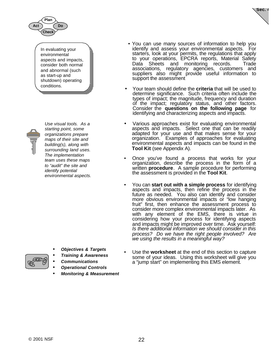

In evaluating your environmental aspects and impacts, consider both normal and abnormal (such as start-up and shutdown) operating conditions.



*Use visual tools. As a starting point, some organizations prepare maps of their site and building(s), along with surrounding land uses. The implementation team uses these maps to "audit" the site and identify potential environmental aspects.*

• You can use many sources of information to help you identify and assess your environmental aspects. For starters, look at your permits, the regulations that apply to your operations, EPCRA reports, Material Safety Data Sheets and monitoring records. Trade associations, regulatory agencies, customers and suppliers also might provide useful information to support the assessment

**Sec. 4**

- Your team should define the **criteria** that will be used to determine significance. Such criteria often include the types of impact; the magnitude, frequency and duration of the impact; regulatory status, and other factors. Consider the **questions on the following page** for identifying and characterizing aspects and impacts.
- Various approaches exist for evaluating environmental aspects and impacts. Select one that can be readily adapted for your use and that makes sense for your organization. Examples of approaches for evaluating environmental aspects and impacts can be found in the **Tool Kit** (see Appendix A).
- Once you've found a process that works for your organization, describe the process in the form of a written **procedure**. A sample procedure for performing the assessment is provided in the **Tool Kit**.
- You can **start out with a simple process** for identifying aspects and impacts, then refine the process in the future as needed. You also can identify and consider more obvious environmental impacts or "low hanging fruit" first, then enhance the assessment process to consider more complex environmental impacts later. As with any element of the EMS, there is virtue in considering how your process for identifying aspects and impacts might be improved over time. Ask yourself: *Is there additional information we should consider in this process? Do we have the right people involved? Are we using the results in a meaningful way?*

- Use the **worksheet** at the end of this section to capture some of your ideas. Using this worksheet will give you a "jump start" on implementing this EMS element.
- *Training & Awareness*

• *Objectives & Targets*

- *Communications*
- *Operational Controls*
- *Monitoring & Measurement*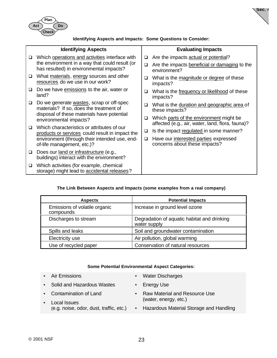

**Identifying Aspects and Impacts: Some Questions to Consider:**

**Sec. 4**

|        | <b>Identifying Aspects</b>                                                                    |        | <b>Evaluating Impacts</b>                                                                   |
|--------|-----------------------------------------------------------------------------------------------|--------|---------------------------------------------------------------------------------------------|
| ❏      | Which operations and activities interface with                                                | □      | Are the impacts actual or potential?                                                        |
|        | the environment in a way that could result (or<br>has resulted) in environmental impacts?     | $\Box$ | Are the impacts beneficial or damaging to the<br>environment?                               |
| □      | What materials, energy sources and other<br>resources do we use in our work?                  | □      | What is the magnitude or degree of these<br>impacts?                                        |
| ❏      | Do we have emissions to the air, water or<br>land?                                            | $\Box$ | What is the frequency or likelihood of these<br>impacts?                                    |
| ❏      | Do we generate wastes, scrap or off-spec<br>materials? If so, does the treatment of           | $\Box$ | What is the duration and geographic area of<br>these impacts?                               |
|        | disposal of these materials have potential<br>environmental impacts?                          | □      | Which parts of the environment might be<br>affected (e.g., air, water, land, flora, fauna)? |
| ◻      | Which characteristics or attributes of our<br>products or services could result in impact the | □      | Is the impact regulated in some manner?                                                     |
|        | environment (through their intended use, end-<br>of-life management, etc.)?                   | ◻      | Have our interested parties expressed<br>concerns about these impacts?                      |
| $\Box$ | Does our land or infrastructure (e.g.,<br>buildings) interact with the environment?           |        |                                                                                             |
| ❏      | Which activities (for example, chemical<br>storage) might lead to accidental releases?        |        |                                                                                             |

### **The Link Between Aspects and Impacts (some examples from a real company)**

| <b>Aspects</b>                             | <b>Potential Impacts</b>                                    |
|--------------------------------------------|-------------------------------------------------------------|
| Emissions of volatile organic<br>compounds | Increase in ground level ozone                              |
| Discharges to stream                       | Degradation of aquatic habitat and drinking<br>water supply |
| Spills and leaks                           | Soil and groundwater contamination                          |
| Electricity use                            | Air pollution, global warming                               |
| Use of recycled paper                      | Conservation of natural resources                           |

#### **Some Potential Environmental Aspect Categories:**

• Air Emissions

- Water Discharges
- Solid and Hazardous Wastes
- Contamination of Land
- Energy Use
- Raw Material and Resource Use (water, energy, etc.)
- Local Issues (e.g. noise, odor, dust, traffic, etc.)
	- Hazardous Material Storage and Handling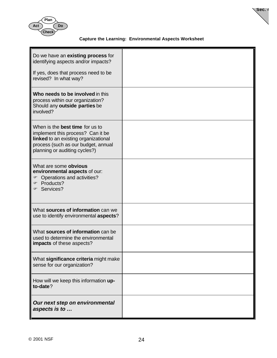

**Sec. 4**

### **Capture the Learning: Environmental Aspects Worksheet**

| Do we have an existing process for<br>identifying aspects and/or impacts?<br>If yes, does that process need to be<br>revised? In what way?                                                  |  |
|---------------------------------------------------------------------------------------------------------------------------------------------------------------------------------------------|--|
| Who needs to be involved in this<br>process within our organization?<br>Should any outside parties be<br>involved?                                                                          |  |
| When is the <b>best time</b> for us to<br>implement this process? Can it be<br>linked to an existing organizational<br>process (such as our budget, annual<br>planning or auditing cycles?) |  |
| What are some obvious<br>environmental aspects of our:<br>Operations and activities?<br>☞<br>Products?<br>☞<br>☞ Services?                                                                  |  |
| What sources of information can we<br>use to identify environmental aspects?                                                                                                                |  |
| What sources of information can be<br>used to determine the environmental<br>impacts of these aspects?                                                                                      |  |
| What significance criteria might make<br>sense for our organization?                                                                                                                        |  |
| How will we keep this information up-<br>to-date?                                                                                                                                           |  |
| Our next step on environmental<br>aspects is to                                                                                                                                             |  |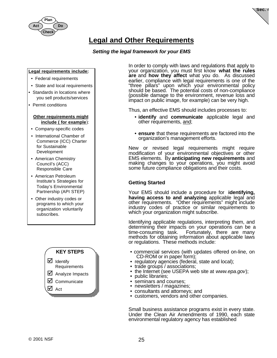



### **Legal and Other Requirements**

### *Setting the legal framework for your EMS*

#### **Legal requirements include:**

- Federal requirements
- State and local requirements
- Standards in locations where you sell products/services
- Permit conditions

#### **Other requirements might include ( for example**):

- Company-specific codes
- International Chamber of Commerce (ICC) Charter for Sustainable Development
- American Chemistry Council's (ACC) Responsible Care
- American Petroleum Institute's Strategies for Today's Environmental Partnership (API STEP)
- Other industry codes or programs to which your organization voluntarily subscribes.



In order to comply with laws and regulations that apply to your organization, you must first know **what the rules are** and **how they affect** what you do. As discussed earlier, compliance with legal requirements is one of the "three pillars" upon which your environmental policy should be based. The potential costs of non-compliance (possible damage to the environment, revenue loss and impact on public image, for example) can be very high.

Thus, an effective EMS should includes processes to:

- **identify** and **communicate** applicable legal and other requirements, and;
- **ensure** that these requirements are factored into the organization's management efforts.

New or revised legal requirements might require modification of your environmental objectives or other EMS elements. By **anticipating new requirements** and making changes to your operations, you might avoid some future compliance obligations and their costs.

### **Getting Started**

Your EMS should include a procedure for **identifying, having access to and analyzing** applicable legal and other requirements. "Other requirements" might include industry codes of practice or similar requirements to which your organization might subscribe.

Identifying applicable regulations, interpreting them, and determining their impacts on your operations can be a time-consuming task. Fortunately, there are many Fortunately, there are many methods for obtaining information about applicable laws or regulations. These methods include:

- commercial services (with updates offered on-line, on CD-ROM or in paper form);
- regulatory agencies (federal, state and local);
- trade groups / associations;
- the Internet (see USEPA web site at *www.epa.gov*);
- public libraries;
- seminars and courses;
- newsletters / magazines;
- consultants and attorneys; and
- customers, vendors and other companies.

Small business assistance programs exist in every state. Under the Clean Air Amendments of 1990, each state environmental regulatory agency has established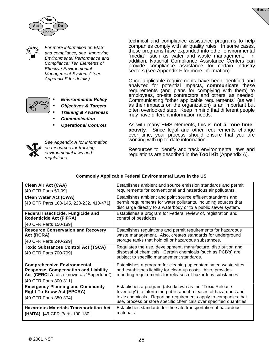





**Act**

*For more information on EMS and compliance, see "Improving Environmental Performance and Compliance: Ten Elements of Effective Environmental Management Systems" (see Appendix F for details)*

**Do**

**Check**

 **Plan**



- *Environmental Policy*
- *Objectives & Targets*
- *Training & Awareness*
- *Communication*
- *Operational Controls*



*See Appendix A for information on resources for tracking environmental laws and regulations.*

technical and compliance assistance programs to help companies comply with air quality rules. In some cases, these programs have expanded into other environmental "media", such as water and waste management. In addition, National Compliance Assistance Centers can provide compliance assistance for certain industry sectors (see Appendix F for more information).

Once applicable requirements have been identified and analyzed for potential impacts, **communicate** these requirements (and plans for complying with them) to employees, on-site contractors and others, as needed. Communicating "other applicable requirements" (as well as their impacts on the organization) is an important but often overlooked step. Keep in mind that different people may have different information needs.

As with many EMS elements, this is **not a "one time" activity**. Since legal and other requirements change over time, your process should ensure that you are working with up-to-date information.

Resources to identify and track environmental laws and regulations are described in the **Tool Kit** (Appendix A).

| <b>Clean Air Act (CAA)</b>                                           | Establishes ambient and source emission standards and permit                                                                           |
|----------------------------------------------------------------------|----------------------------------------------------------------------------------------------------------------------------------------|
| [40 CFR Parts 50-99]                                                 | requirements for conventional and hazardous air pollutants.                                                                            |
| <b>Clean Water Act (CWA)</b>                                         | Establishes ambient and point source effluent standards and                                                                            |
| [40 CFR Parts 100-145, 220-232, 410-471]                             | permit requirements for water pollutants, including sources that                                                                       |
|                                                                      | discharge directly to a waterbody or to a public sewer system.                                                                         |
| Federal Insecticide, Fungicide and<br><b>Rodenticide Act (FIFRA)</b> | Establishes a program for Federal review of, registration and<br>control of pesticides.                                                |
| [40 CFR Parts 150-189]                                               |                                                                                                                                        |
| <b>Resource Conservation and Recovery</b>                            | Establishes regulations and permit requirements for hazardous                                                                          |
| Act (RCRA)                                                           | waste management. Also, creates standards for underground                                                                              |
| [40 CFR Parts 240-299]                                               | storage tanks that hold oil or hazardous substances.                                                                                   |
| <b>Toxic Substances Control Act (TSCA)</b>                           | Regulates the use, development, manufacture, distribution and                                                                          |
| [40 CFR Parts 700-799]                                               | disposal of chemicals. Certain chemicals (such as PCB's) are                                                                           |
|                                                                      | subject to specific management standards.                                                                                              |
| <b>Comprehensive Environmental</b>                                   | Establishes a program for cleaning up contaminated waste sites                                                                         |
| <b>Response, Compensation and Liability</b>                          | and establishes liability for clean-up costs. Also, provides                                                                           |
| Act (CERCLA, also known as "Superfund")                              | reporting requirements for releases of hazardous substances                                                                            |
| [40 CFR Parts 300-311]                                               |                                                                                                                                        |
| <b>Emergency Planning and Community</b>                              | Establishes a program (also known as the "Toxic Release                                                                                |
| <b>Right-To-Know Act (EPCRA)</b>                                     | Inventory") to inform the public about releases of hazardous and                                                                       |
| [40 CFR Parts 350-374]                                               | toxic chemicals. Reporting requirements apply to companies that<br>use, process or store specific chemicals over specified quantities. |
| <b>Hazardous Materials Transportation Act</b>                        | Establishes standards for the safe transportation of hazardous                                                                         |
| (HMTA) [49 CFR Parts 100-180]                                        | materials.                                                                                                                             |
|                                                                      |                                                                                                                                        |

#### **Commonly Applicable Federal Environmental Laws in the US**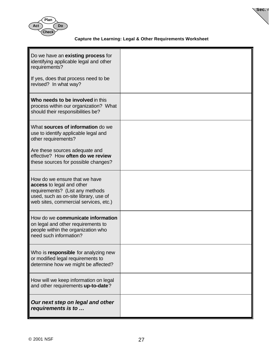

### **Capture the Learning: Legal & Other Requirements Worksheet**

**Sec. 4**

| Do we have an <b>existing process</b> for<br>identifying applicable legal and other<br>requirements?                                                                            |  |
|---------------------------------------------------------------------------------------------------------------------------------------------------------------------------------|--|
| If yes, does that process need to be<br>revised? In what way?                                                                                                                   |  |
| Who needs to be involved in this<br>process within our organization? What<br>should their responsibilities be?                                                                  |  |
| What sources of information do we<br>use to identify applicable legal and<br>other requirements?                                                                                |  |
| Are these sources adequate and<br>effective? How often do we review<br>these sources for possible changes?                                                                      |  |
| How do we ensure that we have<br>access to legal and other<br>requirements? (List any methods<br>used, such as on-site library, use of<br>web sites, commercial services, etc.) |  |
| How do we communicate information<br>on legal and other requirements to<br>people within the organization who<br>need such information?                                         |  |
| Who is responsible for analyzing new<br>or modified legal requirements to<br>determine how we might be affected?                                                                |  |
| How will we keep information on legal<br>and other requirements up-to-date?                                                                                                     |  |
| Our next step on legal and other<br>requirements is to                                                                                                                          |  |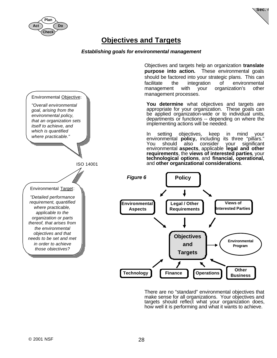



### **Objectives and Targets**

### *Establishing goals for environmental management*



Objectives and targets help an organization **translate purpose into action.** These environmental goals should be factored into your strategic plans. This can facilitate the integration of environmental management with your organization's other management processes.

**You determine** what objectives and targets are appropriate for your organization. These goals can be applied organization-wide or to individual units, departments or functions -- depending on where the implementing actions will be needed.

In setting objectives, keep in mind your environmental **policy,** including its three "pillars." You should also consider your significant environmental **aspects**, applicable **legal and other requirements**, the **views of interested parties**, your **technological options**, and **financial, operational,** and **other organizational considerations**.



There are no "standard" environmental objectives that make sense for all organizations. Your objectives and targets should reflect what your organization does, how well it is performing and what it wants to achieve.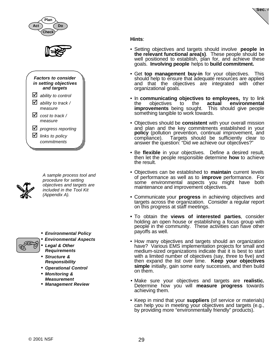



*A sample process tool and procedure for setting objectives and targets are included in the Tool Kit (Appendix A).*

- *Environmental Policy*
- *Environmental Aspects*
- *Legal & Other Requirements*
- *Structure & Responsibility*
- *Operational Control*
- *Monitoring & Measurement*
- *Management Review*

**Sec. 4**

### **Hints**:

- Setting objectives and targets should involve **people in the relevant functional area(s)**. These people should be well positioned to establish, plan for, and achieve these goals. **Involving people** helps to **build commitment.**
- Get **top management buy-in** for your objectives. This should help to ensure that adequate resources are applied and that the objectives are integrated with other organizational goals.
- In **communicating objectives to employees,** try to link the objectives to the **actual environmental improvements** being sought. This should give people something tangible to work towards.
- Objectives should be **consistent** with your overall mission and plan and the key commitments established in your **policy** (pollution prevention, continual improvement, and compliance). Targets should be sufficiently clear to answer the question: "Did we achieve our objectives?"
- Be **flexible** in your objectives. Define a desired result, then let the people responsible determine **how** to achieve the result.
- Objectives can be established to **maintain** current levels of performance as well as to **improve** performance. For some environmental aspects you might have both maintenance and improvement objectives.
- Communicate your **progress** in achieving objectives and targets across the organization. Consider a regular report on this progress at staff meetings.
- **•** To obtain the **views of interested parties**, consider holding an open house or establishing a focus group with people in the community. These activities can have other payoffs as well.
- How many objectives and targets should an organization have? Various EMS implementation projects for small and medium-sized organizations indicate that it is best to start with a limited number of objectives (say, three to five) and then expand the list over time. **Keep your objectives simple** initially, gain some early successes, and then build on them.
- Make sure your objectives and targets are **realistic.** Determine how you will **measure progress** towards achieving them.
- Keep in mind that your **suppliers** (of service or materials) can help you in meeting your objectives and targets (e.g., by providing more "environmentally friendly" products).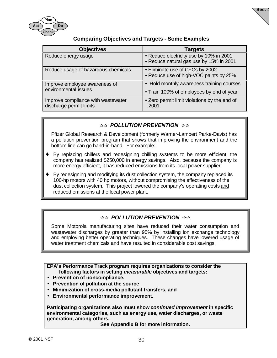

### **Comparing Objectives and Targets - Some Examples**

**Sec. 4**

| <b>Objectives</b>                                             | <b>Targets</b>                                                                     |
|---------------------------------------------------------------|------------------------------------------------------------------------------------|
| Reduce energy usage                                           | • Reduce electricity use by 10% in 2001<br>• Reduce natural gas use by 15% in 2001 |
| Reduce usage of hazardous chemicals                           | • Eliminate use of CFCs by 2002<br>• Reduce use of high-VOC paints by 25%          |
| Improve employee awareness of                                 | • Hold monthly awareness training courses                                          |
| environmental issues                                          | • Train 100% of employees by end of year                                           |
| Improve compliance with wastewater<br>discharge permit limits | • Zero permit limit violations by the end of<br>2001                               |

### **READ POLLUTION PREVENTION**

Pfizer Global Research & Development (formerly Warner-Lambert Parke-Davis) has a pollution prevention program that shows that improving the environment and the bottom line can go hand-in-hand. For example:

- By replacing chillers and redesigning chilling systems to be more efficient, the company has realized \$250,000 in energy savings. Also, because the company is more energy efficient, it has reduced emissions from its local power supplier.
- By redesigning and modifying its dust collection system, the company replaced its 100-hp motors with 40 hp motors, without compromising the effectiveness of the dust collection system. This project lowered the company's operating costs and reduced emissions at the local power plant.

### $\Re$  **POLLUTION PREVENTION**  $\Re$

Some Motorola manufacturing sites have reduced their water consumption and wastewater discharges by greater than 95% by installing ion exchange technology and employing better operating techniques. These changes have lowered usage of water treatment chemicals and have resulted in considerable cost savings.

**EPA's Performance Track program requires organizations to consider the following factors in setting** *measurable* **objectives and targets:**

- **Prevention of noncompliance,**
- **Prevention of pollution at the source**
- **Minimization of cross-media pollutant transfers, and**
- **Environmental performance improvement.**

**Participating organizations also must show** *continued improvement* **in specific environmental categories, such as energy use, water discharges, or waste generation, among others.**

**See Appendix B for more information.**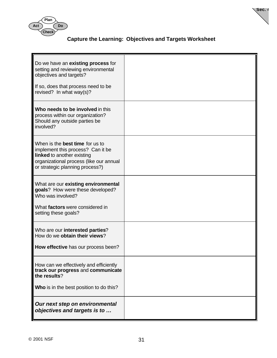



**Sec. 4**

| Do we have an existing process for<br>setting and reviewing environmental<br>objectives and targets?<br>If so, does that process need to be<br>revised? In what way(s)?                 |  |
|-----------------------------------------------------------------------------------------------------------------------------------------------------------------------------------------|--|
| Who needs to be involved in this<br>process within our organization?<br>Should any outside parties be<br>involved?                                                                      |  |
| When is the <b>best time</b> for us to<br>implement this process? Can it be<br>linked to another existing<br>organizational process (like our annual<br>or strategic planning process?) |  |
| What are our existing environmental<br>goals? How were these developed?<br>Who was involved?<br>What factors were considered in<br>setting these goals?                                 |  |
| Who are our interested parties?<br>How do we obtain their views?<br>How effective has our process been?                                                                                 |  |
| How can we effectively and efficiently<br>track our progress and communicate<br>the results?                                                                                            |  |
| Who is in the best position to do this?                                                                                                                                                 |  |
| Our next step on environmental<br>objectives and targets is to                                                                                                                          |  |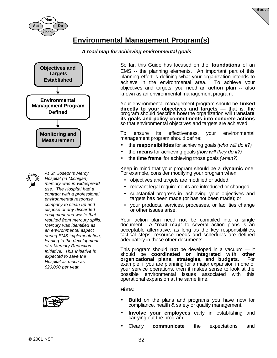

**Sec. 4**

## **Environmental Management Program(s)**

#### *A road map for achieving environmental goals*





*At St. Joseph's Mercy Hospital (in Michigan), mercury was in widespread use. The Hospital had a contract with a professional environmental response company to clean up and dispose of any discarded equipment and waste that resulted from mercury spills. Mercury was identified as an environmental aspect during EMS implementation, leading to the development of a Mercury Reduction Initiative. This Initiative is expected to save the Hospital as much as \$20,000 per year.*



So far, this Guide has focused on the **foundations** of an EMS -- the planning elements. An important part of this planning effort is defining what your organization intends to achieve in the environmental area. To achieve your objectives and targets, you need an **action plan --** also known as an environmental management program.

Your environmental management program should be **linked directly to your objectives and targets** — that is, the program should describe **how** the organization will **translate its goals and policy commitments into concrete actions** so that environmental objectives and targets are achieved.

To ensure its effectiveness, your environmental management program should define:

- the **responsibilities** for achieving goals *(who will do it?)*
- the **means** for achieving goals *(how will they do it?)*
- the **time frame** for achieving those goals *(when?)*

Keep in mind that your program should be a **dynamic** one. For example, consider modifying your program when:

- objectives and targets are modified or added;
- relevant legal requirements are introduced or changed;
- substantial progress in achieving your objectives and targets has been made (or has not been made); or
- your products, services, processes, or facilities change or other issues arise.

Your action plan need **not** be compiled into a single document. A "**road map**" to several action plans is an acceptable alternative, as long as the key responsibilities, tactical steps, resource needs and schedules are defined adequately in these other documents.

This program should **not** be developed in a vacuum — it should be **coordinated or integrated with other organizational plans, strategies, and budgets**. For example, if you are planning for a major expansion in one of your service operations, then it makes sense to look at the possible environmental issues associated with this operational expansion at the same time.

#### **Hints:**

- **Build** on the plans and programs you have now for compliance, health & safety or quality management.
- **Involve your employees** early in establishing and carrying out the program.
- Clearly **communicate** the expectations and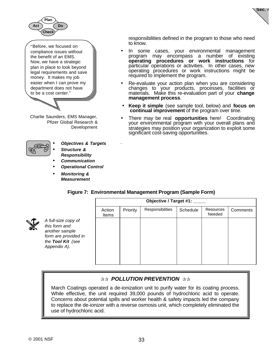

"Before, we focused on compliance issues without the benefit of an EMS. Now, we have a strategic plan in place to look beyond legal requirements and save money. It makes my job easier when I can prove my department does not have to be a cost center."

Charlie Saunders, EMS Manager, Pfizer Global Research & Development



- *Objectives & Targets* • *Structure &*
- *Responsibility*
- *Communication*
- *Operational Control*
- *Monitoring & Measurement*

responsibilities defined in the program to those who need to know.

**Sec. 4**

- In some cases, your environmental management program may encompass a number of existing **operating procedures or work instructions** for particular operations or activities. In other cases, new operating procedures or work instructions might be required to implement the program.
- Re-evaluate your action plan when you are considering changes to your products, processes, facilities or materials. Make this re-evaluation part of your **change management process**.
- **Keep it simple** (see sample tool, below) and **focus on continual improvement** of the program over time.
- There may be real **opportunities** here! Coordinating your environmental program with your overall plans and strategies may position your organization to exploit some significant cost-saving opportunities.

#### **Figure 7: Environmental Management Program (Sample Form)**

.

|                                                                                                                     | Objective / Target #1: _____ |          |                  |          |                     |          |
|---------------------------------------------------------------------------------------------------------------------|------------------------------|----------|------------------|----------|---------------------|----------|
|                                                                                                                     | Action<br><b>Items</b>       | Priority | Responsibilities | Schedule | Resources<br>Needed | Comments |
| A full-size copy of<br>this form and<br>another sample<br>form are provided in<br>the Tool Kit (see<br>Appendix A). |                              |          |                  |          |                     |          |

### $\Re$ **<b>R** POLLUTION PREVENTION  $\Re$

March Coatings operated a de-ionization unit to purify water for its coating process. While effective, the unit required 39,000 pounds of hydrochloric acid to operate. Concerns about potential spills and worker health & safety impacts led the company to replace the de-ionizer with a reverse osmosis unit, which completely eliminated the use of hydrochloric acid.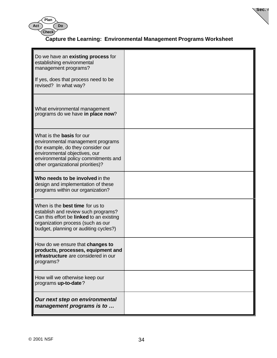



**Sec. 4**

| Do we have an <b>existing process</b> for<br>establishing environmental<br>management programs?                                                                                                                           |  |
|---------------------------------------------------------------------------------------------------------------------------------------------------------------------------------------------------------------------------|--|
| If yes, does that process need to be<br>revised? In what way?                                                                                                                                                             |  |
| What environmental management<br>programs do we have in place now?                                                                                                                                                        |  |
| What is the <b>basis</b> for our<br>environmental management programs<br>(for example, do they consider our<br>environmental objectives, our<br>environmental policy commitments and<br>other organizational priorities)? |  |
| Who needs to be involved in the<br>design and implementation of these<br>programs within our organization?                                                                                                                |  |
| When is the <b>best time</b> for us to<br>establish and review such programs?<br>Can this effort be linked to an existing<br>organization process (such as our<br>budget, planning or auditing cycles?)                   |  |
| How do we ensure that changes to<br>products, processes, equipment and<br>infrastructure are considered in our<br>programs?                                                                                               |  |
| How will we otherwise keep our<br>programs up-to-date?                                                                                                                                                                    |  |
| Our next step on environmental<br>management programs is to                                                                                                                                                               |  |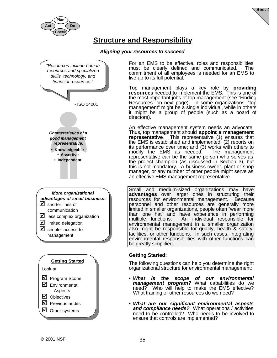



# **Structure and Responsibility**

#### *Aligning your resources to succeed*



For an EMS to be effective, roles and responsibilities must be clearly defined and communicated. The commitment of all employees is needed for an EMS to live up to its full potential.

Top management plays a key role by **providing resources** needed to implement the EMS. This is one of the most important jobs of top management (see "Finding Resources" on next page). In some organizations, "top management" might be a single individual, while in others it might be a group of people (such as a board of directors).

An effective management system needs an advocate. Thus, top management should **appoint a management representative**. This representative (1) ensures that the EMS is established and implemented; (2) reports on its performance over time; and (3) works with others to modify the EMS as needed. representative can be the same person who serves as the project champion (as discussed in Section 3), but this is not mandatory. A business owner, plant or shop manager, or any number of other people might serve as an effective EMS management representative.

Small and medium-sized organizations may have **advantages** over larger ones in structuring their resources for environmental management. Because personnel and other resources are generally more limited in smaller organizations, people often "wear more than one hat" and have experience in performing multiple functions. An individual responsible for environmental management in a smaller organization also might be responsible for quality, health & safety, facilities, or other functions. In such cases, integrating environmental responsibilities with other functions can be greatly simplified.

#### **Getting Started:**

The following questions can help you determine the right organizational structure for environmental management:

- *What is the scope of our environmental management program?* What capabilities do we need? Who will help to make the EMS effective? What training or other resources do we need?
- *What are our significant environmental aspects and compliance needs?* What operations / activities need to be controlled? Who needs to be involved to ensure that controls are implemented?

 $\boxtimes$  Previous audits  $\boxtimes$  Other systems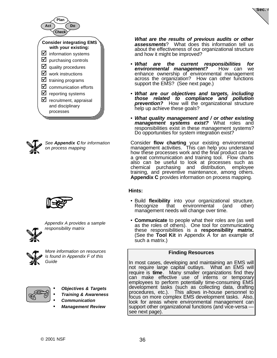



*See Appendix C for information on process mapping*



| ¢      |
|--------|
|        |
| Ф<br>٠ |

*Appendix A provides a sample responsibility matrix*



*More information on resources is found in Appendix F of this Guide*



- *Objectives & Targets*
- *Training & Awareness*
- *Communication*
- *Management Review*

*What are the results of previous audits or other assessments*? What does this information tell us about the effectiveness of our organizational structure and how it might be improved?

**Sec. 4**

- *What are the current responsibilities for environmental management?* enhance ownership of environmental management across the organization? How can other functions support the EMS? (See next page.)
- *What are our objectives and targets, including those related to compliance and pollution prevention?* How will the organizational structure help up achieve these goals?
- *What quality management and / or other existing management systems exist?* What roles and responsibilities exist in these management systems? Do opportunities for system integration exist?

Consider **flow charting** your existing environmental management activities. This can help you understand how these processes work and the final product can be a great communication and training tool. Flow charts also can be useful to look at processes such as chemical purchasing and distribution, employee training, and preventive maintenance, among others. **Appendix C** provides information on process mapping.

#### **Hints:**

- Build **flexibility** into your organizational structure. Recognize that environmental (and other) management needs will change over time.
- **Communicate** to people what their roles are (as well as the roles of others). One tool for communicating these responsibilities is a **responsibility matrix.** (See the **Tool Kit** in Appendix A for an example of such a matrix.)

#### **Finding Resources**

In most cases, developing and maintaining an EMS will not require large capital outlays. What an EMS will require is **time**. Many smaller organizations find they can make effective use of interns or temporary employees to perform potentially time-consuming EMS development tasks (such as collecting data, drafting procedures, etc.). This allows in-house personnel to focus on more complex EMS development tasks. Also, look for areas where environmental management can support other organizational functions (and vice-versa see next page).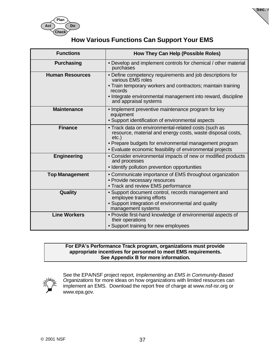



**Sec. 4**

| <b>Functions</b>       | How They Can Help (Possible Roles)                                                                                                                                                                                                                    |
|------------------------|-------------------------------------------------------------------------------------------------------------------------------------------------------------------------------------------------------------------------------------------------------|
| <b>Purchasing</b>      | • Develop and implement controls for chemical / other material<br>purchases                                                                                                                                                                           |
| <b>Human Resources</b> | • Define competency requirements and job descriptions for<br>various EMS roles<br>• Train temporary workers and contractors; maintain training<br>records<br>• Integrate environmental management into reward, discipline<br>and appraisal systems    |
| <b>Maintenance</b>     | • Implement preventive maintenance program for key<br>equipment<br>• Support identification of environmental aspects                                                                                                                                  |
| <b>Finance</b>         | • Track data on environmental-related costs (such as<br>resource, material and energy costs, waste disposal costs,<br>$etc.$ )<br>• Prepare budgets for environmental management program<br>• Evaluate economic feasibility of environmental projects |
| Engineering            | • Consider environmental impacts of new or modified products<br>and processes<br>• Identify pollution prevention opportunities                                                                                                                        |
| <b>Top Management</b>  | • Communicate importance of EMS throughout organization<br>• Provide necessary resources<br>• Track and review EMS performance                                                                                                                        |
| Quality                | · Support document control, records management and<br>employee training efforts<br>• Support integration of environmental and quality<br>management systems                                                                                           |
| <b>Line Workers</b>    | • Provide first-hand knowledge of environmental aspects of<br>their operations<br>• Support training for new employees                                                                                                                                |

#### **For EPA's Performance Track program, organizations must provide appropriate incentives for personnel to meet EMS requirements. See Appendix B for more information.**



See the EPA/NSF project report*, Implementing an EMS in Community-Based Organizations* for more ideas on how organizations with limited resources can implement an EMS. Download the report free of charge at www.nsf-isr.org or www.epa.gov.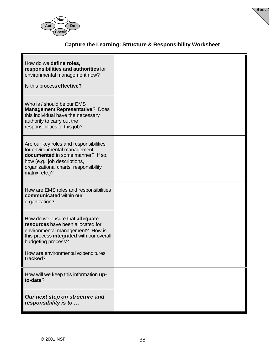



## **Capture the Learning: Structure & Responsibility Worksheet**

| How do we define roles,<br>responsibilities and authorities for<br>environmental management now?<br>Is this process effective?                                                                                              |  |
|-----------------------------------------------------------------------------------------------------------------------------------------------------------------------------------------------------------------------------|--|
| Who is / should be our EMS<br><b>Management Representative? Does</b><br>this individual have the necessary<br>authority to carry out the<br>responsibilities of this job?                                                   |  |
| Are our key roles and responsibilities<br>for environmental management<br>documented in some manner? If so,<br>how (e.g., job descriptions,<br>organizational charts, responsibility<br>matrix, etc.)?                      |  |
| How are EMS roles and responsibilities<br>communicated within our<br>organization?                                                                                                                                          |  |
| How do we ensure that adequate<br>resources have been allocated for<br>environmental management? How is<br>this process integrated with our overall<br>budgeting process?<br>How are environmental expenditures<br>tracked? |  |
| How will we keep this information up-<br>to-date?                                                                                                                                                                           |  |
| Our next step on structure and<br>responsibility is to                                                                                                                                                                      |  |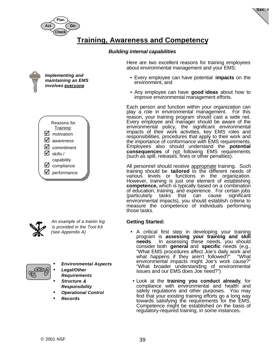

**Sec. 4**

## **Training, Awareness and Competency**

#### *Building internal capabilities*







*An example of a trainin log is provided in the Tool Kit (see Appendix A)*



- *Environmental Aspects* • *Legal/Other*
- *Requirements*
- *Structure & Responsibility*
- *Operational Control*
- *Records*

Here are two excellent reasons for training employees about environmental management and your EMS:

- Every employee can have potential **impacts** on the environment, and
- Any employee can have **good ideas** about how to improve environmental management efforts.

Each person and function within your organization can play a role in environmental management. For this reason, your training program should cast a wide net. Every employee and manager should be aware of the environmental policy, the significant environmental impacts of their work activities, key EMS roles and responsibilities, procedures that apply to their work and the importance of conformance with EMS requirements. Employees also should understand the **potential consequences** of not following EMS requirements (such as spill, releases, fines or other penalties).

All personnel should receive appropriate training. Such training should be **tailored** to the different needs of various levels or functions in the organization. However, training is just one element of establishing **competence,** which is typically based on a combination of education, training, and experience. For certain jobs (particularly tasks that can cause significant environmental impacts), you should establish criteria to measure the competence of individuals performing those tasks.

#### **Getting Started:**

- A critical first step in developing your training program is **assessing your training and skill needs**. In assessing these needs, you should consider both **general** and **specific** needs (e.g., "What EMS procedures affect Joe's daily work and what happens if they aren't followed?" "What environmental impacts might Joe's work cause?" "What broader understanding of environmental issues and our EMS does Joe need?")
- Look at the **training you conduct already**, for compliance with environmental and health and safety regulations and other purposes. You may find that your existing training efforts go a long way towards satisfying the requirements for the EMS. Competence might be established on the basis of regulatory-required training, in some instances.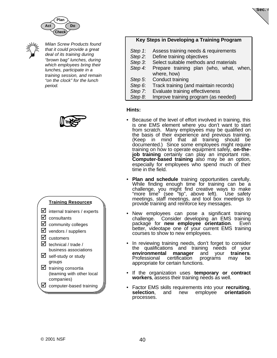



*Milan Screw Products found that it could provide a great deal of its training during "brown bag" lunches, during which employees bring their lunches, participate in a training session, and remain "on the clock" for the lunch period.*



#### **Training Resources:**

- $\triangleright$  internal trainers / experts
- $\triangleright$  consultants
- $\boxtimes$  community colleges
- $\triangleright$  vendors / suppliers
- $\boxdot$  customers
- $\boxtimes$  technical / trade / business associations
- $\boxtimes$  self-study or study groups
- $\triangleright$  training consortia (teaming with other local companies)
- $\boxtimes$  computer-based training

### **Key Steps in Developing a Training Program**

**Sec. 4**

- *Step 1*: Assess training needs & requirements
- *Step 2*: Define training objectives
- *Step 3*: Select suitable methods and materials
- *Step 4:* Prepare training plan (who, what, when, where, how)
- *Step 5*: Conduct training
- *Step 6*: Track training (and maintain records)
- *Step 7*: Evaluate training effectiveness
- *Step 8*: Improve training program (as needed)

#### **Hints:**

- Because of the level of effort involved in training, this is one EMS element where you don't want to start from scratch. Many employees may be qualified on the basis of their experience and previous training. (Keep in mind that all training should be documented.) Since some employees might require training on how to operate equipment safely, on-the**job training** certainly can play an important role. **Computer-based training** also may be an option, especially for employees who spend much of their time in the field.
- **Plan and schedule** training opportunities carefully. While finding enough time for training can be a challenge, you might find creative ways to make "more time" (see "tip", above left). Use safety meetings, staff meetings, and tool box meetings to provide training and reinforce key messages.
- New employees can pose a significant training challenge. Consider developing an EMS training package for **new employee orientation**. Even better, videotape one of your current EMS training courses to show to new employees.
- In reviewing training needs, don't forget to consider the qualifications and training needs of your **environmental manager** and your **trainers**. programs may be appropriate for certain functions.
- If the organization uses **temporary or contract workers**, assess their training needs as well.
- Factor EMS skills requirements into your **recruiting**, **selection**, and new employee **orientation** processes.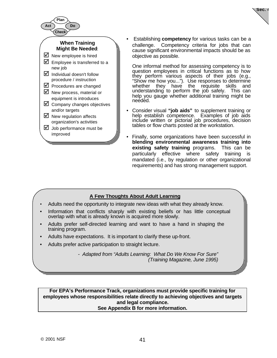

• Establishing **competency** for various tasks can be a challenge. Competency criteria for jobs that can cause significant environmental impacts should be as objective as possible.

**Sec. 4**

One informal method for assessing competency is to question employees in critical functions as to how they perform various aspects of their jobs (e.g., "Show me how you..."). Use responses to determine whether they have the requisite skills and understanding to perform the job safely. This can help you gauge whether additional training might be needed.

- Consider visual **"job aids"** to supplement training or help establish competence. Examples of job aids include written or pictorial job procedures, decision tables or flow charts posted at the workstation.
- Finally, some organizations have been successful in **blending environmental awareness training into existing safety training** programs. This can be particularly effective where safety training is mandated (i.e., by regulation or other organizational requirements) and has strong management support.

## **A Few Thoughts About Adult Learning**

- Adults need the opportunity to integrate new ideas with what they already know.
- Information that conflicts sharply with existing beliefs or has little conceptual overlap with what is already known is acquired more slowly.
- Adults prefer self-directed learning and want to have a hand in shaping the training program.
- Adults have expectations. It is important to clarify these up-front.
- Adults prefer active participation to straight lecture.

*- Adapted from "Adults Learning: What Do We Know For Sure" (Training Magazine, June 1995)*

**For EPA's Performance Track, organizations must provide specific training for employees whose responsibilities relate directly to achieving objectives and targets and legal compliance. See Appendix B for more information.**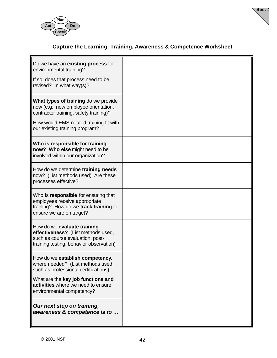



## **Capture the Learning: Training, Awareness & Competence Worksheet**

| Do we have an existing process for<br>environmental training?<br>If so, does that process need to be<br>revised? In what way(s)?                                                                    |  |
|-----------------------------------------------------------------------------------------------------------------------------------------------------------------------------------------------------|--|
| What types of training do we provide<br>now (e.g., new employee orientation,<br>contractor training, safety training)?<br>How would EMS-related training fit with<br>our existing training program? |  |
| Who is responsible for training<br>now? Who else might need to be<br>involved within our organization?                                                                                              |  |
| How do we determine training needs<br>now? (List methods used) Are these<br>processes effective?                                                                                                    |  |
| Who is responsible for ensuring that<br>employees receive appropriate<br>training? How do we track training to<br>ensure we are on target?                                                          |  |
| How do we evaluate training<br>effectiveness? (List methods used,<br>such as course evaluation, post-<br>training testing, behavior observation)                                                    |  |
| How do we establish competency,<br>where needed? (List methods used,<br>such as professional certifications)                                                                                        |  |
| What are the key job functions and<br>activities where we need to ensure<br>environmental competency?                                                                                               |  |
| Our next step on training,<br>awareness & competence is to                                                                                                                                          |  |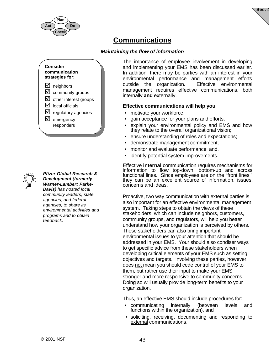

**Sec. 4**

# **Communications**

### *Maintaining the flow of information*



*Pfizer Global Research & Development (formerly Warner-Lambert Parke-Davis) has hosted local community leaders, state agencies, and federal agencies, to share its environmental activities and programs and to obtain feedback.*

The importance of employee involvement in developing and implementing your EMS has been discussed earlier. In addition, there may be parties with an interest in your environmental performance and management efforts outside the organization. Effective environmental management requires effective communications, both internally **and** externally.

#### **Effective communications will help you**:

- motivate your workforce;
- gain acceptance for your plans and efforts;
- explain your environmental policy and EMS and how they relate to the overall organizational vision;
- ensure understanding of roles and expectations;
- demonstrate management commitment;
- monitor and evaluate performance; and,
- identify potential system improvements.

Effective **internal** communication requires mechanisms for information to flow top-down, bottom-up and across functional lines. Since employees are on the "front lines," they can be an excellent source of information, issues, concerns and ideas.

Proactive, two way communication with external parties is also important for an effective environmental management system. Taking steps to obtain the views of these stakeholders, which can include neighbors, customers, community groups, and regulators, will help you better understand how your organization is perceived by others. These stakeholders can also bring important environmental issues to your attention that should be addressed in your EMS. Your should also condiser ways to get specific advice from these stakeholders when developing critical elements of your EMS such as setting objectives and targets. Involving these parties, however, does not mean you should cede control of your EMS to them, but rather use their input to make your EMS stronger and more responsive to community concerns. Doing so will usually provide long-term benefits to your organization.

Thus, an effective EMS should include procedures for:

- communicating internally (between levels and functions within the organization), and
- soliciting, receiving, documenting and responding to external communications.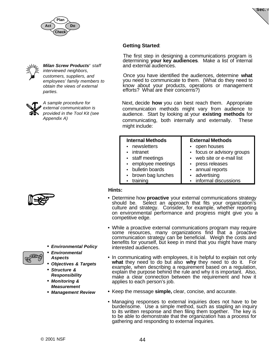





*Milan Screw Products' staff interviewed neighbors, customers, suppliers, and employees' family members to obtain the views of external parties.*



*A sample procedure for external communication is provided in the Tool Kit (see Appendix A)*



• *Environmental Policy*



- *Environmental Aspects*
- *Objectives & Targets*
- *Structure & Responsibility*
- *Monitoring & Measurement*
- *Management Review*

### **Getting Started**:

The first step in designing a communications program is determining **your key audiences**. Make a list of internal and external audiences.

Once you have identified the audiences, determine **what** you need to communicate to them. (What do they need to know about your products, operations or management efforts? What are their concerns?)

Next, decide **how** you can best reach them. Appropriate communication methods might vary from audience to audience. Start by looking at your **existing methods** for communicating, both internally and externally. These might include:

| <b>Internal Methods</b> | <b>External Methods</b>    |
|-------------------------|----------------------------|
| • newsletters           | • open houses              |
| • intranet              | • focus or advisory groups |
| • staff meetings        | • web site or e-mail list  |
| • employee meetings     | • press releases           |
| • bulletin boards       | • annual reports           |
| • brown bag lunches     | • advertising              |
| • training              | • informal discussions     |

#### **Hints:**

- Determine how **proactive** your external communications strategy should be. Select an approach that fits your organization's culture and strategy. Consider, for example, whether reporting on environmental performance and progress might give you a competitive edge.
- While a proactive external communications program may require some resources, many organizations find that a proactive communication strategy can be beneficial. Weigh the costs and benefits for yourself, but keep in mind that you might have many interested audiences.
- In communicating with employees, it is helpful to explain not only **what** they need to do but also **why** they need to do it. For example, when describing a requirement based on a regulation, explain the purpose behind the rule and why it is important. Also, make a clear connection between the requirement and how it applies to each person's job.
- **•** Keep the message **simple,** clear, concise, and accurate.
- Managing responses to external inquiries does not have to be burdensome. Use a simple method, such as stapling an inquiry to its written response and then filing them together. The key is to be able to demonstrate that the organization has a process for gathering and responding to external inquiries.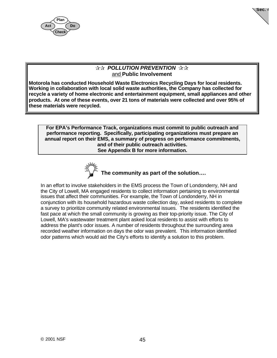

**Sec. 4**

### **☆☆ POLLUTION PREVENTION ☆☆** and **Public Involvement**

**Motorola has conducted Household Waste Electronics Recycling Days for local residents. Working in collaboration with local solid waste authorities, the Company has collected for recycle a variety of home electronic and entertainment equipment, small appliances and other products. At one of these events, over 21 tons of materials were collected and over 95% of these materials were recycled.**

**For EPA's Performance Track, organizations must commit to public outreach and performance reporting. Specifically, participating organizations must prepare an annual report on their EMS, a summary of progress on performance commitments, and of their public outreach activities. See Appendix B for more information.**



 **The community as part of the solution….**

In an effort to involve stakeholders in the EMS process the Town of Londonderry, NH and the City of Lowell, MA engaged residents to collect information pertaining to environmental issues that affect their communities. For example, the Town of Londonderry, NH in conjunction with its household hazardous waste collection day, asked residents to complete a survey to prioritize community related environmental issues. The residents identified the fast pace at which the small community is growing as their top-priority issue. The City of Lowell, MA's wastewater treatment plant asked local residents to assist with efforts to address the plant's odor issues. A number of residents throughout the surrounding area recorded weather information on days the odor was prevalent. This information identified odor patterns which would aid the City's efforts to identify a solution to this problem.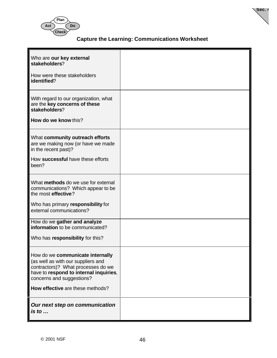

## **Capture the Learning: Communications Worksheet**

**Sec. 4**

| Who are our key external<br>stakeholders?<br>How were these stakeholders<br>identified?                                                                                                                                 |  |
|-------------------------------------------------------------------------------------------------------------------------------------------------------------------------------------------------------------------------|--|
| With regard to our organization, what<br>are the key concerns of these<br>stakeholders?<br>How do we know this?                                                                                                         |  |
| What community outreach efforts<br>are we making now (or have we made<br>in the recent past)?<br>How successful have these efforts<br>been?                                                                             |  |
| What methods do we use for external<br>communications? Which appear to be<br>the most effective?<br>Who has primary responsibility for<br>external communications?                                                      |  |
| How do we gather and analyze<br>information to be communicated?<br>Who has responsibility for this?                                                                                                                     |  |
| How do we communicate internally<br>(as well as with our suppliers and<br>contractors)? What processes do we<br>have to respond to internal inquiries,<br>concerns and suggestions?<br>How effective are these methods? |  |
| Our next step on communication<br>is to $\ldots$                                                                                                                                                                        |  |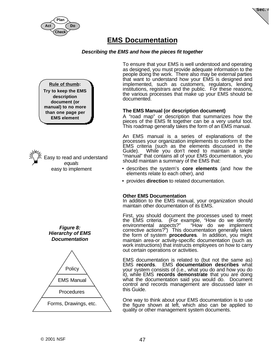



## **EMS Documentation**

#### *Describing the EMS and how the pieces fit together*

**Rule of thumb: Try to keep the EMS description document (or manual) to no more than one page per EMS element**

 Easy to read and understand *equals* easy to implement





To ensure that your EMS is well understood and operating as designed, you must provide adequate information to the people doing the work. There also may be external parties that want to understand how your EMS is designed and implemented, such as customers, regulators, lending institutions, registrars and the public. For these reasons, the various processes that make up your EMS should be documented.

#### **The EMS Manual (or description document)**

A "road map" or description that summarizes how the pieces of the EMS fit together can be a very useful tool. This roadmap generally takes the form of an EMS manual.

An EMS manual is a series of explanations of the processes your organization implements to conform to the EMS criteria (such as the elements discussed in the While you don't need to maintain a single "manual" that contains all of your EMS documentation, you should maintain a summary of the EMS that:

- describes the system's **core elements** (and how the elements relate to each other), and
- provides **direction** to related documentation.

#### **Other EMS Documentation**

In addition to the EMS manual, your organization should maintain other documentation of its EMS.

First, you should document the processes used to meet<br>the EMS criteria. (For example. "How do we identify (For example, "How do we identify environmental aspects?" "How do we implement corrective actions?") This documentation generally takes the form of system **procedures**. In addition, you might maintain area-or activity-specific documentation (such as work instructions) that instructs employees on how to carry out certain operations or activities.

EMS documentation is related to (but not the same as) EMS **records**. EMS **documentation describes** what your system consists of (i.e., what you do and how you do it), while EMS **records demonstrate** that you are doing what the documentation said you would do. Document control and records management are discussed later in this Guide.

One way to think about your EMS documentation is to use the figure shown at left, which also can be applied to quality or other management system documents.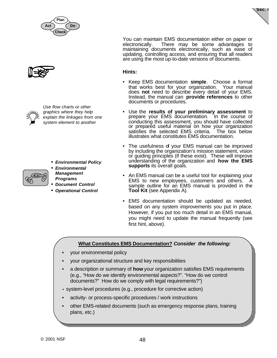

+

*Use flow charts or other graphics where they help explain the linkages from one system element to another*

- *Environmental Policy*
- *Environmental Management Programs*
- *Document Control*
- *Operational Control*

**Sec. 4**

You can maintain EMS documentation either on paper or electronically. There may be some advantages to maintaining documents electronically, such as ease of updating, controlling access, and ensuring that all readers are using the most up-to-date versions of documents.

#### **Hints:**

- Keep EMS documentation **simple**. Choose a format that works best for your organization. Your manual does not need to describe every detail of your EMS. Instead, the manual can **provide references** to other documents or procedures.
- Use the **results of your preliminary assessment** to prepare your EMS documentation. In the course of conducting this assessment, you should have collected or prepared useful material on how your organization satisfies the selected EMS criteria. The box below illustrates what constitutes EMS documentation.
- The usefulness of your EMS manual can be improved by including the organization's mission statement, vision or guiding principles (if these exist). These will improve understanding of the organization and **how the EMS supports** its overall goals.
- An EMS manual can be a useful tool for explaining your EMS to new employees, customers and others. A sample outline for an EMS manual is provided in the **Tool Kit** (see Appendix A).
- EMS documentation should be updated as needed, based on any system improvements you put in place. However, if you put too much detail in an EMS manual, you might need to update the manual frequently (see first hint, above).

#### **What Constitutes EMS Documentation?** *Consider the following:*

- your environmental policy
- your organizational structure and key responsibilities
- a description or summary of **how** your organization satisfies EMS requirements (e.g., "How do we identify environmental aspects?". "How do we control documents?" How do we comply with legal requirements?")
- system-level procedures (e.g., procedure for corrective action)
- activity- or process-specific procedures / work instructions
- other EMS-related documents (such as emergency response plans, training plans, etc.)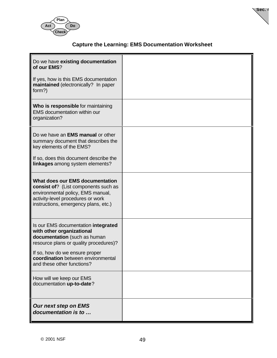



## **Capture the Learning: EMS Documentation Worksheet**

| Do we have existing documentation<br>of our EMS?                                                                                                                                                 |  |
|--------------------------------------------------------------------------------------------------------------------------------------------------------------------------------------------------|--|
| If yes, how is this EMS documentation<br>maintained (electronically? In paper<br>form?)                                                                                                          |  |
| Who is responsible for maintaining<br><b>EMS</b> documentation within our<br>organization?                                                                                                       |  |
| Do we have an <b>EMS manual</b> or other<br>summary document that describes the<br>key elements of the EMS?                                                                                      |  |
| If so, does this document describe the<br>linkages among system elements?                                                                                                                        |  |
| <b>What does our EMS documentation</b><br>consist of? (List components such as<br>environmental policy, EMS manual,<br>activity-level procedures or work<br>instructions, emergency plans, etc.) |  |
| Is our EMS documentation integrated<br>with other organizational<br>documentation (such as human<br>resource plans or quality procedures)?                                                       |  |
| If so, how do we ensure proper<br>coordination between environmental<br>and these other functions?                                                                                               |  |
| How will we keep our EMS<br>documentation up-to-date?                                                                                                                                            |  |
| <b>Our next step on EMS</b><br>documentation is to                                                                                                                                               |  |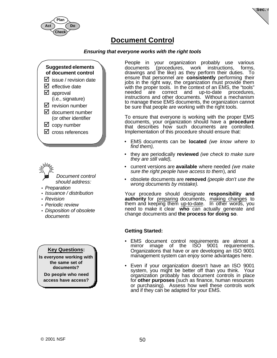



## **Document Control**

#### *Ensuring that everyone works with the right tools*



- *Document control should address:*
- *Preparation*
- *Issuance / distribution*
- *Revision*
- *Periodic review*
- *Disposition of obsolete documents*

**Key Questions:**

**Is everyone working with the same set of documents?**

**Do people who need access have access?**

People in your organization probably use various documents (procedures, work instructions, forms, drawings and the like) as they perform their duties. To ensure that personnel are **consistently** performing their jobs in the right way, the organization must provide them with the proper tools. In the context of an EMS, the "tools" needed are correct and up-to-date procedures, are correct and up-to-date procedures, instructions and other documents. Without a mechanism to manage these EMS documents, the organization cannot be sure that people are working with the right tools.

To ensure that everyone is working with the proper EMS documents, your organization should have a **procedure** that describes how such documents are controlled. Implementation of this procedure should ensure that:

- EMS documents can be **located** *(we know where to find them),*
- they are periodically **reviewed** *(we check to make sure they are still valid),*
- current versions are **available** where needed *(we make sure the right people have access to them*), and
- obsolete documents are **removed** *(people don't use the wrong documents by mistake).*

Your procedure should designate **responsibility and authority** for preparing documents, making changes to them and keeping them up-to-date. In other words, you need to make it clear **who** can actually generate and change documents and **the process for doing so**.

### **Getting Started:**

- EMS document control requirements are almost a mirror image of the ISO 9001 requirements. Organizations that have or are developing an ISO 9001 management system can enjoy some advantages here.
- Even if your organization doesn't have an ISO 9001 system, you might be better off than you think. Your organization probably has document controls in place for **other purposes** (such as finance, human resources or purchasing). Assess how well these controls work and if they can be adapted for your EMS.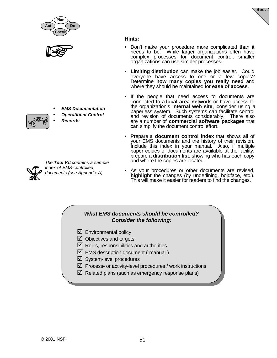



- *EMS Documentation*
- *Operational Control*
- *Records*



*The Tool Kit contains a sample index of EMS-controlled documents (see Appendix A).*

#### **Hints:**

• Don't make your procedure more complicated than it needs to be. While larger organizations often have complex processes for document control, smaller organizations can use simpler processes.

**Sec. 4**

- **Limiting distribution** can make the job easier. Could everyone have access to one or a few copies? Determine **how many copies you really need** and where they should be maintained for **ease of access**.
- If the people that need access to documents are connected to a **local area network** or have access to the organization's **internal web site**, consider using a paperless system. Such systems can facilitate control and revision of documents considerably. There also are a number of **commercial software packages** that can simplify the document control effort.
- Prepare a **document control index** that shows all of your EMS documents and the history of their revision. Include this index in your manual. Also, if multiple paper copies of documents are available at the facility, prepare a **distribution list**, showing who has each copy and where the copies are located.
- As your procedures or other documents are revised, **highlight** the changes (by underlining, boldface, etc.). This will make it easier for readers to find the changes.

### *What EMS documents should be controlled? Consider the following:*

- $\boxtimes$  Environmental policy
- $\boxtimes$  Objectives and targets
- $\boxtimes$  Roles, responsibilities and authorities
- $\boxtimes$  EMS description document ("manual")
- $\boxtimes$  System-level procedures
- $\boxtimes$  Process- or activity-level procedures / work instructions
- $\boxtimes$  Related plans (such as emergency response plans)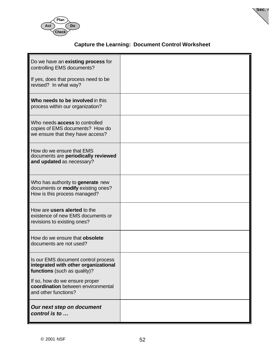



## **Capture the Learning: Document Control Worksheet**

| Do we have an existing process for<br>controlling EMS documents?<br>If yes, does that process need to be<br>revised? In what way? |  |
|-----------------------------------------------------------------------------------------------------------------------------------|--|
| Who needs to be involved in this<br>process within our organization?                                                              |  |
| Who needs <b>access</b> to controlled<br>copies of EMS documents? How do<br>we ensure that they have access?                      |  |
| How do we ensure that EMS<br>documents are periodically reviewed<br>and updated as necessary?                                     |  |
| Who has authority to generate new<br>documents or modify existing ones?<br>How is this process managed?                           |  |
| How are users alerted to the<br>existence of new EMS documents or<br>revisions to existing ones?                                  |  |
| How do we ensure that obsolete<br>documents are not used?                                                                         |  |
| Is our EMS document control process<br>integrated with other organizational<br>functions (such as quality)?                       |  |
| If so, how do we ensure proper<br>coordination between environmental<br>and other functions?                                      |  |
| Our next step on document<br>control is to                                                                                        |  |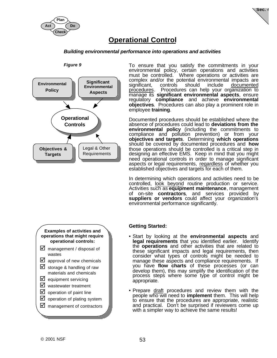

**Sec. 4**

# **Operational Control**

#### *Building environmental performance into operations and activities*



**Figure 9** To ensure that you satisfy the commitments in your environmental policy, certain operations and activities must be controlled. Where operations or activities are complex and/or the potential environmental impacts are significant, controls should include documented procedures. Procedures can help your organization to manage its **significant environmental aspects**, ensure regulatory **compliance** and achieve **environmental objectives**. Procedures can also play a prominent role in employee **training**.

> Documented procedures should be established where the absence of procedures could lead to **deviations from the environmental policy** (including the commitments to compliance and pollution prevention) or from your **objectives and targets**. Determining **which operations** should be covered by documented procedures and **how** those operations should be controlled is a critical step in designing an effective EMS. Keep in mind that you might need operational controls in order to manage significant aspects or legal requirements, regardless of whether you established objectives and targets for each of them.

> In determining which operations and activities need to be controlled, look beyond routine production or service. Activities such as **equipment maintenance**, management of on-site **contractors**, and services provided by **suppliers or vendors** could affect your organization's environmental performance significantly.

#### **Getting Started:**

- Start by looking at the **environmental aspects** and **legal requirements** that you identified earlier. Identify the **operations** and other activities that are related to these significant impacts and legal requirements, then consider what types of controls might be needed to manage these aspects and compliance requirements. If you have **flow charts** of these processes (or can develop them), this may simplify the identification of the process steps where some type of control might be appropriate.
- Prepare draft procedures and review them with the people who will need to **implement** them. This will help to ensure that the procedures are appropriate, realistic and practical. Don't be surprised if reviewers come up with a simpler way to achieve the same results!



- $\boxtimes$  storage & handling of raw materials and chemicals
- $\boxtimes$  equipment servicing
- $\nabla$  wastewater treatment
- $\triangleright$  operation of paint line
- $\boxtimes$  operation of plating system
- $\nabla$  management of contractors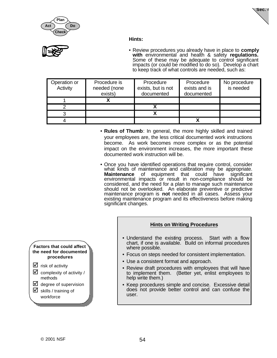



#### **Hints:**



• Review procedures you already have in place to **comply with** environmental and health & safety **regulations.** Some of these may be adequate to control significant impacts (or could be modified to do so). Develop a chart to keep track of what controls are needed, such as:

| Operation or<br>Activity | Procedure is<br>needed (none<br>exists) | Procedure<br>exists, but is not<br>documented | Procedure<br>exists and is<br>documented | No procedure<br>is needed |
|--------------------------|-----------------------------------------|-----------------------------------------------|------------------------------------------|---------------------------|
|                          |                                         |                                               |                                          |                           |
|                          |                                         |                                               |                                          |                           |
|                          |                                         |                                               |                                          |                           |
|                          |                                         |                                               |                                          |                           |

- **Rules of Thumb**: In general, the more highly skilled and trained your employees are, the less critical documented work instructions become. As work becomes more complex or as the potential impact on the environment increases, the more important these documented work instruction will be.
- Once you have identified operations that require control, consider what kinds of maintenance and calibration may be appropriate. **Maintenance** of equipment that could have significant environmental impacts or result in non-compliance should be considered, and the need for a plan to manage such maintenance should not be overlooked. An elaborate preventive or predictive maintenance program is **not** needed in all cases. Assess your existing maintenance program and its effectiveness before making significant changes.



- Understand the existing process. Start with a flow chart, if one is available. Build on informal procedures where possible.
- Focus on steps needed for consistent implementation.
- Use a consistent format and approach.
- Review draft procedures with employees that will have to implement them. (Better yet, enlist employees to help write them.)
- Keep procedures simple and concise. Excessive detail does not provide better control and can confuse the user.
- **Factors that could affect the need for documented procedures**
- $\triangleright$  risk of activity  $\Box$  complexity of activity / methods
- $\triangle$  degree of supervision
- $\boxtimes$  skills / training of workforce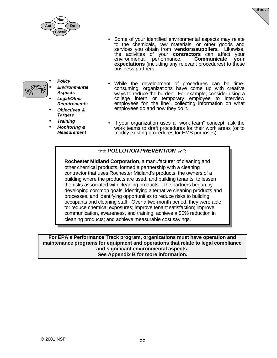



• Some of your identified environmental aspects may relate to the chemicals, raw materials, or other goods and services you obtain from **vendors/suppliers**. Likewise, the activities of your **contractors** can affect your Communicate your **expectations** (including any relevant procedures) to these business partners.



- *Policy* • *Environmental Aspects* • *Legal/Other Requirements*
- *Objectives & Targets*
- *Training*
- *Monitoring & Measurement*
- While the development of procedures can be timeconsuming, organizations have come up with creative ways to reduce the burden. For example, consider using a college intern or temporary employee to interview employees "on the line", collecting information on what employees do and how they do it.
- If your organization uses a "work team" concept, ask the work teams to draft procedures for their work areas (or to modify existing procedures for EMS purposes).

### *<b>RAM* POLLUTION PREVENTION REPAIR

**Rochester Midland Corporation**, a manufacturer of cleaning and other chemical products, formed a partnership with a cleaning contractor that uses Rochester Midland's products, the owners of a building where the products are used, and building tenants, to lessen the risks associated with cleaning products. The partners began by developing common goals, identifying alternative cleaning products and processes, and identifying opportunities to reduce risks to building occupants and cleaning staff. Over a two-month period, they were able to: reduce chemical exposures; improve tenant satisfaction; improve communication, awareness, and training; achieve a 50% reduction in cleaning products; and achieve measurable cost savings.

**For EPA's Performance Track program, organizations must have operation and maintenance programs for equipment and operations that relate to legal compliance and significant environmental aspects. See Appendix B for more information.**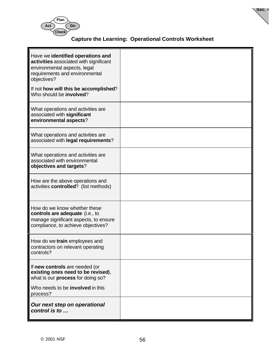

## **Capture the Learning: Operational Controls Worksheet**

**Sec. 4**

| Have we identified operations and<br>activities associated with significant<br>environmental aspects, legal<br>requirements and environmental<br>objectives?<br>If not how will this be accomplished? |  |
|-------------------------------------------------------------------------------------------------------------------------------------------------------------------------------------------------------|--|
| Who should be involved?                                                                                                                                                                               |  |
| What operations and activities are<br>associated with significant<br>environmental aspects?                                                                                                           |  |
| What operations and activities are<br>associated with legal requirements?                                                                                                                             |  |
| What operations and activities are<br>associated with environmental<br>objectives and targets?                                                                                                        |  |
| How are the above operations and<br>activities controlled? (list methods)                                                                                                                             |  |
| How do we know whether these<br>controls are adequate (i.e., to<br>manage significant aspects, to ensure<br>compliance, to achieve objectives?                                                        |  |
| How do we train employees and<br>contractors on relevant operating<br>controls?                                                                                                                       |  |
| If new controls are needed (or<br>existing ones need to be revised),<br>what is our process for doing so?                                                                                             |  |
| Who needs to be <b>involved</b> in this<br>process?                                                                                                                                                   |  |
| Our next step on operational<br>control is to                                                                                                                                                         |  |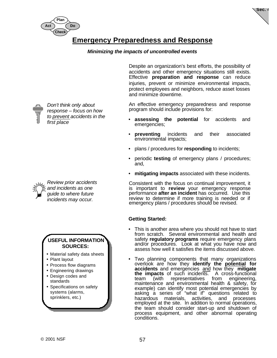



## **Emergency Preparedness and Response**

#### *Minimizing the impacts of uncontrolled events*

*Don't think only about response – focus on how to prevent accidents in the first place*

*Review prior accidents and incidents as one guide to where future incidents may occur.*



- Material safety data sheets
- Plant layout
- Process flow diagrams
- Engineering drawings
- Design codes and standards
- Specifications on safety systems (alarms, sprinklers, etc.)

Despite an organization's best efforts, the possibility of accidents and other emergency situations still exists. Effective **preparation and response** can reduce injuries, prevent or minimize environmental impacts, protect employees and neighbors, reduce asset losses and minimize downtime.

An effective emergency preparedness and response program should include provisions for:

- **assessing the potential** for accidents and emergencies;
- **preventing** incidents and their associated environmental impacts;
- plans / procedures for **responding** to incidents;
- periodic **testing** of emergency plans / procedures; and,
- **mitigating impacts** associated with these incidents.

Consistent with the focus on continual improvement, it is important to **review** your emergency response performance **after an incident** has occurred. Use this review to determine if more training is needed or if emergency plans / procedures should be revised.

### **Getting Started:**

- This is another area where you should not have to start from scratch. Several environmental and health and safety **regulatory programs** require emergency plans and/or procedures. Look at what you have now and assess how well it satisfies the items discussed above.
- Two planning components that many organizations overlook are how they **identify the potential for accidents** and emergencies and how they **mitigate the impacts** of such incidents. A cross-<br>team (with representatives from team (with representatives from engineering, maintenance and environmental health & safety, for example) can identify most potential emergencies by asking a series of "what if" questions related to hazardous materials, activities, and processes hazardous materials, activities, and processes<br>employed at the site. In addition to normal operations, the team should consider start-up and shutdown of process equipment, and other abnormal operating conditions.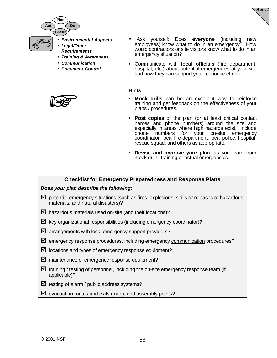

- *Environmental Aspects* • *Legal/Other*
- *Requirements*

**Do**

- *Training & Awareness*
- *Communication*
- *Document Control*



• Ask yourself: Does **everyone** (including new employees) know what to do in an emergency? How would contractors or site visitors know what to do in an emergency situation?

**Sec. 4**

• Communicate with **local officials** (fire department, hospital, etc.) about potential emergencies at your site and how they can support your response efforts.

#### **Hints:**

- **Mock drills** can be an excellent way to reinforce training and get feedback on the effectiveness of your plans / procedures.
- **Post copies** of the plan (or at least critical contact names and phone numbers) around the site and especially in areas where high hazards exist. Include phone numbers for your on-site emergency coordinator, local fire department, local police, hospital, rescue squad, and others as appropriate.
- **Revise and improve your plan** as you learn from mock drills, training or actual emergencies.

#### **Checklist for Emergency Preparedness and Response Plans**

#### *Does your plan describe the following:*

- $\boxtimes$  potential emergency situations (such as fires, explosions, spills or releases of hazardous materials, and natural disasters)?
- $\boxtimes$  hazardous materials used on-site (and their locations)?
- $\boxtimes$  key organizational responsibilities (including emergency coordinator)?
- $\boxtimes$  arrangements with local emergency support providers?
- $✓$  emergency response procedures, including emergency communication procedures?
- $\boxtimes$  locations and types of emergency response equipment?
- $\boxtimes$  maintenance of emergency response equipment?
- $\boxtimes$  training / testing of personnel, including the on-site emergency response team (if applicable)?
- $\boxtimes$  testing of alarm / public address systems?
- $\boxtimes$  evacuation routes and exits (map), and assembly points?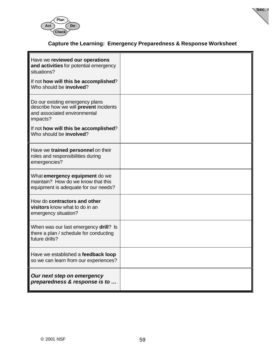



## **Capture the Learning: Emergency Preparedness & Response Worksheet**

| Have we reviewed our operations<br>and activities for potential emergency<br>situations?<br>If not how will this be accomplished?<br>Who should be <b>involved</b> ?                                     |  |
|----------------------------------------------------------------------------------------------------------------------------------------------------------------------------------------------------------|--|
| Do our existing emergency plans<br>describe how we will <b>prevent</b> incidents<br>and associated environmental<br>impacts?<br>If not how will this be accomplished?<br>Who should be <b>involved</b> ? |  |
| Have we trained personnel on their<br>roles and responsibilities during<br>emergencies?                                                                                                                  |  |
| What emergency equipment do we<br>maintain? How do we know that this<br>equipment is adequate for our needs?                                                                                             |  |
| How do contractors and other<br>visitors know what to do in an<br>emergency situation?                                                                                                                   |  |
| When was our last emergency drill? Is<br>there a plan / schedule for conducting<br>future drills?                                                                                                        |  |
| Have we established a <b>feedback loop</b><br>so we can learn from our experiences?                                                                                                                      |  |
| Our next step on emergency<br>preparedness & response is to                                                                                                                                              |  |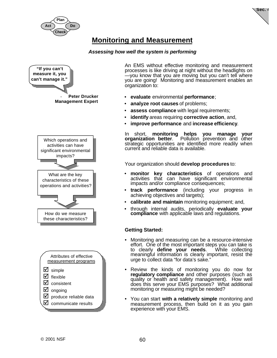



# **Monitoring and Measurement**

#### *Assessing how well the system is performing*



An EMS without effective monitoring and measurement processes is like driving at night without the headlights on —you know that you are moving but you can't tell where you are going! Monitoring and measurement enables an organization to:

- **evaluate** environmental **performance**;
- **analyze root causes** of problems;
- **assess compliance** with legal requirements;
- **identify** areas requiring **corrective action**, and,
- **improve performance** and **increase efficiency**.

In short, **monitoring helps you manage your organization better**. Pollution prevention and other strategic opportunities are identified more readily when current and reliable data is available.

Your organization should **develop procedures** to:

- **monitor key characteristics** of operations and activities that can have significant environmental impacts and/or compliance consequences;
- **track performance** (including your progress in achieving objectives and targets);
- **calibrate and maintain** monitoring equipment; and,
- through internal audits, periodically **evaluate your compliance** with applicable laws and regulations.

#### **Getting Started:**

- Monitoring and measuring can be a resource-intensive effort. One of the most important steps you can take is to clearly **define your needs**. While collecting meaningful information is clearly important, resist the urge to collect data "for data's sake."
- Review the kinds of monitoring you do now for **regulatory compliance** and other purposes (such as quality or health and safety management). How well does this serve your EMS purposes? What additional monitoring or measuring might be needed?
- You can start **with a relatively simple** monitoring and measurement process, then build on it as you gain experience with your EMS.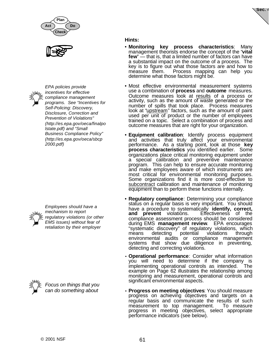





*EPA policies provide incentives for effective compliance management programs. See "Incentives for Self-Policing: Discovery, Disclosure, Correction and Prevention of Violations" (http://es.epa.gov/oeca/finalpo lstate.pdf) and "Small Business Compliance Policy" (http://es.epa.gov/oeca/sbcp 2000.pdf)*



*Employees should have a mechanism to report regulatory violations (or other EMS issues) without fear of retaliation by their employer*



*Focus on things that you can do something about*

## **Hints:**

- **Monitoring key process characteristics**: Many management theorists endorse the concept of the "**vital few**" — that is, that a limited number of factors can have a substantial impact on the outcome of a process. The key is to figure out what those factors are and how to measure them. Process mapping can help you determine what those factors might be.
- Most effective environmental measurement systems use a combination of **process** and **outcome** measures. Outcome measures look at results of a process or activity, such as the amount of waste generated or the number of spills that took place. Process measures look at "upstream" factors, such as the amount of paint used per unit of product or the number of employees trained on a topic. Select a combination of process and outcome measures that are right for your organization.
- **Equipment calibration**: Identify process equipment and activities that truly affect your environmental performance. As a starting point, look at those **key process characteristics** you identified earlier. Some organizations place critical monitoring equipment under a special calibration and preventive maintenance program. This can help to ensure accurate monitoring and make employees aware of which instruments are most critical for environmental monitoring purposes. Some organizations find it is more cost-effective to subcontract calibration and maintenance of monitoring equipment than to perform these functions internally.
- **Regulatory compliance**: Determining your compliance status on a regular basis is very important. You should have a procedure to systematically **identify, correct, and prevent** violations. Effectiveness of the compliance assessment process should be considered during EMS **management review**. EPA encourages "systematic discovery" of regulatory violations, which means detecting potential violations through environmental audits or compliance management systems that show due diligence in preventing, detecting and correcting violations.
- **Operational performance**: Consider what information you will need to determine if the company is implementing operational controls as intended. The example on Page 62 illustrates the relationship among monitoring and measurement, operational controls and significant environmental aspects.
- **Progress on meeting objectives**: You should measure progress on achieving objectives and targets on a regular basis and communicate the results of such measurement to top management. To measure progress in meeting objectives, select appropriate performance indicators (see below).

**Sec. 4**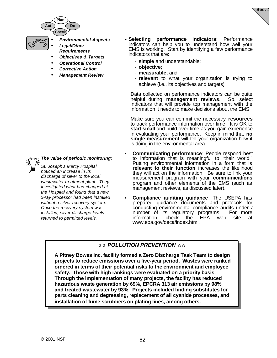

- *Environmental Aspects* • *Legal/Other*
- *Requirements* • *Objectives & Targets*
- *Operational Control*
- *Corrective Action*
- *Management Review*
- **Selecting performance indicators:** Performance indicators can help you to understand how well your EMS is working. Start by identifying a few performance indicators that are:

**Sec. 4**

- **simple** and understandable;
- **objective**;
- **measurable**; and
- **relevant** to what your organization is trying to achieve (i.e., its objectives and targets)

Data collected on performance indicators can be quite helpful during **management reviews**. So, select indicators that will provide top management with the information it needs to make decisions about the EMS.

Make sure you can commit the necessary **resources** to track performance information over time. It is OK to **start small** and build over time as you gain experience in evaluating your performance. Keep in mind that **no single measurement** will tell your organization how it is doing in the environmental area.

- **Communicating performance:** People respond best to information that is meaningful to "their world." Putting environmental information in a form that is **relevant to their function** increases the likelihood they will act on the information. Be sure to link your measurement program with your **communications** program and other elements of the EMS (such as management reviews, as discussed later).
- **Compliance auditing guidance**: The USEPA has prepared guidance documents and protocols for conducting environmental compliance audits under a number of its regulatory programs. For more information, check the EPA web site at www.epa.gov/oeca/index.html.

## $\gg$  **POLLUTION PREVENTION**  $\gg$

**A Pitney Bowes Inc. facility formed a Zero Discharge Task Team to design projects to reduce emissions over a five-year period. Wastes were ranked ordered in terms of their potential risks to the environment and employee safety. Those with high rankings were evaluated on a priority basis. Through the implementation of many projects, the facility has reduced hazardous waste generation by 69%, EPCRA 313 air emissions by 98% and treated wastewater by 93%. Projects included finding substitutes for parts cleaning and degreasing, replacement of all cyanide processes, and installation of fume scrubbers on plating lines, among others.**



### *The value of periodic monitoring:*

*St. Joseph's Mercy Hospital noticed an increase in its discharge of silver to the local wastewater treatment plant. They investigated what had changed at the Hospital and found that a new x-ray processor had been installed without a silver recovery system. Once the recovery system was installed, silver discharge levels returned to permitted levels.*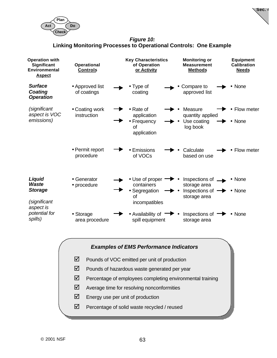



### *Figure 10:* **Linking Monitoring Processes to Operational Controls: One Example**





- $\boxtimes$  Pounds of hazardous waste generated per year
- $\boxtimes$  Percentage of employees completing environmental training
- $\boxtimes$  Average time for resolving nonconformities
- $\boxtimes$  Energy use per unit of production
- $\boxtimes$  Percentage of solid waste recycled / reused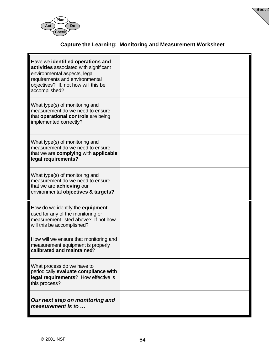



## **Capture the Learning: Monitoring and Measurement Worksheet**

| Have we identified operations and<br>activities associated with significant<br>environmental aspects, legal<br>requirements and environmental<br>objectives? If, not how will this be<br>accomplished? |  |
|--------------------------------------------------------------------------------------------------------------------------------------------------------------------------------------------------------|--|
| What type(s) of monitoring and<br>measurement do we need to ensure<br>that operational controls are being<br>implemented correctly?                                                                    |  |
| What type(s) of monitoring and<br>measurement do we need to ensure<br>that we are complying with applicable<br>legal requirements?                                                                     |  |
| What type(s) of monitoring and<br>measurement do we need to ensure<br>that we are achieving our<br>environmental objectives & targets?                                                                 |  |
| How do we identify the <b>equipment</b><br>used for any of the monitoring or<br>measurement listed above? If not how<br>will this be accomplished?                                                     |  |
| How will we ensure that monitoring and<br>measurement equipment is properly<br>calibrated and maintained?                                                                                              |  |
| What process do we have to<br>periodically evaluate compliance with<br>legal requirements? How effective is<br>this process?                                                                           |  |
| Our next step on monitoring and<br>measurement is to                                                                                                                                                   |  |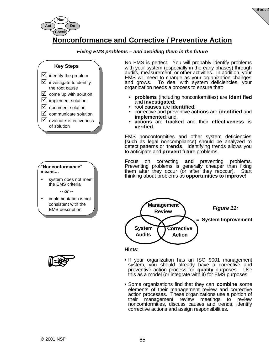

**Sec. 4**

# **Nonconformance and Corrective / Preventive Action**

#### *Fixing EMS problems – and avoiding them in the future*

#### **Key Steps**





• system does not meet the EMS criteria

*-- or --*

• implementation is not consistent with the EMS description



No EMS is perfect. You will probably identify problems with your system (especially in the early phases) through audits, measurement, or other activities. In addition, your EMS will need to change as your organization changes and grows. To deal with system deficiencies, your organization needs a process to ensure that:

- **problems** (including nonconformities) are **identified** and **investigated**;
- root **causes** are **identified**;
- corrective and preventive **actions** are **identified** and **implemented**; and,
- **actions** are **tracked** and their **effectiveness is verified**.

EMS nonconformities and other system deficiencies (such as legal noncompliance) should be analyzed to detect patterns or **trends**. Identifying trends allows you to anticipate and **prevent** future problems.

Focus on correcting **and** preventing problems. Preventing problems is generally cheaper than fixing them after they occur (or after they reoccur). Start thinking about problems as **opportunities to improve!**



**Hints**:

- If your organization has an ISO 9001 management system, you should already have a corrective and preventive action process for **quality** purposes. Use this as a model (or integrate with it) for EMS purposes.
- Some organizations find that they can **combine** some elements of their management review and corrective action processes. These organizations use a portion of their management review meetings to review noncomformities, discuss causes and trends, identify corrective actions and assign responsibilities.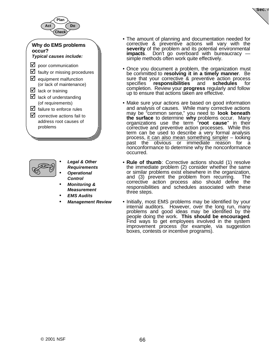



- *Legal & Other Requirements*
- *Operational Control*
- *Monitoring & Measurement*
- *EMS Audits*
- *Management Review*

• The amount of planning and documentation needed for corrective & preventive actions will vary with the **severity** of the problem and its potential environmental **impacts**. Don't go overboard with bureaucracy simple methods often work quite effectively.

**Sec. 4**

- Once you document a problem, the organization must be committed to **resolving it in a timely manner**. Be sure that your corrective & preventive action process specifies **responsibilities** and **schedules** for completion. Review your **progress** regularly and follow up to ensure that actions taken are effective.
- Make sure your actions are based on good information and analysis of causes. While many corrective actions may be "common sense," you need to **look beneath the surface** to determine **why** problems occur. Many organizations use the term "**root cause**" in their corrective and preventive action processes. While this term can be used to describe a very formal analysis process, it can also mean something simpler – looking past the obvious or immediate reason for a nonconformance to determine why the nonconformance occurred.
- **Rule of thumb**: Corrective actions should (1) resolve the immediate problem (2) consider whether the same or similar problems exist elsewhere in the organization, and (3) prevent the problem from recurring. The corrective action process also should define the responsibilities and schedules associated with these three steps.
- Initially, most EMS problems may be identified by your internal auditors. However, over the long run, many problems and good ideas may be identified by the people doing the work. **This should be encouraged**. Find ways to get employees involved in the system improvement process (for example, via suggestion boxes, contests or incentive programs).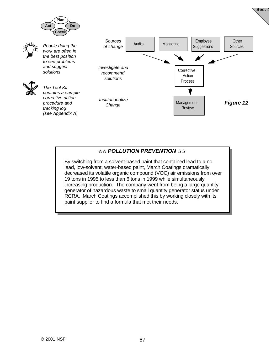

## $\Re$ *ROLLUTION PREVENTION*  $\Re$

By switching from a solvent-based paint that contained lead to a no lead, low-solvent, water-based paint, March Coatings dramatically decreased its volatile organic compound (VOC) air emissions from over 19 tons in 1995 to less than 6 tons in 1999 while simultaneously increasing production. The company went from being a large quantity generator of hazardous waste to small quantity generator status under RCRA. March Coatings accomplished this by working closely with its paint supplier to find a formula that met their needs.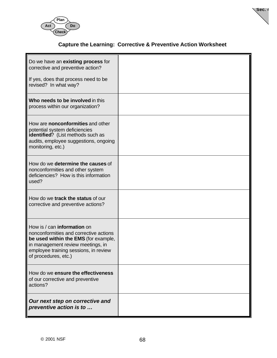



### **Capture the Learning: Corrective & Preventive Action Worksheet**

| Do we have an existing process for<br>corrective and preventive action?                                                                                                                                             |  |
|---------------------------------------------------------------------------------------------------------------------------------------------------------------------------------------------------------------------|--|
| If yes, does that process need to be<br>revised? In what way?                                                                                                                                                       |  |
| Who needs to be involved in this<br>process within our organization?                                                                                                                                                |  |
| How are nonconformities and other<br>potential system deficiencies<br>identified? (List methods such as<br>audits, employee suggestions, ongoing<br>monitoring, etc.)                                               |  |
| How do we determine the causes of<br>nonconformities and other system<br>deficiencies? How is this information<br>used?                                                                                             |  |
| How do we track the status of our<br>corrective and preventive actions?                                                                                                                                             |  |
| How is / can information on<br>nonconformities and corrective actions<br>be used within the EMS (for example,<br>in management review meetings, in<br>employee training sessions, in review<br>of procedures, etc.) |  |
| How do we ensure the effectiveness<br>of our corrective and preventive<br>actions?                                                                                                                                  |  |
| Our next step on corrective and<br>preventive action is to                                                                                                                                                          |  |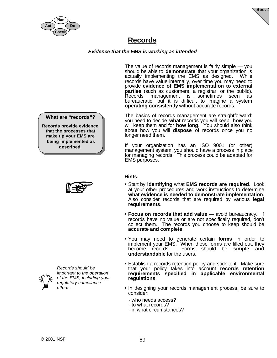



### **Records**

### *Evidence that the EMS is working as intended*

The value of records management is fairly simple — you should be able to **demonstrate** that your organization is actually implementing the EMS as designed. While records have value internally, over time you may need to provide **evidence of EMS implementation to external parties** (such as customers, a registrar, or the public). management is sometimes seen as bureaucratic, but it is difficult to imagine a system **operating consistently** without accurate records.

The basics of records management are straightforward: you need to decide **what** records you will keep, **how** you will keep them and for **how long**. You should also think about how you will **dispose** of records once you no longer need them.

If your organization has an ISO 9001 (or other) management system, you should have a process in place for managing records. This process could be adapted for EMS purposes.

### **Hints:**

- Start by **identifying** what **EMS records are required**. Look at your other procedures and work instructions to determine **what evidence is needed to demonstrate implementation**. Also consider records that are required by various **legal requirements**.
- **Focus on records that add value —** avoid bureaucracy. If records have no value or are not specifically required, don't collect them. The records you choose to keep should be **accurate and complete**.
- You may need to generate certain **forms** in order to implement your EMS. When these forms are filled out, they<br>become records. Forms should be **simple and** Forms should be **simple and understandable** for the users.
- Establish a records retention policy and stick to it. Make sure that your policy takes into account **records retention requirements specified in applicable environmental regulations**.
- In designing your records management process, be sure to consider:
	- who needs access?
	- to what records?
	- in what circumstances?

**What are "records"?**

**Records provide evidence that the processes that make up your EMS are being implemented as described.**





*Records should be important to the operation of the EMS, including your regulatory compliance efforts.*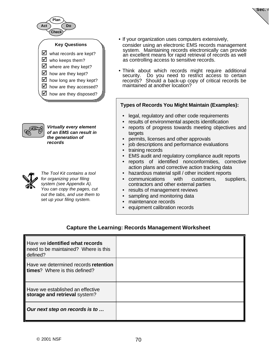



*Virtually every element of an EMS can result in the generation of records*



*The Tool Kit contains a tool for organizing your filing system (see Appendix A). You can copy the pages, cut out the tabs, and use them to set up your filing system.*

• If your organization uses computers extensively, consider using an electronic EMS records management system. Maintaining records electronically can provide an excellent means for rapid retrieval of records as well as controlling access to sensitive records.

**Sec. 4**

Think about which records might require additional security. Do you need to restrict access to certain records? Should a back-up copy of critical records be maintained at another location?

#### **Types of Records You Might Maintain (Examples):**

- legal, regulatory and other code requirements
- results of environmental aspects identification
- reports of progress towards meeting objectives and targets
- permits, licenses and other approvals
- job descriptions and performance evaluations
- training records
- EMS audit and regulatory compliance audit reports
- reports of identified nonconformities, corrective action plans and corrective action tracking data
- hazardous material spill / other incident reports
- communications with customers, suppliers, contractors and other external parties
- results of management reviews
- sampling and monitoring data
- maintenance records
- equipment calibration records

### **Capture the Learning: Records Management Worksheet**

| Have we identified what records<br>need to be maintained? Where is this<br>defined? |  |
|-------------------------------------------------------------------------------------|--|
| Have we determined records retention<br>times? Where is this defined?               |  |
| Have we established an effective<br>storage and retrieval system?                   |  |
| Our next step on records is to                                                      |  |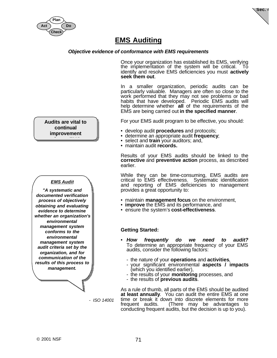



### **EMS Auditing**

#### *Objective evidence of conformance with EMS requirements*

Once your organization has established its EMS, verifying the implementation of the system will be critical. To identify and resolve EMS deficiencies you must **actively seek them out**.

In a smaller organization, periodic audits can be particularly valuable. Managers are often so close to the work performed that they may not see problems or bad habits that have developed. Periodic EMS audits will help determine whether **all** of the requirements of the EMS are being carried out **in the specified manner**.

For your EMS audit program to be effective, you should:

- develop audit **procedures** and protocols;
- determine an appropriate audit **frequency**;
- select and **train** your auditors; and,
- maintain audit **records.**

Results of your EMS audits should be linked to the **corrective** and **preventive action** process, as described earlier.

While they can be time-consuming, EMS audits are critical to EMS effectiveness. Systematic identification and reporting of EMS deficiencies to management provides a great opportunity to:

- maintain **management focus** on the environment,
- **improve** the EMS and its performance, and
- ensure the system's **cost-effectiveness**.

#### **Getting Started:**

- *How frequently do we need to audit?* To determine an appropriate frequency of your EMS audits, consider the following factors:
	- the nature of your **operations** and **activities**,
	- your significant environmental **aspects / impacts** (which you identified earlier),
	- the results of your **monitoring** processes, and
	- the results of **previous audits**.

As a rule of thumb, all parts of the EMS should be audited **at least annually**. You can audit the entire EMS at one time or break it down into discrete elements for more frequent audits. (There may be advantages to conducting frequent audits, but the decision is up to you).

#### **Audits are vital to continual improvement**

**of your EMS**

#### *EMS Audit*

*"A systematic and documented verification process of objectively obtaining and evaluating evidence to determine whether an organization's environmental management system conforms to the environmental management system audit criteria set by the organization, and for communication of the results of this process to management.*

 *- ISO 14001*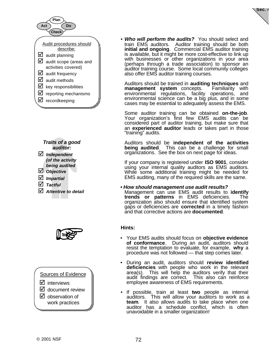



- ˛ *Independent (of the activity being audited*
- ˛ *Objective*
- ˛ *Impartial*
- ˛ *Tactful*
- ˛ *Attentive to detail*



Sources of Evidence

- $\nabla$  interviews
- $\boxtimes$  document review
- $\boxtimes$  observation of work practices

• *Who will perform the audits?* You should select and train EMS auditors. Auditor training should be both **initial and ongoing**. Commercial EMS auditor training is available, but it might be more cost-effective to link up with businesses or other organizations in your area (perhaps through a trade association) to sponsor an auditor training course. Some local community colleges also offer EMS auditor training courses.

**Sec. 4**

Auditors should be trained in **auditing techniques** and **management system** concepts. Familiarity with environmental regulations, facility operations, and environmental science can be a big plus, and in some cases may be essential to adequately assess the EMS.

Some auditor training can be obtained **on-the-job**. Your organization's first few EMS audits can be considered part of auditor training, but make sure that an **experienced auditor** leads or takes part in those "training" audits.

Auditors should be **independent of the activities being audited**. This can be a challenge for small organizations. See the box on next page for ideas.

If your company is registered under **ISO 9001**, consider using your internal quality auditors as EMS auditors. While some additional training might be needed for EMS auditing, many of the required skills are the same.

*• How should management use audit results?*

Management can use EMS audit results to **identify trends or patterns** in EMS deficiencies. The organization also should ensure that identified system gaps or deficiencies are **corrected** in a timely fashion and that corrective actions are **documented**.

#### **Hints:**

- Your EMS audits should focus on **objective evidence of conformance**. During an audit, auditors should resist the temptation to evaluate, for example, **why** a procedure was not followed — that step comes later.
- During an audit, auditors should **review identified deficiencies** with people who work in the relevant area(s). This will help the auditors verify that their audit findings are correct. This also can reinforce employee awareness of EMS requirements.
- If possible, train at least **two** people as internal auditors. This will allow your auditors to work as a **team**. It also allows audits to take place when one auditor has a schedule conflict, which is often unavoidable in a smaller organization!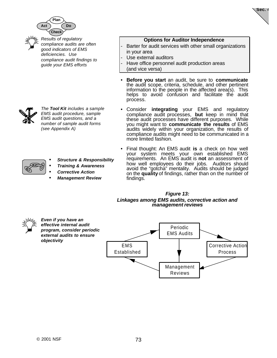

*Results of regulatory compliance audits are often good indicators of EMS deficiencies. Use*

*compliance audit findings to guide your EMS efforts*



**Sec. 4**

- Barter for audit services with other small organizations in your area
- Use external auditors
- Have office personnel audit production areas (and vice versa)
- **Before you start** an audit, be sure to **communicate** the audit scope, criteria, schedule, and other pertinent information to the people in the affected area(s). This helps to avoid confusion and facilitate the audit process.
- Consider **integrating** your EMS and regulatory compliance audit processes, **but** keep in mind that these audit processes have different purposes. While you might want to **communicate the results** of EMS audits widely within your organization, the results of compliance audits might need to be communicated in a more limited fashion.
- Final thought: An EMS audit **is** a check on how well your system meets your own established EMS requirements. An EMS audit is **not** an assessment of how well employees do their jobs. Auditors should avoid the "gotcha" mentality. Audits should be judged on the **quality** of findings, rather than on the number of findings.

#### *Figure 13: Linkages among EMS audits, corrective action and management reviews*



*Even if you have an effective internal audit program, consider periodic external audits to ensure objectivity*



- *Structure & Responsibility*
	- *Training & Awareness*
- *Corrective Action*

*The Tool Kit includes a sample EMS audit procedure, sample*

• *Management Review*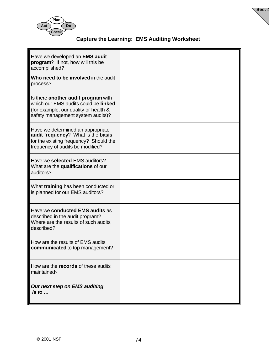

### **Capture the Learning: EMS Auditing Worksheet**

**Sec. 4**

| Have we developed an EMS audit<br>program? If not, how will this be<br>accomplished?<br>Who need to be involved in the audit                              |  |
|-----------------------------------------------------------------------------------------------------------------------------------------------------------|--|
| process?                                                                                                                                                  |  |
| Is there another audit program with<br>which our EMS audits could be linked<br>(for example, our quality or health &<br>safety management system audits)? |  |
| Have we determined an appropriate<br>audit frequency? What is the basis<br>for the existing frequency? Should the<br>frequency of audits be modified?     |  |
| Have we selected EMS auditors?<br>What are the qualifications of our<br>auditors?                                                                         |  |
| What training has been conducted or<br>is planned for our EMS auditors?                                                                                   |  |
| Have we conducted EMS audits as<br>described in the audit program?<br>Where are the results of such audits<br>described?                                  |  |
| How are the results of EMS audits<br>communicated to top management?                                                                                      |  |
| How are the records of these audits<br>maintained?                                                                                                        |  |
| Our next step on EMS auditing<br>$is$ to $\ldots$                                                                                                         |  |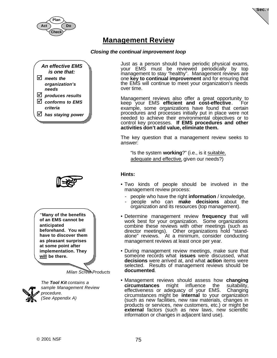



### **Management Review**

#### *Closing the continual improvement loop*





**"Many of the benefits of an EMS cannot be anticipated beforehand. You will have to discover them as pleasant surprises at some point after implementation. They will be there.**

*Milan Screw Products*



*The Tool Kit contains a sample Management Review procedure. (See Appendix A)*

Just as a person should have periodic physical exams, your EMS must be reviewed periodically by top management to stay "healthy". Management reviews are one **key to continual improvement** and for ensuring that the EMS will continue to meet your organization's needs over time.

Management reviews also offer a great opportunity to<br>keep your EMS **efficient and cost-effective**. For keep your EMS efficient and cost-effective. example, some organizations have found that certain procedures and processes initially put in place were not needed to achieve their environmental objectives or to control key processes. **If EMS procedures and other activities don't add value, eliminate them.**

The key question that a management review seeks to answer:

"Is the system **working**?" (i.e., is it suitable, adequate and effective, given our needs?)

#### **Hints:**

- Two kinds of people should be involved in the management review process:
	- people who have the right **information** / knowledge,
	- people who can **make decisions** about the organization and its resources (top management).
- Determine management review **frequency** that will work best for your organization. Some organizations combine these reviews with other meetings (such as director meetings). Other organizations hold "standalone" reviews. At a minimum, consider conducting management reviews at least once per year.
- During management review meetings, make sure that someone records what **issues** were discussed, what **decisions** were arrived at, and what **action** items were selected. Results of management reviews should be **documented**.
- Management reviews should assess how **changing circumstances** might influence the suitability, effectiveness or adequacy of your EMS. circumstances might be **internal** to your organization (such as new facilities, new raw materials, changes in products or services, new customers, etc.) or might be **external** factors (such as new laws, new scientific information or changes in adjacent land use).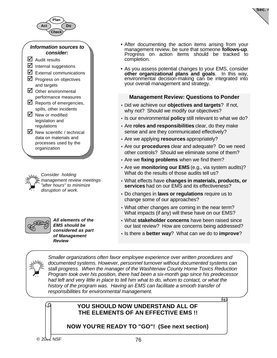

#### *Information sources to consider:*

- $\boxtimes$  Audit results
- $\triangleright$  Internal suggestions
- $\triangleright$  External communications
- $\nabla$  Progress on objectives and targets
- $\boxtimes$  Other environmental performance measures
- $\boxtimes$  Reports of emergencies, spills, other incidents
- $\nabla$  New or modified legislation and regulations
- $\boxtimes$  New scientific / technical data on materials and processes used by the organization

*Consider holding management review meetings "after hours" to minimize disruption of work.*



*All elements of the EMS should be considered as part of Management Review*

• After documenting the action items arising from your management review, be sure that someone **follows-up**. Progress on action items should be tracked to completion.

**Sec. 4**

• As you assess potential changes to your EMS, consider **other organizational plans and goals**. In this way, environmental decision-making can be integrated into your overall management and strategy.

### **Management Review: Questions to Ponder**

- Did we achieve our **objectives and targets**? If not, why not? Should we modify our objectives?
- Is our environmental **policy** still relevant to what we do?
- Are **roles and responsibilities** clear, do they make sense and are they communicated effectively?
- Are we applying **resources** appropriately?
- Are our **procedures** clear and adequate? Do we need other controls? Should we eliminate some of them?
- Are we **fixing problems** when we find them?
- Are we **monitoring our EMS** (e.g., via system audits)? What do the results of those audits tell us?
- What effects have **changes in materials, products, or services** had on our EMS and its effectiveness?
- Do changes in **laws or regulations** require us to change some of our approaches?
- What other changes are coming in the near term? What impacts (if any) will these have on our EMS?
- What **stakeholder concerns** have been raised since our last review? How are concerns being addressed?
- Is there a **better way**? What can we do to **improve**?



*Smaller organizations often favor employee experience over written procedures and documented systems. However, personnel turnover without documented systems can stall progress. When the manager of the Washtenaw County Home Toxics Reduction Program took over his position, there had been a six-month gap since his predecessor had left and very little in place to tell him what to do, whom to contact, or what the history of the program was. Having an EMS can facilitate a smooth transfer of responsibilities for environmental management.*

*The Washtenaw County Home Toxics Reduction Program (HTRP) successfully*

### **YOU SHOULD NOW UNDERSTAND ALL OF THE ELEMENTS OF AN EFFECTIVE EMS !!**

**NOW YOU'RE READY TO "GO"! (See next section)**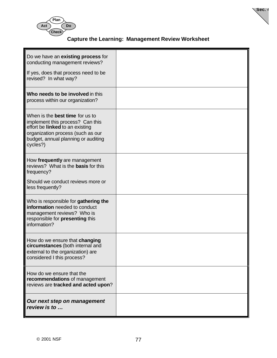



**Sec. 4**

| Do we have an existing process for<br>conducting management reviews?<br>If yes, does that process need to be<br>revised? In what way?                                                                 |  |
|-------------------------------------------------------------------------------------------------------------------------------------------------------------------------------------------------------|--|
| Who needs to be involved in this<br>process within our organization?                                                                                                                                  |  |
| When is the <b>best time</b> for us to<br>implement this process? Can this<br>effort be linked to an existing<br>organization process (such as our<br>budget, annual planning or auditing<br>cycles?) |  |
| How frequently are management<br>reviews? What is the <b>basis</b> for this<br>frequency?                                                                                                             |  |
| Should we conduct reviews more or<br>less frequently?                                                                                                                                                 |  |
| Who is responsible for gathering the<br>information needed to conduct<br>management reviews? Who is<br>responsible for presenting this<br>information?                                                |  |
| How do we ensure that changing<br>circumstances (both internal and<br>external to the organization) are<br>considered I this process?                                                                 |  |
| How do we ensure that the<br>recommendations of management<br>reviews are tracked and acted upon?                                                                                                     |  |
| Our next step on management<br>review is to                                                                                                                                                           |  |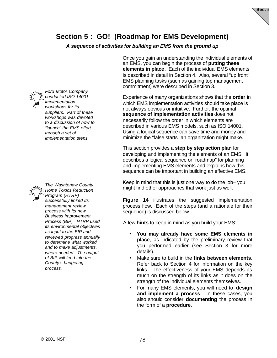

### **Section 5 : GO! (Roadmap for EMS Development)**

*A sequence of activities for building an EMS from the ground up*



*Ford Motor Company conducted ISO 14001 implementation workshops for its suppliers. Part of these workshops was devoted to a discussion of how to "launch" the EMS effort through a set of implementation steps.*



*The Washtenaw County Home Toxics Reduction Program (HTRP) successfully linked its management review process with its new Business Improvement Process (BIP). HTRP used its environmental objectives as input to the BIP and reviewed progress annually to determine what worked and to make adjustments, where needed. The output of BIP will feed into the County's budgeting process.*

Once you gain an understanding the individual elements of an EMS, you can begin the process of **putting these elements in place**. Each of the individual EMS elements is described in detail in Section 4. Also, several "up front" EMS planning tasks (such as gaining top management commitment) were described in Section 3.

Experience of many organizations shows that the **order** in which EMS implementation activities should take place is not always obvious or intuitive. Further, the optimal **sequence of implementation activities** does not necessarily follow the order in which elements are described in various EMS models, such as ISO 14001. Using a logical sequence can save time and money and minimize the "false starts" an organization might make.

This section provides a **step by step action plan** for developing and implementing the elements of an EMS. It describes a logical sequence or "roadmap" for planning and implementing EMS elements and explains how this sequence can be important in building an effective EMS.

Keep in mind that this is just one way to do the job– you might find other approaches that work just as well.

**Figure 14** illustrates the suggested implementation process flow. Each of the steps (and a rationale for their sequence) is discussed below.

A few **hints** to keep in mind as you build your EMS:

- **You may already have some EMS elements in place**, as indicated by the preliminary review that you performed earlier (see Section 3 for more details).
- Make sure to build in the **links between elements**. Refer back to Section 4 for information on the key links. The effectiveness of your EMS depends as much on the strength of its links as it does on the strength of the individual elements themselves.
- For many EMS elements, you will need to **design and implement a process**. In these cases, you also should consider **documenting** the process in the form of a **procedure**.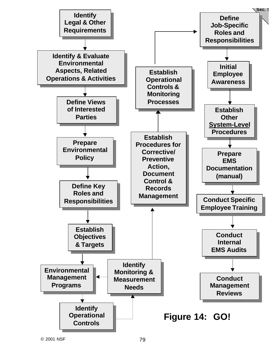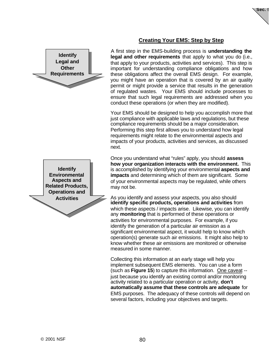

### **Creating Your EMS: Step by Step**

A first step in the EMS-building process is **understanding the legal and other requirements** that apply to what you do (i.e., that apply to your products, activities and services). This step is important for understanding compliance obligations and how these obligations affect the overall EMS design. For example, you might have an operation that is covered by an air quality permit or might provide a service that results in the generation of regulated wastes. Your EMS should include processes to ensure that such legal requirements are addressed when you conduct these operations (or when they are modified).

Your EMS should be designed to help you accomplish more that just compliance with applicable laws and regulations, but these compliance requirements should be a major consideration. Performing this step first allows you to understand how legal requirements might relate to the environmental aspects and impacts of your products, activities and services, as discussed next.

Once you understand what "rules" apply, you should **assess how your organization interacts with the environment.** This is accomplished by identifying your environmental **aspects and impacts** and determining which of them are significant. Some of your environmental aspects may be regulated, while others may not be.

As you identify and assess your aspects, you also should **identify specific products, operations and activities** from which these aspects / impacts arise. Likewise, you can identify any **monitoring** that is performed of these operations or activities for environmental purposes. For example, if you identify the generation of a particular air emission as a significant environmental aspect, it would help to know which operation(s) generate such air emissions. It might also help to know whether these air emissions are monitored or otherwise measured in some manner.

Collecting this information at an early stage will help you implement subsequent EMS elements. You can use a form (such as **Figure 15**) to capture this information. One caveat - just because you identify an existing control and/or monitoring activity related to a particular operation or activity, **don't automatically assume that these controls are adequate** for EMS purposes. The adequacy of these controls will depend on several factors, including your objectives and targets.

**Identify Environmental Aspects and Related Products, Operations and Activities**

**Identify Legal and Other Requirements**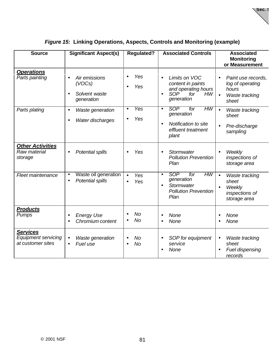**Sec. 5**

| <b>Source</b>                                                      | <b>Significant Aspect(s)</b>                                        | <b>Regulated?</b>       | <b>Associated Controls</b>                                                                                                   | <b>Associated</b><br><b>Monitoring</b><br>or Measurement                                             |
|--------------------------------------------------------------------|---------------------------------------------------------------------|-------------------------|------------------------------------------------------------------------------------------------------------------------------|------------------------------------------------------------------------------------------------------|
| <b>Operations</b><br>Parts painting                                | Air emissions<br>(VOCs)<br>Solvent waste<br>$\bullet$<br>generation | Yes<br>Yes              | Limits on VOC<br>$\bullet$<br>content in paints<br>and operating hours<br><b>SOP</b><br>for<br>HW<br>$\bullet$<br>generation | Paint use records,<br>$\bullet$<br>log of operating<br>hours<br>Waste tracking<br>$\bullet$<br>sheet |
| Parts plating                                                      | Waste generation<br>$\bullet$<br>Water discharges<br>$\bullet$      | Yes<br>$\bullet$<br>Yes | HW<br>SOP<br>for<br>$\bullet$<br>generation<br>Notification to site<br>$\bullet$<br>effluent treatment<br>plant              | $\bullet$<br>Waste tracking<br>sheet<br>Pre-discharge<br>sampling                                    |
| <b>Other Activities</b><br>Raw material<br>storage                 | Potential spills<br>$\bullet$                                       | Yes                     | Stormwater<br>$\bullet$<br><b>Pollution Prevention</b><br>Plan                                                               | Weekly<br>$\bullet$<br>inspections of<br>storage area                                                |
| Fleet maintenance                                                  | Waste oil generation<br>$\bullet$<br>Potential spills<br>$\bullet$  | Yes<br>$\bullet$<br>Yes | HW<br><b>SOP</b><br>for<br>$\bullet$<br>generation<br>Stormwater<br>$\bullet$<br><b>Pollution Prevention</b><br>Plan         | $\bullet$<br>Waste tracking<br>sheet<br>Weekly<br>inspections of<br>storage area                     |
| <b>Products</b><br>Pumps                                           | <b>Energy Use</b><br>Chromium content<br>$\bullet$                  | No<br><b>No</b>         | None<br>$\bullet$<br>None<br>$\bullet$                                                                                       | None<br><b>None</b>                                                                                  |
| <b>Services</b><br><b>Equipment servicing</b><br>at customer sites | Waste generation<br>$\bullet$<br>Fuel use<br>$\bullet$              | No<br>No                | SOP for equipment<br>$\bullet$<br>service<br>None                                                                            | <b>Waste tracking</b><br>$\bullet$<br>sheet<br>Fuel dispensing<br>records                            |

### *Figure 15:* **Linking Operations, Aspects, Controls and Monitoring (example)**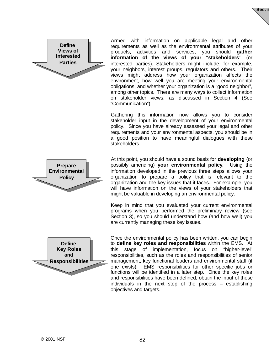



Armed with information on applicable legal and other requirements as well as the environmental attributes of your products, activities and services, you should **gather information of the views of your "stakeholders"** (or interested parties). Stakeholders might include, for example, your neighbors, interest groups, regulators and others. Their views might address how your organization affects the environment, how well you are meeting your environmental obligations, and whether your organization is a "good neighbor", among other topics. There are many ways to collect information on stakeholder views, as discussed in Section 4 (See "Communication").

Gathering this information now allows you to consider stakeholder input in the development of your environmental policy. Since you have already assessed your legal and other requirements and your environmental aspects, you should be in a good position to have meaningful dialogues with these stakeholders.



Keep in mind that you evaluated your current environmental programs when you performed the preliminary review (see Section 3), so you should understand how (and how well) you are currently managing these key issues.



**Prepare Environmental Policy**

> Once the environmental policy has been written, you can begin to **define key roles and responsibilities** within the EMS. At this stage of implementation, focus on "higher-level" responsibilities, such as the roles and responsibilities of senior management, key functional leaders and environmental staff (if one exists). EMS responsibilities for other specific jobs or functions will be identified in a later step. Once the key roles and responsibilities have been defined, obtain the input of these individuals in the next step of the process – establishing objectives and targets.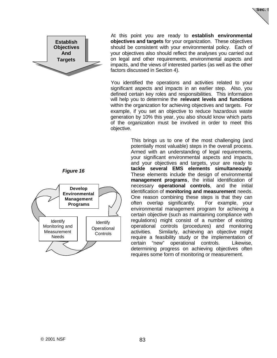

*Figure 16*



At this point you are ready to **establish environmental objectives and targets** for your organization. These objectives should be consistent with your environmental policy. Each of your objectives also should reflect the analyses you carried out on legal and other requirements, environmental aspects and impacts, and the views of interested parties (as well as the other factors discussed in Section 4).

**Sec. 5**

You identified the operations and activities related to your significant aspects and impacts in an earlier step. Also, you defined certain key roles and responsibilities. This information will help you to determine the **relevant levels and functions** within the organization for achieving objectives and targets. For example, if you set an objective to reduce hazardous waste generation by 10% this year, you also should know which parts of the organization must be involved in order to meet this objective.

> This brings us to one of the most challenging (and potentially most valuable) steps in the overall process. Armed with an understanding of legal requirements, your significant environmental aspects and impacts, and your objectives and targets, your are ready to **tackle several EMS elements simultaneously**. These elements include the design of environmental **management programs**, the initial identification of necessary **operational controls**, and the initial identification of **monitoring and measurement** needs. One reason combining these steps is that they can often overlap significantly. For example, your environmental management program for achieving a certain objective (such as maintaining compliance with regulations) might consist of a number of existing operational controls (procedures) and monitoring activities. Similarly, achieving an objective might require a feasibility study or the implementation of certain "new" operational controls. Likewise, determining progress on achieving objectives often requires some form of monitoring or measurement.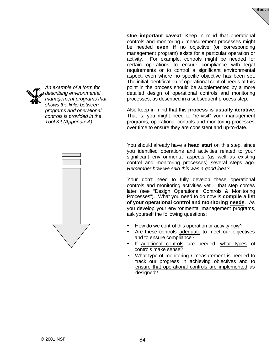



*An example of a form for describing environmental management programs that shows the links between programs and operational controls is provided in the Tool Kit (Appendix A)*



**One important caveat**: Keep in mind that operational controls and monitoring / measurement processes might be needed **even if** no objective (or corresponding management program) exists for a particular operation or activity. For example, controls might be needed for certain operations to ensure compliance with legal requirements or to control a significant environmental aspect, even where no specific objective has been set. The initial identification of operational control needs at this point in the process should be supplemented by a more detailed design of operational controls and monitoring processes, as described in a subsequent process step.

Also keep in mind that this **process is usually iterative.** That is, you might need to "re-visit" your management programs, operational controls and monitoring processes over time to ensure they are consistent and up-to-date.

You should already have a **head start** on this step, since you identified operations and activities related to your significant environmental aspects (as well as existing control and monitoring processes) several steps ago. *Remember how we said this was a good idea?*

Your don't need to fully develop these operational controls and monitoring activities yet – that step comes later (see "Design Operational Controls & Monitoring Processes"). What you need to do now is **compile a list of your operational control and monitoring needs**. As you develop your environmental management programs, ask yourself the following questions:

- How do we control this operation or activity now?
- Are these controls adequate to meet our objectives and to ensure compliance?
- If additional controls are needed, what types of controls make sense?
- What type of monitoring / measurement is needed to track our progress in achieving objectives and to ensure that operational controls are implemented as designed?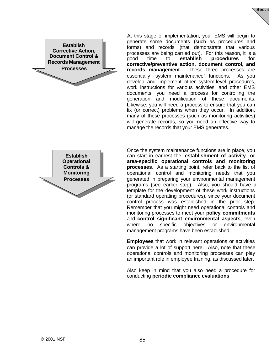

At this stage of implementation, your EMS will begin to generate some documents (such as procedures and forms) and records (that demonstrate that various processes are being carried out). For this reason, it is a good time to **establish procedures for corrective/preventive action, document control, and records management**. These three processes are essentially "system maintenance" functions. As you develop and implement other system-level procedures, work instructions for various activities, and other EMS documents, you need a process for controlling the generation and modification of these documents. Likewise, you will need a process to ensure that you can fix (or correct) problems when they occur. In addition, many of these processes (such as monitoring activities) will generate records, so you need an effective way to manage the records that your EMS generates.

Sec.

**Establish Operational Controls & Monitoring Processes**

Once the system maintenance functions are in place, you can start in earnest the **establishment of activity- or area-specific operational controls and monitoring processes**. As a starting point, refer back to the list of operational control and monitoring needs that you generated in preparing your environmental management programs (see earlier step). Also, you should have a template for the development of these work instructions (or standard operating procedures), since your document control process was established in the prior step. Remember that you might need operational controls and monitoring processes to meet your **policy commitments** and **control significant environmental aspects**, even where no specific objectives or environmental management programs have been established.

**Employees** that work in relevant operations or activities can provide a lot of support here. Also, note that these operational controls and monitoring processes can play an important role in employee training, as discussed later.

Also keep in mind that you also need a procedure for conducting **periodic compliance evaluations**.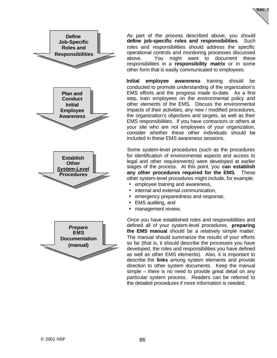



As part of the process described above, you should **define job-specific roles and responsibilities**. Such roles and responsibilities should address the specific operational controls and monitoring processes discussed above. You might want to document these responsibilities in a **responsibility matrix** or in some other form that is easily communicated to employees.

**Initial employee awareness** training should be conducted to promote understanding of the organization's EMS efforts and the progress made to-date. As a first step, train employees on the environmental policy and other elements of the EMS. Discuss the environmental impacts of their activities, any new / modified procedures, the organization's objectives and targets, as well as their EMS responsibilities. If you have contractors or others at your site who are not employees of your organization, consider whether these other individuals should be included in these EMS awareness sessions.

Some system-level procedures (such as the procedures for identification of environmental aspects and access to legal and other requirements) were developed at earlier stages of the process. At this point, you **can establish any other procedures required for the EMS**. These other system-level procedures might include, for example:

- employee training and awareness,
- internal and external communication,
- emergency preparedness and response,
- EMS auditing, and
- management review.

Once you have established roles and responsibilities and defined all of your system-level procedures, **preparing the EMS manual** should be a relatively simple matter. The manual should summarize the results of your efforts so far (that is, it should describe the processes you have developed, the roles and responsibilities you have defined as well as other EMS elements). Also, it is important to describe the **links** among system elements and provide direction to other system documents. Keep the manual simple – there is no need to provide great detail on any particular system process. Readers can be referred to the detailed procedures if more information is needed.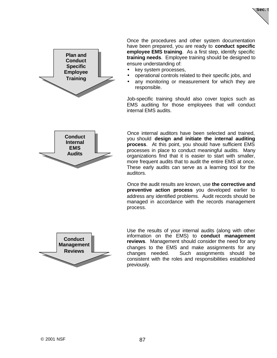



Once the procedures and other system documentation have been prepared, you are ready to **conduct specific employee EMS training**. As a first step, identify specific **training needs**. Employee training should be designed to ensure understanding of:

- key system processes,
- operational controls related to their specific jobs, and
- any monitoring or measurement for which they are responsible.

Job-specific training should also cover topics such as EMS auditing for those employees that will conduct internal EMS audits.

Once internal auditors have been selected and trained, you should **design and initiate the internal auditing process**. At this point, you should have sufficient EMS processes in place to conduct meaningful audits. Many organizations find that it is easier to start with smaller, more frequent audits that to audit the entire EMS at once. These early audits can serve as a learning tool for the auditors.

Once the audit results are known, use **the corrective and preventive action process** you developed earlier to address any identified problems. Audit records should be managed in accordance with the records management process.



Use the results of your internal audits (along with other information on the EMS) to **conduct management reviews**. Management should consider the need for any changes to the EMS and make assignments for any changes needed. Such assignments should be consistent with the roles and responsibilities established previously.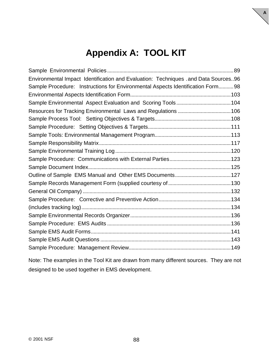## **Appendix A: TOOL KIT**

**A**

| Environmental Impact Identification and Evaluation: Techniques . and Data Sources96 |  |
|-------------------------------------------------------------------------------------|--|
| Sample Procedure: Instructions for Environmental Aspects Identification Form 98     |  |
|                                                                                     |  |
|                                                                                     |  |
|                                                                                     |  |
|                                                                                     |  |
|                                                                                     |  |
|                                                                                     |  |
|                                                                                     |  |
|                                                                                     |  |
|                                                                                     |  |
|                                                                                     |  |
|                                                                                     |  |
|                                                                                     |  |
|                                                                                     |  |
|                                                                                     |  |
|                                                                                     |  |
|                                                                                     |  |
|                                                                                     |  |
|                                                                                     |  |
|                                                                                     |  |
|                                                                                     |  |
|                                                                                     |  |

Note: The examples in the Tool Kit are drawn from many different sources. They are not designed to be used together in EMS development.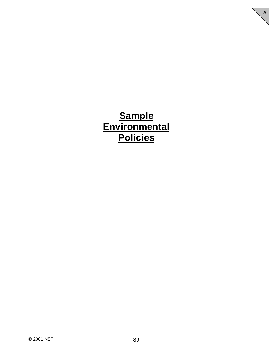## **Sample Environmental Policies**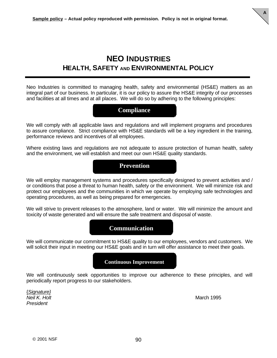

Neo Industries is committed to managing health, safety and environmental (HS&E) matters as an integral part of our business. In particular, it is our policy to assure the HS&E integrity of our processes and facilities at all times and at all places. We will do so by adhering to the following principles:

### **Compliance**

We will comply with all applicable laws and regulations and will implement programs and procedures to assure compliance. Strict compliance with HS&E standards will be a key ingredient in the training, performance reviews and incentives of all employees.

Where existing laws and regulations are not adequate to assure protection of human health, safety and the environment, we will establish and meet our own HS&E quality standards.



We will employ management systems and procedures specifically designed to prevent activities and / or conditions that pose a threat to human health, safety or the environment. We will minimize risk and protect our employees and the communities in which we operate by employing safe technologies and operating procedures, as well as being prepared for emergencies.

We will strive to prevent releases to the atmosphere, land or water. We will minimize the amount and toxicity of waste generated and will ensure the safe treatment and disposal of waste.

### **Communication**

We will communicate our commitment to HS&E quality to our employees, vendors and customers. We will solicit their input in meeting our HS&E goals and in turn will offer assistance to meet their goals.

### **Continuous Improvement**

We will continuously seek opportunities to improve our adherence to these principles, and will periodically report progress to our stakeholders.

{*Signature} Neil K. Holt* March 1995 *President*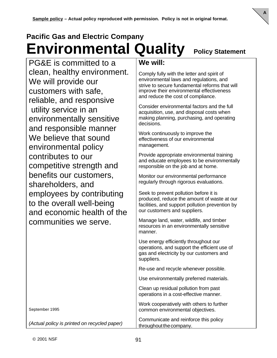# **Pacific Gas and Electric Company Environmental Quality Policy Statement**

**A**

PG&E is committed to a clean, healthy environment. We will provide our customers with safe, reliable, and responsive utility service in an environmentally sensitive and responsible manner We believe that sound environmental policy contributes to our competitive strength and benefits our customers, shareholders, and employees by contributing to the overall well-being and economic health of the communities we serve.

September 1995

*(Actual policy is printed on recycled paper)*

### **We will:**

Comply fully with the letter and spirit of environmental laws and regulations, and strive to secure fundamental reforms that will improve their environmental effectiveness and reduce the cost of compliance.

Consider environmental factors and the full acquisition, use, and disposal costs when making planning, purchasing, and operating decisions.

Work continuously to improve the effectiveness of our environmental management.

Provide appropriate environmental training and educate employees to be environmentally responsible on the job and at home.

Monitor our environmental performance regularly through rigorous evaluations.

Seek to prevent pollution before it is produced, reduce the amount of waste at our facilities, and support pollution prevention by our customers and suppliers.

Manage land, water, wildlife, and timber resources in an environmentally sensitive manner.

Use energy efficiently throughout our operations, and support the efficient use of gas and electricity by our customers and suppliers.

Re-use and recycle whenever possible.

Use environmentally preferred materials.

Clean up residual pollution from past operations in a cost-effective manner.

Work cooperatively with others to further common environmental objectives.

Communicate and reinforce this policy throughout the company.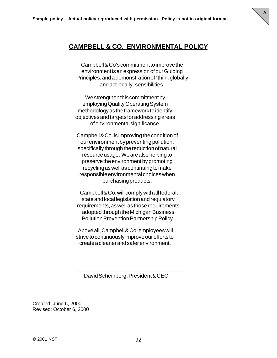

**A**

Campbell & Co's commitment to improve the environment is an expression of our Guiding Principles, and a demonstration of "think globally and act locally" sensibilities.

We strengthen this commitment by employing Quality Operating System methodology as the framework to identify objectives and targets for addressing areas of environmental significance.

Campbell & Co. is improving the condition of our environment by preventing pollution, specifically through the reduction of natural resource usage. We are also helping to preserve the environment by promoting recycling as well as continuing to make responsible environmental choices when purchasing products.

 Campbell & Co. will comply with all federal, state and local legislation and regulatory requirements, as well as those requirements adopted through the Michigan Business Pollution Prevention Partnership Policy.

 Above all, Campbell & Co. employees will strive to continuously improve our efforts to create a cleaner and safer environment.

David Scheinberg, President & CEO

 $\frac{1}{2}$  ,  $\frac{1}{2}$  ,  $\frac{1}{2}$  ,  $\frac{1}{2}$  ,  $\frac{1}{2}$  ,  $\frac{1}{2}$  ,  $\frac{1}{2}$  ,  $\frac{1}{2}$  ,  $\frac{1}{2}$  ,  $\frac{1}{2}$  ,  $\frac{1}{2}$  ,  $\frac{1}{2}$  ,  $\frac{1}{2}$  ,  $\frac{1}{2}$  ,  $\frac{1}{2}$  ,  $\frac{1}{2}$  ,  $\frac{1}{2}$  ,  $\frac{1}{2}$  ,  $\frac{1$ 

Created: June 6, 2000 Revised: October 6, 2000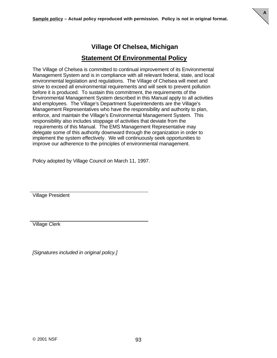

## **Village Of Chelsea, Michigan**

### **Statement Of Environmental Policy**

The Village of Chelsea is committed to continual improvement of its Environmental Management System and is in compliance with all relevant federal, state, and local environmental legislation and regulations. The Village of Chelsea will meet and strive to exceed all environmental requirements and will seek to prevent pollution before it is produced. To sustain this commitment, the requirements of the Environmental Management System described in this Manual apply to all activities and employees. The Village's Department Superintendents are the Village's Management Representatives who have the responsibility and authority to plan, enforce, and maintain the Village's Environmental Management System. This responsibility also includes stoppage of activities that deviate from the requirements of this Manual. The EMS Management Representative may delegate some of this authority downward through the organization in order to implement the system effectively. We will continuously seek opportunities to improve our adherence to the principles of environmental management.

Policy adopted by Village Council on March 11, 1997.

Village President

Village Clerk

*[Signatures included in original policy.]*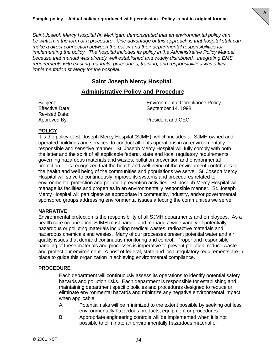*Saint Joseph Mercy Hospital (in Michigan) demonstrated that an environmental policy can be written in the form of a procedure. One advantage of this approach is that hospital staff can make a direct connection between the policy and their departmental responsibilities for implementing the policy. The hospital includes its policy in the Administrative Policy Manual because that manual was already well established and widely distributed. Integrating EMS requirements with existing manuals, procedures, training, and responsibilities was a key implementation strategy for the hospital.*

### **Saint Joseph Mercy Hospital**

### **Administrative Policy and Procedure**

Revised Date:

Subject: Environmental Compliance Policy Effective Date: September 14, 1998

**A**

Approved By: President and CEO

#### **POLICY**

It is the policy of St. Joseph Mercy Hospital (SJMH), which includes all SJMH owned and operated buildings and services, to conduct all of its operations in an environmentally responsible and sensitive manner. St. Joseph Mercy Hospital will fully comply with both the letter and the spirit of all applicable federal, state and local regulatory requirements governing hazardous materials and wastes, pollution prevention and environmental protection. It is recognized that the health and well being of the environment contributes to the health and well being of the communities and populations we serve. St. Joseph Mercy Hospital will strive to continuously improve its systems and procedures related to environmental protection and pollution prevention activities. St. Joseph Mercy Hospital will manage its facilities and properties in an environmentally responsible manner. St. Joseph Mercy Hospital will participate as appropriate in community, industry, and/or governmental sponsored groups addressing environmental issues affecting the communities we serve.

### **NARRATIVE**

Environmental protection is the responsibility of all SJMH departments and employees. As a health care organization, SJMH must handle and manage a wide variety of potentially hazardous or polluting materials including medical wastes, radioactive materials and hazardous chemicals and wastes. Many of our processes present potential water and air quality issues that demand continuous monitoring and control. Proper and responsible handling of these materials and processes is imperative to prevent pollution, reduce waste and protect our environment. A host of federal, state and local regulatory requirements are in place to guide this organization in achieving environmental compliance.

### **PROCEDURE**

- I. Each department will continuously assess its operations to identify potential safety hazards and pollution risks. Each department is responsible for establishing and maintaining department specific policies and procedures designed to reduce or eliminate environmental hazards and minimize any negative environmental impact when applicable.
	- A. Potential risks will be minimized to the extent possible by seeking out less environmentally hazardous products, equipment or procedures.
	- B. Appropriate engineering controls will be implemented when it is not possible to eliminate an environmentally hazardous material or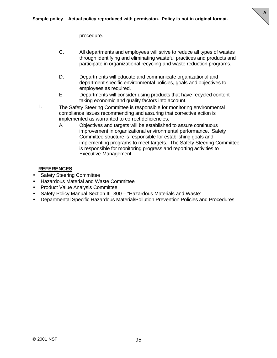

procedure.

- C. All departments and employees will strive to reduce all types of wastes through identifying and eliminating wasteful practices and products and participate in organizational recycling and waste reduction programs.
- D. Departments will educate and communicate organizational and department specific environmental policies, goals and objectives to employees as required.
- E. Departments will consider using products that have recycled content taking economic and quality factors into account.
- II. The Safety Steering Committee is responsible for monitoring environmental compliance issues recommending and assuring that corrective action is implemented as warranted to correct deficiencies.
	- A. Objectives and targets will be established to assure continuous improvement in organizational environmental performance. Safety Committee structure is responsible for establishing goals and implementing programs to meet targets. The Safety Steering Committee is responsible for monitoring progress and reporting activities to Executive Management.

### **REFERENCES**

- Safety Steering Committee
- Hazardous Material and Waste Committee
- Product Value Analysis Committee
- Safety Policy Manual Section III\_300 "Hazardous Materials and Waste"
- Departmental Specific Hazardous Material/Pollution Prevention Policies and Procedures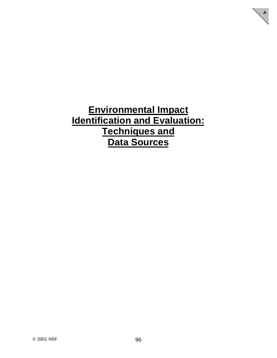**Environmental Impact Identification and Evaluation: Techniques and Data Sources**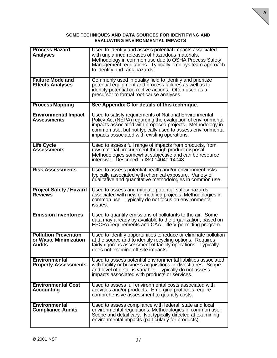#### **SOME TECHNIQUES AND DATA SOURCES FOR IDENTIFYING AND EVALUATING ENVIRONMENTAL IMPACTS**

| <b>Process Hazard</b><br><b>Analyses</b>                              | Used to identify and assess potential impacts associated<br>with unplanned releases of hazardous materials.<br>Methodology in common use due to OSHA Process Safety<br>Management regulations. Typically employs team approach<br>to identify and rank hazards.                                  |
|-----------------------------------------------------------------------|--------------------------------------------------------------------------------------------------------------------------------------------------------------------------------------------------------------------------------------------------------------------------------------------------|
| <b>Failure Mode and</b><br><b>Effects Analyses</b>                    | Commonly used in quality field to identify and prioritize<br>potential equipment and process failures as well as to<br>identify potential corrective actions. Often used as a<br>precursor to formal root cause analyses.                                                                        |
| <b>Process Mapping</b>                                                | See Appendix C for details of this technique.                                                                                                                                                                                                                                                    |
| <b>Environmental Impact</b><br><b>Assessments</b>                     | Used to satisfy requirements of National Environmental<br>Policy Act (NEPA) regarding the evaluation of environmental<br>impacts associated with proposed projects. Methodology in<br>common use, but not typically used to assess environmental<br>impacts associated with existing operations. |
| <b>Life Cycle</b><br><b>Assessments</b>                               | Used to assess full range of impacts from products, from<br>raw material procurement through product disposal.<br>Methodologies somewhat subjective and can be resource<br>intensive. Described in ISO 14040-14048.                                                                              |
| <b>Risk Assessments</b>                                               | Used to assess potential health and/or environment risks<br>typically associated with chemical exposure. Variety of<br>qualitative and quantitative methodologies in common use.                                                                                                                 |
| <b>Project Safety / Hazard</b><br><b>Reviews</b>                      | Used to assess and mitigate potential safety hazards<br>associated with new or modified projects. Methodologies in<br>common use. Typically do not focus on environmental<br>issues.                                                                                                             |
| <b>Emission Inventories</b>                                           | Used to quantify emissions of pollutants to the air. Some<br>data may already by available to the organization, based on<br>EPCRA requirements and CAA Title V permitting program.                                                                                                               |
| <b>Pollution Prevention</b><br>or Waste Minimization<br><b>Audits</b> | Used to identify opportunities to reduce or eliminate pollution<br>at the source and to identify recycling options. Requires<br>fairly rigorous assessment of facility operations. Typically<br>does not examine off-site impacts.                                                               |
| <b>Environmental</b><br><b>Property Assessments</b>                   | Used to assess potential environmental liabilities associated<br>with facility or business acquisitions or divestitures. Scope<br>and level of detail is variable. Typically do not assess<br>impacts associated with products or services.                                                      |
| <b>Environmental Cost</b><br><b>Accounting</b>                        | Used to assess full environmental costs associated with<br>activities and/or products. Emerging protocols require<br>comprehensive assessment to quantify costs.                                                                                                                                 |
| <b>Environmental</b><br><b>Compliance Audits</b>                      | Used to assess compliance with federal, state and local<br>environmental regulations. Methodologies in common use.<br>Scope and detail vary. Not typically directed at examining<br>environmental impacts (particularly for products).                                                           |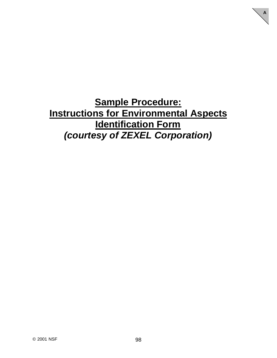**Sample Procedure: Instructions for Environmental Aspects Identification Form** *(courtesy of ZEXEL Corporation)*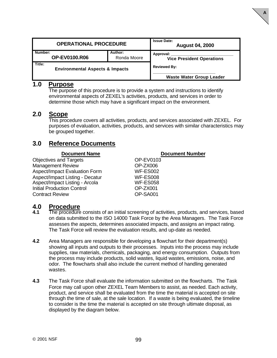| <b>OPERATIONAL PROCEDURE</b>                              |  | <b>Issue Date:</b><br><b>August 04, 2000</b>  |
|-----------------------------------------------------------|--|-----------------------------------------------|
| Number:<br>Author:<br><b>OP-EV0100.R06</b><br>Ronda Moore |  | Approval:<br><b>Vice President Operations</b> |
| Title:<br><b>Environmental Aspects &amp; Impacts</b>      |  | <b>Reviewed By:</b>                           |
|                                                           |  | <b>Waste Water Group Leader</b>               |

**A**

### **1.0 Purpose**

The purpose of this procedure is to provide a system and instructions to identify environmental aspects of ZEXEL's activities, products, and services in order to determine those which may have a significant impact on the environment.

### **2.0 Scope**

This procedure covers all activities, products, and services associated with ZEXEL. For purposes of evaluation, activities, products, and services with similar characteristics may be grouped together.

### **3.0 Reference Documents**

| <b>Document Name</b>                   | <b>Document Number</b> |
|----------------------------------------|------------------------|
| <b>Objectives and Targets</b>          | OP-EV0103              |
| <b>Management Review</b>               | OP-ZX006               |
| <b>Aspect/Impact Evaluation Form</b>   | <b>WF-ES002</b>        |
| <b>Aspect/Impact Listing - Decatur</b> | <b>WF-ES008</b>        |
| Aspect/Impact Listing - Arcola         | <b>WF-ES058</b>        |
| <b>Initial Production Control</b>      | OP-ZX001               |
| <b>Contract Review</b>                 | OP-SA001               |

## **4.0 Procedure**

- **4.1** The procedure consists of an initial screening of activities, products, and services, based on data submitted to the ISO 14000 Task Force by the Area Managers. The Task Force assesses the aspects, determines associated impacts, and assigns an impact rating. The Task Force will review the evaluation results, and up-date as needed.
- **4.2** Area Managers are responsible for developing a flowchart for their department(s) showing all inputs and outputs to their processes. Inputs into the process may include supplies, raw materials, chemicals, packaging, and energy consumption. Outputs from the process may include products, solid wastes, liquid wastes, emissions, noise, and odor. The flowcharts shall also include the current method of handling generated wastes.
- **4.3** The Task Force shall evaluate the information submitted on the flowcharts. The Task Force may call upon other ZEXEL Team Members to assist, as needed. Each activity, product, and service shall be evaluated from the time the material is accepted on site through the time of sale, at the sale location. If a waste is being evaluated, the timeline to consider is the time the material is accepted on site through ultimate disposal, as displayed by the diagram below.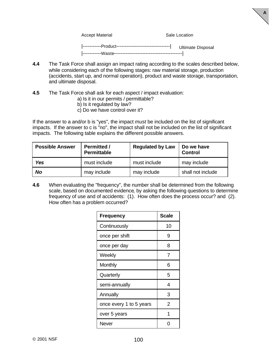Accept Material **Sale Location** Sale Location

**A**

|-----------Product--------------------------------| Ultimate Disposal |-----------Waste-----------------------------------------|

- **4.4** The Task Force shall assign an impact rating according to the scales described below, while considering each of the following stages: raw material storage, production (accidents, start up, and normal operation), product and waste storage, transportation, and ultimate disposal.
- **4.5** The Task Force shall ask for each aspect / impact evaluation:
	- a) Is it in our permits / permittable?
	- b) Is it regulated by law?
	- c) Do we have control over it?

If the answer to a and/or b is "yes", the impact *must* be included on the list of significant impacts. If the answer to c is "no", the impact shall not be included on the list of significant impacts. The following table explains the different possible answers.

| <b>Possible Answer</b> | <b>Permitted /</b><br><b>Permittable</b> | <b>Regulated by Law</b> | Do we have<br><b>Control</b> |
|------------------------|------------------------------------------|-------------------------|------------------------------|
| <b>Yes</b>             | must include                             | must include            | may include                  |
| No                     | may include                              | may include             | shall not include            |

**4.6** When evaluating the "frequency", the number shall be determined from the following scale, based on documented evidence*,* by asking the following questions to determine frequency of use and of accidents: (1). How often does the process occur? and (2). How often has a problem occurred?

| <b>Frequency</b>        | <b>Scale</b> |
|-------------------------|--------------|
| Continuously            | 10           |
| once per shift          | 9            |
| once per day            | 8            |
| Weekly                  | 7            |
| Monthly                 | 6            |
| Quarterly               | 5            |
| semi-annually           | 4            |
| Annually                | 3            |
| once every 1 to 5 years | 2            |
| over 5 years            | 1            |
| Never                   |              |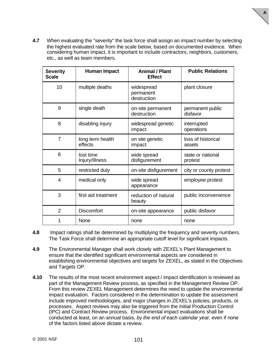- **A**
- **4.7** When evaluating the "severity" the task force shall assign an impact number by selecting the highest evaluated rate from the scale below, based on documented evidence. When considering human impact, it is important to include contractors, neighbors, customers, etc., as well as team members.

| <b>Severity</b><br><b>Scale</b> | <b>Human Impact</b>         | <b>Animal / Plant</b><br><b>Effect</b> | <b>Public Relations</b>      |
|---------------------------------|-----------------------------|----------------------------------------|------------------------------|
| 10                              | multiple deaths             | widespread<br>permanent<br>destruction | plant closure                |
| 9                               | single death                | on-site permanent<br>destruction       | permanent public<br>disfavor |
| 8                               | disabling injury            | widespread genetic<br>impact           | interrupted<br>operations    |
| $\overline{7}$                  | long term health<br>effects | on site genetic<br>impact              | loss of historical<br>assets |
| 6                               | lost time<br>Injury/Illness | wide spread<br>disfigurement           | state or national<br>protest |
| 5                               | restricted duty             | on-site disfigurement                  | city or county protest       |
| 4                               | medical only                | wide spread<br>appearance              | employee protest             |
| 3                               | first aid treatment         | reduction of natural<br>beauty         | public inconvenience         |
| $\overline{2}$                  | <b>Discomfort</b>           | on-site appearance                     | public disfavor              |
|                                 | None                        | none                                   | none                         |

- **4.8** Impact ratings shall be determined by multiplying the frequency and severity numbers. The Task Force shall determine an appropriate cutoff level for significant impacts.
- **4.9** The Environmental Manager shall work closely with ZEXEL's Plant Management to ensure that the identified significant environmental aspects are considered in establishing environmental objectives and targets for ZEXEL, as stated in the Objectives and Targets OP.
- **4.10** The results of the most recent environment aspect / impact identification is reviewed as part of the Management Review process, as specified in the Management Review OP. From this review ZEXEL Management determines the need to update the environmental impact evaluation. Factors considered in the determination to update the assessment include improved methodologies, and major changes in ZEXEL's policies, products, or processes*.* Aspect reviews may also be triggered from the Initial Production Control (IPC) and Contract Review process. Environmental impact evaluations shall be conducted at least, on an annual basis, *by the end of each calendar year,* even if none of the factors listed above dictate a review.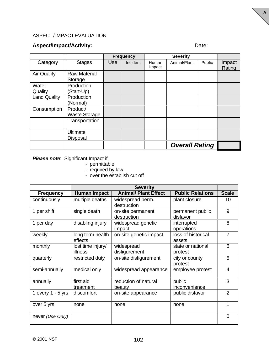### ASPECT / IMPACT EVALUATION

### Aspect/Impact/Activity: **Date:** Date:

**A**

|                     |                      |     | <b>Frequency</b> | <b>Severity</b> |                       |        |                  |
|---------------------|----------------------|-----|------------------|-----------------|-----------------------|--------|------------------|
| Category            | <b>Stages</b>        | Use | Incident         | Human<br>Impact | Animal/Plant          | Public | Impact<br>Rating |
| <b>Air Quality</b>  | <b>Raw Material</b>  |     |                  |                 |                       |        |                  |
|                     | Storage              |     |                  |                 |                       |        |                  |
| Water               | Production           |     |                  |                 |                       |        |                  |
| Quality             | (Start-Up)           |     |                  |                 |                       |        |                  |
| <b>Land Quality</b> | Production           |     |                  |                 |                       |        |                  |
|                     | (Normal)             |     |                  |                 |                       |        |                  |
| Consumption         | Product/             |     |                  |                 |                       |        |                  |
|                     | <b>Waste Storage</b> |     |                  |                 |                       |        |                  |
|                     | Transportation       |     |                  |                 |                       |        |                  |
|                     | <b>Ultimate</b>      |     |                  |                 |                       |        |                  |
|                     | Disposal             |     |                  |                 |                       |        |                  |
|                     |                      |     |                  |                 | <b>Overall Rating</b> |        |                  |

**Please note:** Significant Impact if

- permittable
- required by law
- over the establish cut off

|                     | <b>Severity</b>   |                             |                         |                |  |  |
|---------------------|-------------------|-----------------------------|-------------------------|----------------|--|--|
| <b>Frequency</b>    | Human Impact      | <b>Animal/ Plant Effect</b> | <b>Public Relations</b> | <b>Scale</b>   |  |  |
| continuously        | multiple deaths   | widespread perm.            | plant closure           | 10             |  |  |
|                     |                   | destruction                 |                         |                |  |  |
| 1 per shift         | single death      | on-site permanent           | permanent public        | 9              |  |  |
|                     |                   | destruction                 | disfavor                |                |  |  |
| 1 per day           | disabling injury  | widespread genetic          | interrupted             | 8              |  |  |
|                     |                   | impact                      | operations              |                |  |  |
| weekly              | long term health  | on-site genetic impact      | loss of historical      | $\overline{7}$ |  |  |
|                     | effects           |                             | assets                  |                |  |  |
| monthly             | lost time injury/ | widespread                  | state or national       | 6              |  |  |
|                     | illness           | disfigurement               | protest                 |                |  |  |
| quarterly           | restricted duty   | on-site disfigurement       | city or county          | 5              |  |  |
|                     |                   |                             | protest                 |                |  |  |
| semi-annually       | medical only      | widespread appearance       | employee protest        | 4              |  |  |
|                     |                   |                             |                         |                |  |  |
| annually            | first aid         | reduction of natural        | public                  | 3              |  |  |
|                     | treatment         | beauty                      | inconvenience           |                |  |  |
| 1 every $1 - 5$ yrs | discomfort        | on-site appearance          | public disfavor         | $\overline{2}$ |  |  |
|                     |                   |                             |                         |                |  |  |
| over 5 yrs          | none              | none                        | none                    | 1              |  |  |
|                     |                   |                             |                         |                |  |  |
| never (Use Only)    |                   |                             |                         | $\Omega$       |  |  |
|                     |                   |                             |                         |                |  |  |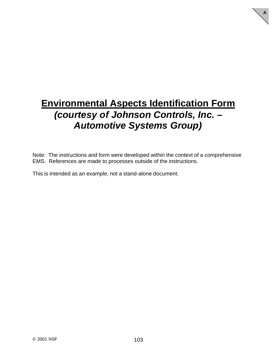## **Environmental Aspects Identification Form** *(courtesy of Johnson Controls, Inc. – Automotive Systems Group)*

**A**

Note: The instructions and form were developed within the context of a comprehensive EMS. References are made to processes outside of the instructions.

This is intended as an example, not a stand-alone document.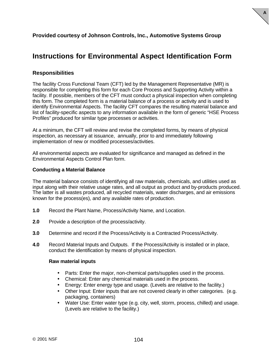

## **Instructions for Environmental Aspect Identification Form**

**A**

### **Responsibilities**

The facility Cross Functional Team (CFT) led by the Management Representative (MR) is responsible for completing this form for each Core Process and Supporting Activity within a facility. If possible, members of the CFT must conduct a physical inspection when completing this form. The completed form is a material balance of a process or activity and is used to identify Environmental Aspects. The facility CFT compares the resulting material balance and list of facility-specific aspects to any information available in the form of generic "HSE Process Profiles" produced for similar type processes or activities.

At a minimum, the CFT will review and revise the completed forms, by means of physical inspection, as necessary at issuance, annually, prior to and immediately following implementation of new or modified processes/activities.

All environmental aspects are evaluated for significance and managed as defined in the Environmental Aspects Control Plan form.

#### **Conducting a Material Balance**

The material balance consists of identifying all raw materials, chemicals, and utilities used as input along with their relative usage rates, and all output as product and by-products produced. The latter is all wastes produced, all recycled materials, water discharges, and air emissions known for the process(es), and any available rates of production.

- **1.0** Record the Plant Name, Process/Activity Name, and Location.
- **2.0** Provide a description of the process/activity.
- **3.0** Determine and record if the Process/Activity is a Contracted Process/Activity.
- **4.0** Record Material Inputs and Outputs. If the Process/Activity is installed or in place, conduct the identification by means of physical inspection.

#### **Raw material inputs**

- Parts: Enter the major, non-chemical parts/supplies used in the process.
- Chemical: Enter any chemical materials used in the process.
- Energy: Enter energy type and usage. (Levels are relative to the facility.)
- Other Input: Enter inputs that are not covered clearly in other categories. (e.g. packaging, containers)
- Water Use: Enter water type (e.g. city, well, storm, process, chilled) and usage. (Levels are relative to the facility.)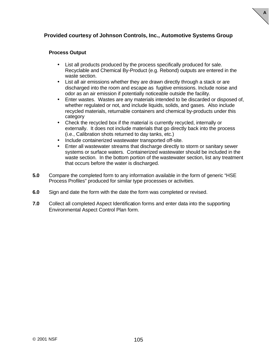### **Provided courtesy of Johnson Controls, Inc., Automotive Systems Group**

#### **Process Output**

• List all products produced by the process specifically produced for sale. Recyclable and Chemical By-Product (e.g. Rebond) outputs are entered in the waste section.

- List all air emissions whether they are drawn directly through a stack or are discharged into the room and escape as fugitive emissions. Include noise and odor as an air emission if potentially noticeable outside the facility.
- Enter wastes. Wastes are any materials intended to be discarded or disposed of, whether regulated or not, and include liquids, solids, and gases. Also include recycled materials, returnable containers and chemical by-products under this category
- Check the recycled box if the material is currently recycled, internally or externally. It does not include materials that go directly back into the process (i.e., Calibration shots returned to day tanks, etc.)
- Include containerized wastewater transported off-site.
- Enter all wastewater streams that discharge directly to storm or sanitary sewer systems or surface waters. Containerized wastewater should be included in the waste section. In the bottom portion of the wastewater section, list any treatment that occurs before the water is discharged.
- **5.0** Compare the completed form to any information available in the form of generic "HSE Process Profiles" produced for similar type processes or activities.
- **6.0** Sign and date the form with the date the form was completed or revised.
- **7.0** Collect all completed Aspect Identification forms and enter data into the supporting Environmental Aspect Control Plan form.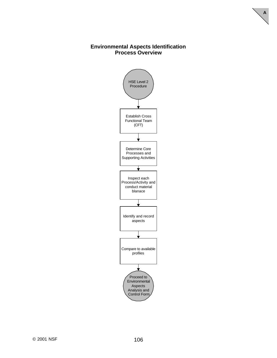### **Environmental Aspects Identification Process Overview**

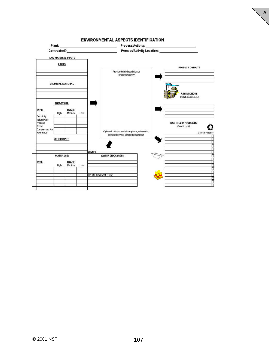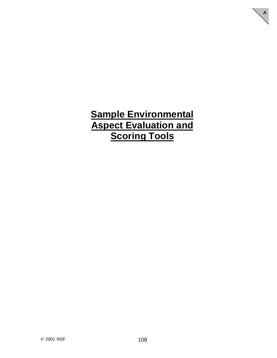# **Sample Environmental Aspect Evaluation and Scoring Tools**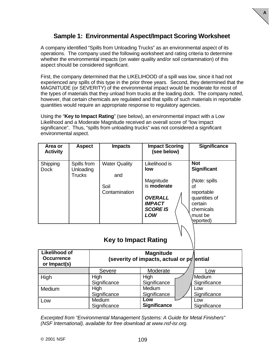## **Sample 1: Environmental Aspect/Impact Scoring Worksheet**

**A**

A company identified "Spills from Unloading Trucks" as an environmental aspect of its operations. The company used the following worksheet and rating criteria to determine whether the environmental impacts (on water quality and/or soil contamination) of this aspect should be considered significant.

First, the company determined that the LIKELIHOOD of a spill was low, since it had not experienced any spills of this type in the prior three years. Second, they determined that the MAGNITUDE (or SEVERITY) of the environmental impact would be moderate for most of the types of materials that they unload from trucks at the loading dock. The company noted, however, that certain chemicals are regulated and that spills of such materials in reportable quantities would require an appropriate response to regulatory agencies.

Using the "**Key to Impact Rating**" (see below), an environmental impact with a Low Likelihood and a Moderate Magnitude received an overall score of "low impact significance". Thus, "spills from unloading trucks" was not considered a significant environmental aspect.

| Area or<br><b>Activity</b> | <b>Aspect</b>                             | <b>Impacts</b>                                       | <b>Impact Scoring</b><br>(see below)                                                                          | <b>Significance</b>                                                                                                                      |
|----------------------------|-------------------------------------------|------------------------------------------------------|---------------------------------------------------------------------------------------------------------------|------------------------------------------------------------------------------------------------------------------------------------------|
| Shipping<br><b>Dock</b>    | Spills from<br>Unloading<br><b>Trucks</b> | <b>Water Quality</b><br>and<br>Soil<br>Contamination | Likelihood is<br>low<br>Magnitude<br>is moderate<br><b>OVERALL</b><br><b>IMPACT</b><br><b>SCORE IS</b><br>LOW | <b>Not</b><br><b>Significant</b><br>(Note: spills)<br>Ωf<br>reportable<br>quantities of<br>certain<br>chemicals<br>must be<br>(reported) |

## **Key to Impact Rating**

| <b>Likelihood of</b><br><b>Occurrence</b><br>or Impact(s) | (severity of impacts, actual or $pq$ ential |                     |              |
|-----------------------------------------------------------|---------------------------------------------|---------------------|--------------|
|                                                           | <b>Severe</b>                               | Low                 |              |
| High                                                      | High                                        | High                | /Medium      |
|                                                           | Significance                                | Significance        | Significance |
| Medium                                                    | High                                        | <b>Medium</b>       | Low          |
|                                                           | Significance                                | Significance        | Significance |
| Low                                                       | Medium                                      | Low                 | Low          |
|                                                           | Significance                                | <b>Significance</b> | Significance |

*Excerpted from "Environmental Management Systems: A Guide for Metal Finishers" (NSF International), available for free download at www.nsf-isr.org.*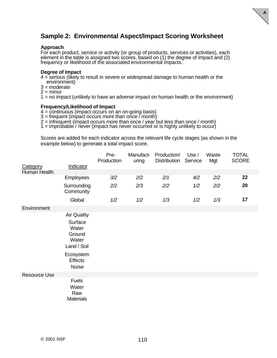## **Sample 2: Environmental Aspect/Impact Scoring Worksheet**

**A**

#### **Approach**

For each product, service or activity (or group of products, services or activities), each element in the table is assigned two scores, based on (1) the degree of impact and (2) frequency or likelihood of the associated environmental impacts.

#### **Degree of Impact**

4 = serious (likely to result in severe or widespread damage to human health or the environment)

- $3 =$  moderate
- $2 =$  minor

1 = no impact (unlikely to have an adverse impact on human health or the environment)

#### **Frequency/Likelihood of Impact**

4 = continuous (impact occurs on an on-going basis)

 $3 =$  frequent (impact occurs more than once  $\zeta$  month)

2 = infrequent (impact occurs more than once / year but less than once / month)

1 = improbable / never (impact has never occurred or is highly unlikely to occur)

Scores are added for each indicator across the relevant life cycle stages (as shown in the example below) to generate a total impact score.

| Category            | Indicator                                                                                                        | Pre-<br>Production | Manufact-<br>uring | Production/<br><b>Distribution</b> | Use /<br>Service | Waste<br>Mgt | <b>TOTAL</b><br><b>SCORE</b> |
|---------------------|------------------------------------------------------------------------------------------------------------------|--------------------|--------------------|------------------------------------|------------------|--------------|------------------------------|
| Human Health        |                                                                                                                  |                    |                    |                                    |                  |              |                              |
|                     | Employees                                                                                                        | 3/2                | 2/2                | 2/1                                | 4/2              | 2/2          | 22                           |
|                     | Surrounding<br>Community                                                                                         | 2/2                | 2/3                | 2/2                                | 1/2              | 2/2          | 20                           |
|                     | Global                                                                                                           | 1/2                | 1/2                | 1/3                                | 1/2              | 1/3          | 17                           |
| Environment         | <b>Air Quality</b><br>Surface<br>Water<br>Ground<br>Water<br>Land / Soil<br>Ecosystem<br><b>Effects</b><br>Noise |                    |                    |                                    |                  |              |                              |
| <b>Resource Use</b> |                                                                                                                  |                    |                    |                                    |                  |              |                              |
|                     | <b>Fuels</b><br>Water<br>Raw<br><b>Materials</b>                                                                 |                    |                    |                                    |                  |              |                              |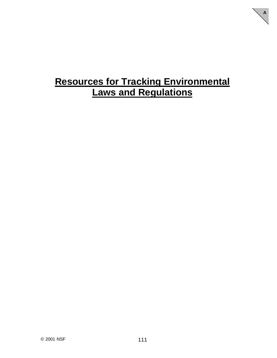# **Resources for Tracking Environmental Laws and Regulations**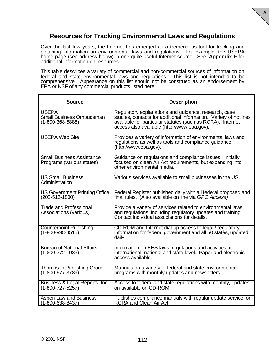

## **Resources for Tracking Environmental Laws and Regulations**

Over the last few years, the Internet has emerged as a tremendous tool for tracking and obtaining information on environmental laws and regulations. For example, the USEPA home page (see address below) in one quite useful Internet source. See **Appendix F** for additional information on resources.

This table describes a variety of commercial and non-commercial sources of information on federal and state environmental laws and regulations. This list is not intended to be comprehensive. Appearance on this list should not be construed as an endorsement by EPA or NSF of any commercial products listed here.

| <b>Source</b>                                                               | <b>Description</b>                                                                                                                                                                                                                     |
|-----------------------------------------------------------------------------|----------------------------------------------------------------------------------------------------------------------------------------------------------------------------------------------------------------------------------------|
| <b>USEPA</b><br><b>Small Business Ombudsman</b><br>$(1 - 800 - 368 - 5888)$ | Regulatory explanations and guidance, research, case<br>studies, contacts for additional information. Variety of hotlines<br>available for particular statutes (such as RCRA). Internet<br>access also available (http://www.epa.gov). |
| <b>USEPA Web Site</b>                                                       | Provides a variety of information of environmental laws and<br>regulations as well as tools and compliance guidance.<br>(http://www.epa.gov).                                                                                          |
| <b>Small Business Assistance</b><br>Programs (various states)               | Guidance on regulations and compliance issues. Initially<br>focused on clean Air Act requirements, but expanding into<br>other environmental media.                                                                                    |
| <b>US Small Business</b><br>Administration                                  | Various services available to small businesses in the US.                                                                                                                                                                              |
| <b>US Government Printing Office</b><br>$(202 - 512 - 1800)$                | Federal Register published daily with all federal proposed and<br>final rules. (Also available on line via GPO Access)                                                                                                                 |
| <b>Trade and Professional</b><br>Associations (various)                     | Provide a variety of services related to environmental laws<br>and regulations, including regulatory updates and training.<br>Contact individual associations for details.                                                             |
| <b>Counterpoint Publishing</b><br>$(1 - 800 - 998 - 4515)$                  | CD-ROM and Internet dial-up access to legal / regulatory<br>information for federal government and all 50 states, updated<br>daily.                                                                                                    |
| <b>Bureau of National Affairs</b><br>$(1 - 800 - 372 - 1033)$               | Information on EHS laws, regulations and activities at<br>international, national and state level. Paper and electronic<br>access available.                                                                                           |
| <b>Thompson Publishing Group</b><br>$(1 - 800 - 677 - 3789)$                | Manuals on a variety of federal and state environmental<br>programs with monthly updates and newsletters.                                                                                                                              |
| Business & Legal Reports, Inc.<br>$(1 - 800 - 727 - 5257)$                  | Access to federal and state regulations with monthly, updates<br>on available on CD-ROM.                                                                                                                                               |
| Aspen Law and Business<br>$(1 - 800 - 638 - 8437)$                          | Publishes compliance manuals with regular update service for<br><b>RCRA and Clean Air Act.</b>                                                                                                                                         |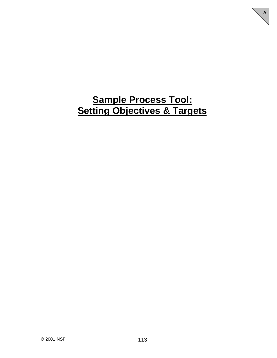# **Sample Process Tool: Setting Objectives & Targets**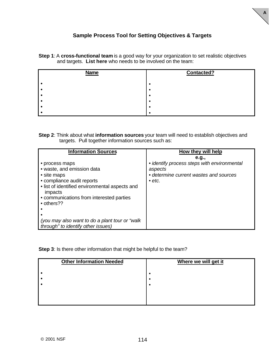

## **Sample Process Tool for Setting Objectives & Targets**

**Step 1**: A **cross-functional team** is a good way for your organization to set realistic objectives and targets. **List here** who needs to be involved on the team:

| <b>Name</b> | <b>Contacted?</b> |
|-------------|-------------------|
|             |                   |
|             |                   |
|             |                   |
|             |                   |
|             |                   |
|             |                   |

|  | Step 2: Think about what information sources your team will need to establish objectives and |
|--|----------------------------------------------------------------------------------------------|
|  | targets. Pull together information sources such as:                                          |

**Step 3**: Is there other information that might be helpful to the team?

| <b>Other Information Needed</b> | Where we will get it |
|---------------------------------|----------------------|
|                                 |                      |
|                                 |                      |
|                                 |                      |
|                                 |                      |
|                                 |                      |
|                                 |                      |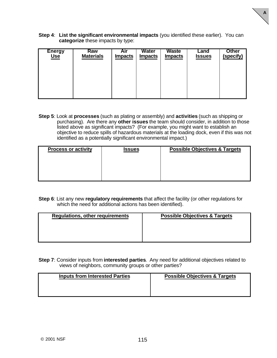**Step 4**: **List the significant environmental impacts** (you identified these earlier). You can **categorize** these impacts by type:

**A**

| <b>Energy</b> | Raw              | <b>Air</b>     | <b>Water</b>   | <b>Waste</b>   | Land          | <b>Other</b> |
|---------------|------------------|----------------|----------------|----------------|---------------|--------------|
| <u>Use</u>    | <b>Materials</b> | <b>Impacts</b> | <b>Impacts</b> | <b>Impacts</b> | <b>Issues</b> | (specify)    |
|               |                  |                |                |                |               |              |

**Step 5**: Look at **processes** (such as plating or assembly) and **activities** (such as shipping or purchasing). Are there any **other issues** the team should consider, in addition to those listed above as significant impacts? (For example, you might want to establish an objective to reduce spills of hazardous materials at the loading dock, even if this was not identified as a potentially significant environmental impact.)

| <b>Process or activity</b> | <b>Issues</b> | <b>Possible Objectives &amp; Targets</b> |
|----------------------------|---------------|------------------------------------------|
|                            |               |                                          |
|                            |               |                                          |
|                            |               |                                          |

**Step 6**: List any new **regulatory requirements** that affect the facility (or other regulations for which the need for additional actions has been identified).

| <b>Regulations, other requirements</b> | <b>Possible Objectives &amp; Targets</b> |
|----------------------------------------|------------------------------------------|
|                                        |                                          |

**Step 7**: Consider inputs from **interested parties**. Any need for additional objectives related to views of neighbors, community groups or other parties?

| <b>Inputs from Interested Parties</b> | <b>Possible Objectives &amp; Targets</b> |
|---------------------------------------|------------------------------------------|
|                                       |                                          |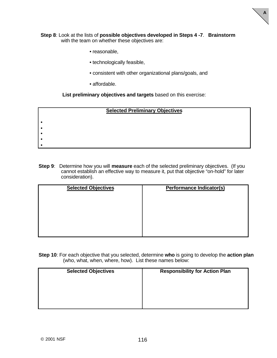

#### **Step 8**: Look at the lists of **possible objectives developed in Steps 4 -7**. **Brainstorm** with the team on whether these objectives are:

- reasonable,
- technologically feasible,
- consistent with other organizational plans/goals, and
- affordable.

**List preliminary objectives and targets** based on this exercise:

| <b>Selected Preliminary Objectives</b> |  |  |  |  |  |  |
|----------------------------------------|--|--|--|--|--|--|
|                                        |  |  |  |  |  |  |
|                                        |  |  |  |  |  |  |
|                                        |  |  |  |  |  |  |
|                                        |  |  |  |  |  |  |
|                                        |  |  |  |  |  |  |

**Step 9**: Determine how you will **measure** each of the selected preliminary objectives. (If you cannot establish an effective way to measure it, put that objective "on-hold" for later consideration).

| <b>Selected Objectives</b> | <b>Performance Indicator(s)</b> |
|----------------------------|---------------------------------|
|                            |                                 |
|                            |                                 |
|                            |                                 |
|                            |                                 |
|                            |                                 |

**Step 10**: For each objective that you selected, determine **who** is going to develop the **action plan** (who, what, when, where, how). List these names below:

| <b>Selected Objectives</b> | <b>Responsibility for Action Plan</b> |
|----------------------------|---------------------------------------|
|                            |                                       |
|                            |                                       |
|                            |                                       |
|                            |                                       |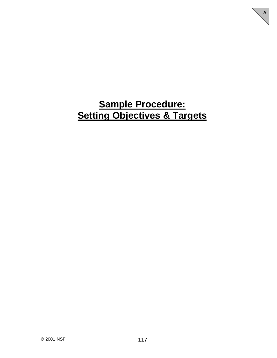# **Sample Procedure: Setting Objectives & Targets**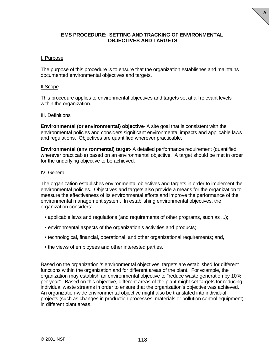#### **EMS PROCEDURE: SETTING AND TRACKING OF ENVIRONMENTAL OBJECTIVES AND TARGETS**

**A**

#### I. Purpose

The purpose of this procedure is to ensure that the organization establishes and maintains documented environmental objectives and targets.

#### II Scope

This procedure applies to environmental objectives and targets set at all relevant levels within the organization.

#### III. Definitions

**Environmental (or environmental) objective**- A site goal that is consistent with the environmental policies and considers significant environmental impacts and applicable laws and regulations. Objectives are quantified wherever practicable.

**Environmental (environmental) target**- A detailed performance requirement (quantified wherever practicable) based on an environmental objective. A target should be met in order for the underlying objective to be achieved.

#### IV. General

The organization establishes environmental objectives and targets in order to implement the environmental policies. Objectives and targets also provide a means for the organization to measure the effectiveness of its environmental efforts and improve the performance of the environmental management system. In establishing environmental objectives, the organization considers:

- applicable laws and regulations (and requirements of other programs, such as ...);
- environmental aspects of the organization's activities and products;
- technological, financial, operational, and other organizational requirements; and,
- the views of employees and other interested parties.

Based on the organization 's environmental objectives, targets are established for different functions within the organization and for different areas of the plant. For example, the organization may establish an environmental objective to "reduce waste generation by 10% per year". Based on this objective, different areas of the plant might set targets for reducing individual waste streams in order to ensure that the organization's objective was achieved. An organization-wide environmental objective might also be translated into individual projects (such as changes in production processes, materials or pollution control equipment) in different plant areas.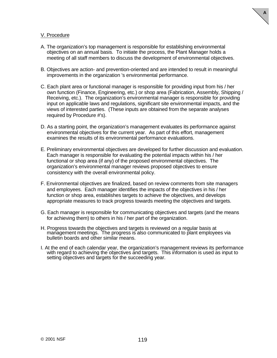

#### V. Procedure

- A. The organization's top management is responsible for establishing environmental objectives on an annual basis. To initiate the process, the Plant Manager holds a meeting of all staff members to discuss the development of environmental objectives.
- B. Objectives are action- and prevention-oriented and are intended to result in meaningful improvements in the organization 's environmental performance.
- C. Each plant area or functional manager is responsible for providing input from his / her own function (Finance, Engineering, etc.) or shop area (Fabrication, Assembly, Shipping / Receiving, etc.). The organization's environmental manager is responsible for providing input on applicable laws and regulations, significant site environmental impacts, and the views of interested parties. (These inputs are obtained from the separate analyses required by Procedure #'s).
- D. As a starting point, the organization's management evaluates its performance against environmental objectives for the current year. As part of this effort, management examines the results of its environmental performance evaluations.
- E. Preliminary environmental objectives are developed for further discussion and evaluation. Each manager is responsible for evaluating the potential impacts within his / her functional or shop area (if any) of the proposed environmental objectives. The organization's environmental manager reviews proposed objectives to ensure consistency with the overall environmental policy.
- F. Environmental objectives are finalized, based on review comments from site managers and employees. Each manager identifies the impacts of the objectives in his / her function or shop area, establishes targets to achieve the objectives, and develops appropriate measures to track progress towards meeting the objectives and targets.
- G. Each manager is responsible for communicating objectives and targets (and the means for achieving them) to others in his / her part of the organization.
- H. Progress towards the objectives and targets is reviewed on a regular basis at management meetings. The progress is also communicated to plant employees via bulletin boards and other similar means.
- I. At the end of each calendar year, the organization's management reviews its performance with regard to achieving the objectives and targets. This information is used as input to setting objectives and targets for the succeeding year.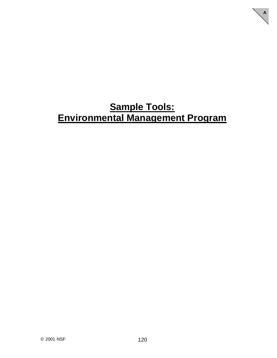# **Sample Tools: Environmental Management Program**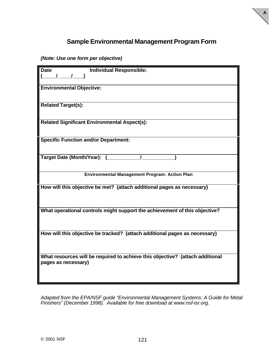## **Sample Environmental Management Program Form**

**A**

*(Note: Use one form per objective)*

| <b>Date</b><br><b>Individual Responsible:</b>                                 |
|-------------------------------------------------------------------------------|
|                                                                               |
|                                                                               |
| <b>Environmental Objective:</b>                                               |
|                                                                               |
|                                                                               |
| <b>Related Target(s):</b>                                                     |
|                                                                               |
|                                                                               |
| <b>Related Significant Environmental Aspect(s):</b>                           |
|                                                                               |
|                                                                               |
| <b>Specific Function and/or Department:</b>                                   |
|                                                                               |
|                                                                               |
| Target Date (Month/Year):                                                     |
|                                                                               |
|                                                                               |
| <b>Environmental Management Program: Action Plan</b>                          |
|                                                                               |
| How will this objective be met? (attach additional pages as necessary)        |
|                                                                               |
|                                                                               |
| What operational controls might support the achievement of this objective?    |
|                                                                               |
|                                                                               |
|                                                                               |
| How will this objective be tracked? (attach additional pages as necessary)    |
|                                                                               |
|                                                                               |
|                                                                               |
| What resources will be required to achieve this objective? (attach additional |
| pages as necessary)                                                           |
|                                                                               |
|                                                                               |
|                                                                               |

*Adapted from the EPA/NSF guide "Environmental Management Systems: A Guide for Metal Finishers" (December 1998). Available for free download at www.nsf-isr.org.*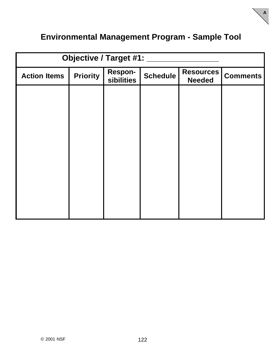## **Environmental Management Program - Sample Tool**

| <b>Objective / Target #1:</b> |                 |                              |                 |                                   |                 |
|-------------------------------|-----------------|------------------------------|-----------------|-----------------------------------|-----------------|
| <b>Action Items</b>           | <b>Priority</b> | <b>Respon-</b><br>sibilities | <b>Schedule</b> | <b>Resources</b><br><b>Needed</b> | <b>Comments</b> |
|                               |                 |                              |                 |                                   |                 |
|                               |                 |                              |                 |                                   |                 |
|                               |                 |                              |                 |                                   |                 |
|                               |                 |                              |                 |                                   |                 |
|                               |                 |                              |                 |                                   |                 |
|                               |                 |                              |                 |                                   |                 |
|                               |                 |                              |                 |                                   |                 |
|                               |                 |                              |                 |                                   |                 |
|                               |                 |                              |                 |                                   |                 |
|                               |                 |                              |                 |                                   |                 |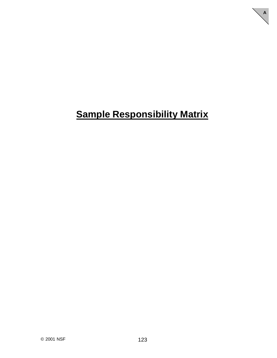# **Sample Responsibility Matrix**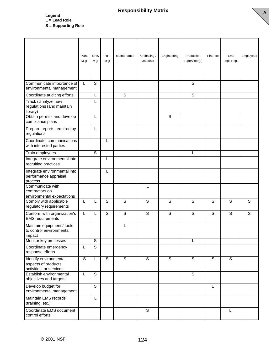### **Responsibility Matrix**

**A**

**Legend: L = Lead Role S = Supporting Role**

|                                                                                            | Plant<br>M'gr | EHS<br>M'gr             | HR.<br>M'gr    | Maintenance    | Purchasing /<br><b>Materials</b> | Engineering    | Production<br>Supervisor(s) | Finance        | <b>EMS</b><br>Mg't Rep. | Employees    |
|--------------------------------------------------------------------------------------------|---------------|-------------------------|----------------|----------------|----------------------------------|----------------|-----------------------------|----------------|-------------------------|--------------|
| Communicate importance of<br>environmental management                                      | L             | $\mathsf{S}$            |                |                |                                  |                | $\mathbf S$                 |                |                         |              |
| Coordinate auditing efforts                                                                |               | L                       |                | $\overline{s}$ |                                  |                | $\overline{s}$              |                |                         |              |
| Track / analyze new<br>regulations (and maintain<br>library)<br>Obtain permits and develop |               | L<br>L                  |                |                |                                  | $\overline{s}$ |                             |                |                         |              |
| compliance plans                                                                           |               |                         |                |                |                                  |                |                             |                |                         |              |
| Prepare reports required by<br>regulations                                                 |               | L                       |                |                |                                  |                |                             |                |                         |              |
| Coordinate communications<br>with interested parties                                       |               |                         | L              |                |                                  |                |                             |                |                         |              |
| Train employees                                                                            |               | S                       |                |                |                                  |                | $\mathbf{I}$                |                |                         |              |
| Integrate environmental into<br>recruiting practices                                       |               |                         | L              |                |                                  |                |                             |                |                         |              |
| Integrate environmental into<br>performance appraisal<br>process                           |               |                         | L              |                |                                  |                |                             |                |                         |              |
| Communicate with<br>contractors on<br>environmental expectations                           |               |                         |                |                | L                                |                |                             |                |                         |              |
| Comply with applicable<br>regulatory requirements                                          | L             | L                       | $\overline{s}$ | $\overline{s}$ | $\overline{s}$                   | S              | S                           | $\overline{s}$ | S                       | S            |
| Conform with organization's<br><b>EMS</b> requirements                                     | L             | L                       | S              | S              | S                                | S              | S                           | S              | S                       | $\mathsf{S}$ |
| Maintain equipment / tools<br>to control environmental<br>impact                           |               |                         |                | L              |                                  |                |                             |                |                         |              |
| Monitor key processes                                                                      |               | $\overline{\mathsf{s}}$ |                |                |                                  |                | L.                          |                |                         |              |
| Coordinate emergency<br>response efforts                                                   | L             | $\mathsf S$             |                |                |                                  |                |                             |                |                         |              |
| Identify environmental<br>aspects of products,<br>activities, or services                  | S             | $\mathsf{L}$            | $\overline{s}$ | $\overline{s}$ | $\overline{s}$                   | $\overline{s}$ | $\overline{s}$              | $\overline{s}$ | $\overline{s}$          |              |
| Establish environmental<br>objectives and targets                                          | L             | $\mathbb S$             |                |                |                                  |                | $\mathsf S$                 |                |                         |              |
| Develop budget for<br>environmental management                                             |               | $\mathsf S$             |                |                |                                  |                |                             | L              |                         |              |
| Maintain EMS records<br>(training, etc.)                                                   |               | L                       |                |                |                                  |                |                             |                |                         |              |
| Coordinate EMS document<br>control efforts                                                 |               |                         |                |                | S                                |                |                             |                | $\mathsf L$             |              |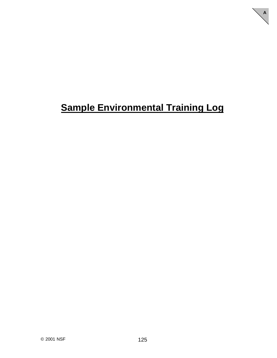# **Sample Environmental Training Log**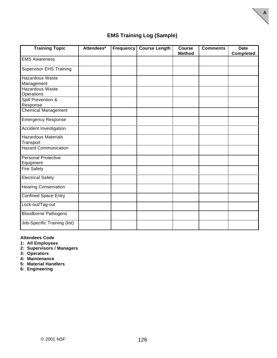

**A**

| <b>Training Topic</b>                   | Attendees* | <b>Frequency</b> | <b>Course Length</b> | <b>Course</b><br><b>Method</b> | <b>Comments</b> | <b>Date</b><br><b>Completed</b> |
|-----------------------------------------|------------|------------------|----------------------|--------------------------------|-----------------|---------------------------------|
| <b>EMS Awareness</b>                    |            |                  |                      |                                |                 |                                 |
| <b>Supervisor EHS Training</b>          |            |                  |                      |                                |                 |                                 |
| Hazardous Waste<br>Management           |            |                  |                      |                                |                 |                                 |
| <b>Hazardous Waste</b><br>Operations    |            |                  |                      |                                |                 |                                 |
| Spill Prevention &<br>Response          |            |                  |                      |                                |                 |                                 |
| <b>Chemical Management</b>              |            |                  |                      |                                |                 |                                 |
| <b>Emergency Response</b>               |            |                  |                      |                                |                 |                                 |
| Accident Investigation                  |            |                  |                      |                                |                 |                                 |
| <b>Hazardous Materials</b><br>Transport |            |                  |                      |                                |                 |                                 |
| <b>Hazard Communication</b>             |            |                  |                      |                                |                 |                                 |
| <b>Personal Protective</b><br>Equipment |            |                  |                      |                                |                 |                                 |
| <b>Fire Safety</b>                      |            |                  |                      |                                |                 |                                 |
| <b>Electrical Safety</b>                |            |                  |                      |                                |                 |                                 |
| <b>Hearing Conservation</b>             |            |                  |                      |                                |                 |                                 |
| <b>Confined Space Entry</b>             |            |                  |                      |                                |                 |                                 |
| Lock-out/Tag-out                        |            |                  |                      |                                |                 |                                 |
| <b>Bloodborne Pathogens</b>             |            |                  |                      |                                |                 |                                 |
| Job-Specific Training (list)            |            |                  |                      |                                |                 |                                 |

#### **Attendees Code**

**1: All Employees**

**2: Supervisors / Managers**

**3: Operators**

**4: Maintenance**

**5: Material Handlers**

**6: Engineering**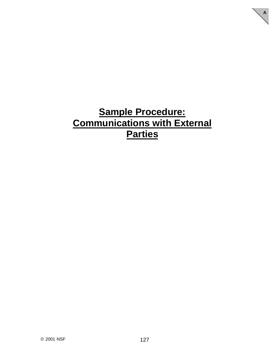# **Sample Procedure: Communications with External Parties**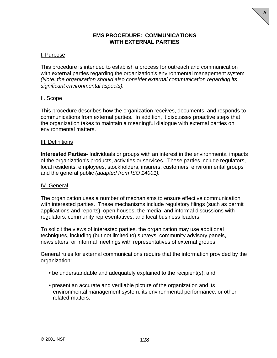### **EMS PROCEDURE: COMMUNICATIONS WITH EXTERNAL PARTIES**

**A**

### I. Purpose

This procedure is intended to establish a process for outreach and communication with external parties regarding the organization's environmental management system *(Note: the organization should also consider external communication regarding its significant environmental aspects).*

#### II. Scope

This procedure describes how the organization receives, documents, and responds to communications from external parties. In addition, it discusses proactive steps that the organization takes to maintain a meaningful dialogue with external parties on environmental matters.

#### III. Definitions

**Interested Parties**- Individuals or groups with an interest in the environmental impacts of the organization's products, activities or services. These parties include regulators, local residents, employees, stockholders, insurers, customers, environmental groups and the general public *(adapted from ISO 14001).*

#### IV. General

The organization uses a number of mechanisms to ensure effective communication with interested parties. These mechanisms include regulatory filings (such as permit applications and reports), open houses, the media, and informal discussions with regulators, community representatives, and local business leaders.

To solicit the views of interested parties, the organization may use additional techniques, including (but not limited to) surveys, community advisory panels, newsletters, or informal meetings with representatives of external groups.

General rules for external communications require that the information provided by the organization:

- be understandable and adequately explained to the recipient(s); and
- present an accurate and verifiable picture of the organization and its environmental management system, its environmental performance, or other related matters.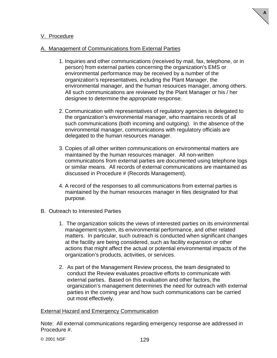

### V. Procedure

### A. Management of Communications from External Parties

- 1. Inquiries and other communications (received by mail, fax, telephone, or in person) from external parties concerning the organization's EMS or environmental performance may be received by a number of the organization's representatives, including the Plant Manager, the environmental manager, and the human resources manager, among others. All such communications are reviewed by the Plant Manager or his / her designee to determine the appropriate response.
- 2. Communication with representatives of regulatory agencies is delegated to the organization's environmental manager, who maintains records of all such communications (both incoming and outgoing). In the absence of the environmental manager, communications with regulatory officials are delegated to the human resources manager.
- 3. Copies of all other written communications on environmental matters are maintained by the human resources manager. All non-written communications from external parties are documented using telephone logs or similar means. All records of external communications are maintained as discussed in Procedure # (Records Management).
- 4. A record of the responses to all communications from external parties is maintained by the human resources manager in files designated for that purpose.
- B. Outreach to Interested Parties
	- 1. The organization solicits the views of interested parties on its environmental management system, its environmental performance, and other related matters. In particular, such outreach is conducted when significant changes at the facility are being considered, such as facility expansion or other actions that might affect the actual or potential environmental impacts of the organization's products, activities, or services.
	- 2. As part of the Management Review process, the team designated to conduct the Review evaluates proactive efforts to communicate with external parties. Based on this evaluation and other factors, the organization's management determines the need for outreach with external parties in the coming year and how such communications can be carried out most effectively.

#### External Hazard and Emergency Communication

Note: All external communications regarding emergency response are addressed in Procedure #.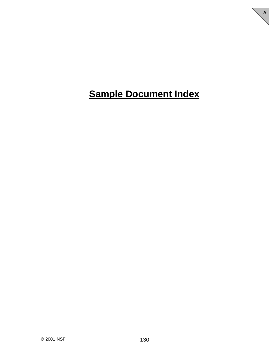# **Sample Document Index**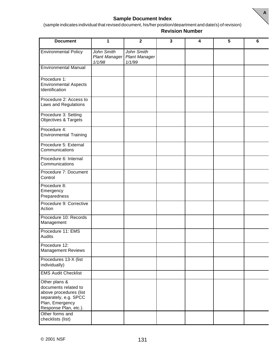

### **Sample Document Index**

(sample indicates individual that revised document, his/her position/department and date(s) of revision) **Revision Number**

| <b>Document</b>                                                                                                                      | 1                                            | $\overline{\mathbf{2}}$                      | 3 | 4 | 5 | 6 |
|--------------------------------------------------------------------------------------------------------------------------------------|----------------------------------------------|----------------------------------------------|---|---|---|---|
| <b>Environmental Policy</b>                                                                                                          | John Smith<br><b>Plant Manager</b><br>1/1/98 | John Smith<br><b>Plant Manager</b><br>1/1/99 |   |   |   |   |
| <b>Environmental Manual</b>                                                                                                          |                                              |                                              |   |   |   |   |
| Procedure 1:<br><b>Environmental Aspects</b><br>Identification                                                                       |                                              |                                              |   |   |   |   |
| Procedure 2: Access to<br>Laws and Regulations                                                                                       |                                              |                                              |   |   |   |   |
| Procedure 3: Setting<br>Objectives & Targets                                                                                         |                                              |                                              |   |   |   |   |
| Procedure 4:<br><b>Environmental Training</b>                                                                                        |                                              |                                              |   |   |   |   |
| Procedure 5: External<br>Communications                                                                                              |                                              |                                              |   |   |   |   |
| Procedure 6: Internal<br>Communications                                                                                              |                                              |                                              |   |   |   |   |
| Procedure 7: Document<br>Control                                                                                                     |                                              |                                              |   |   |   |   |
| Procedure 8:<br>Emergency<br>Preparedness                                                                                            |                                              |                                              |   |   |   |   |
| Procedure 9: Corrective<br>Action                                                                                                    |                                              |                                              |   |   |   |   |
| Procedure 10: Records<br>Management                                                                                                  |                                              |                                              |   |   |   |   |
| Procedure 11: EMS<br>Audits                                                                                                          |                                              |                                              |   |   |   |   |
| Procedure 12:<br><b>Management Reviews</b>                                                                                           |                                              |                                              |   |   |   |   |
| Procedures 13-X (list<br>individually)                                                                                               |                                              |                                              |   |   |   |   |
| <b>EMS Audit Checklist</b>                                                                                                           |                                              |                                              |   |   |   |   |
| Other plans &<br>documents related to<br>above procedures (list<br>separately, e.g. SPCC<br>Plan, Emergency<br>Response Plan, etc.). |                                              |                                              |   |   |   |   |
| Other forms and<br>checklists (list)                                                                                                 |                                              |                                              |   |   |   |   |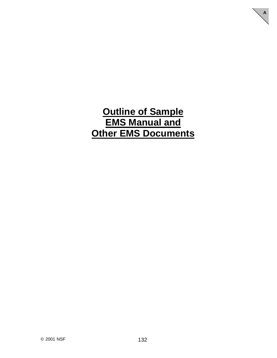## **Outline of Sample EMS Manual and Other EMS Documents**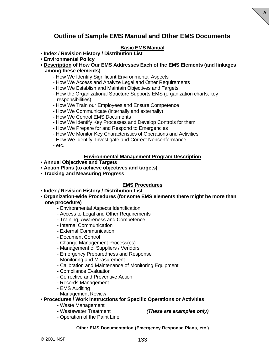## **Outline of Sample EMS Manual and Other EMS Documents**

**A**

### **Basic EMS Manual**

- **Index / Revision History / Distribution List**
- **Environmental Policy**
- **Description of How Our EMS Addresses Each of the EMS Elements (and linkages among these elements)**
	- How We Identify Significant Environmental Aspects
	- How We Access and Analyze Legal and Other Requirements
	- How We Establish and Maintain Objectives and Targets
	- How the Organizational Structure Supports EMS (organization charts, key responsibilities)
	- How We Train our Employees and Ensure Competence
	- How We Communicate (internally and externally)
	- How We Control EMS Documents
	- How We Identify Key Processes and Develop Controls for them
	- How We Prepare for and Respond to Emergencies
	- How We Monitor Key Characteristics of Operations and Activities
	- How We Identify, Investigate and Correct Nonconformance
	- etc.

#### **Environmental Management Program Description**

- **Annual Objectives and Targets**
- **Action Plans (to achieve objectives and targets)**
- **Tracking and Measuring Progress**

#### **EMS Procedures**

- **Index / Revision History / Distribution List**
- **Organization-wide Procedures (for some EMS elements there might be more than one procedure)**
	- Environmental Aspects Identification
	- Access to Legal and Other Requirements
	- Training, Awareness and Competence
	- Internal Communication
	- External Communication
	- Document Control
	- Change Management Process(es)
	- Management of Suppliers / Vendors
	- Emergency Preparedness and Response
	- Monitoring and Measurement
	- Calibration and Maintenance of Monitoring Equipment
	- Compliance Evaluation
	- Corrective and Preventive Action
	- Records Management
	- EMS Auditing
	- Management Review

### **• Procedures / Work Instructions for Specific Operations or Activities**

- Waste Management
- Wastewater Treatment *(These are examples only)*
- Operation of the Paint Line

#### **Other EMS Documentation (Emergency Response Plans, etc.)**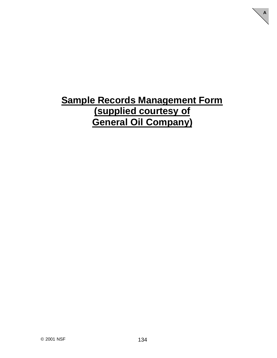# **Sample Records Management Form (supplied courtesy of General Oil Company)**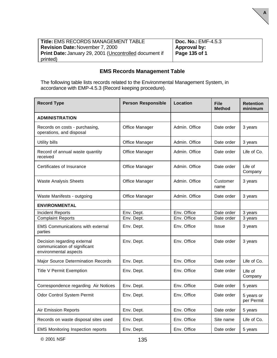| <b>Title: EMS RECORDS MANAGEMENT TABLE</b>                    | <b>Doc. No.: EMF-4.5.3</b> |
|---------------------------------------------------------------|----------------------------|
| <b>Revision Date: November 7, 2000</b>                        | Approval by:               |
| <b>Print Date: January 29, 2001 (Uncontrolled document if</b> | Page 135 of 1              |
| printed)                                                      |                            |

**A**

## **EMS Records Management Table**

The following table lists records related to the Environmental Management System, in accordance with EMP-4.5.3 (Record keeping procedure).

| <b>Record Type</b>                                                                   | <b>Person Responsible</b> | <b>Location</b> | <b>File</b><br><b>Method</b> | <b>Retention</b><br>minimum |
|--------------------------------------------------------------------------------------|---------------------------|-----------------|------------------------------|-----------------------------|
| <b>ADMINISTRATION</b>                                                                |                           |                 |                              |                             |
| Records on costs - purchasing,<br>operations, and disposal                           | Office Manager            | Admin. Office   | Date order                   | 3 years                     |
| <b>Utility bills</b>                                                                 | Office Manager            | Admin. Office   | Date order                   | 3 years                     |
| Record of annual waste quantity<br>received                                          | Office Manager            | Admin. Office   | Date order                   | Life of Co.                 |
| Certificates of Insurance                                                            | Office Manager            | Admin. Office   | Date order                   | Life of<br>Company          |
| <b>Waste Analysis Sheets</b>                                                         | Office Manager            | Admin. Office   | Customer<br>name             | 3 years                     |
| Waste Manifests - outgoing                                                           | Office Manager            | Admin. Office   | Date order                   | 3 years                     |
| <b>ENVIRONMENTAL</b>                                                                 |                           |                 |                              |                             |
| <b>Incident Reports</b>                                                              | Env. Dept.                | Env. Office     | Date order                   | 3 years                     |
| <b>Complaint Reports</b>                                                             | Env. Dept.                | Env. Office     | Date order                   | 3 years                     |
| <b>EMS Communications with external</b><br>parties                                   | Env. Dept.                | Env. Office     | Issue                        | 3 years                     |
| Decision regarding external<br>communication of significant<br>environmental aspects | Env. Dept.                | Env. Office     | Date order                   | 3 years                     |
| Major Source Determination Records                                                   | Env. Dept.                | Env. Office     | Date order                   | Life of Co.                 |
| <b>Title V Permit Exemption</b>                                                      | Env. Dept.                | Env. Office     | Date order                   | Life of<br>Company          |
| Correspondence regarding Air Notices                                                 | Env. Dept.                | Env. Office     | Date order                   | 5 years                     |
| Odor Control System Permit                                                           | Env. Dept.                | Env. Office     | Date order                   | 5 years or<br>per Permit    |
| <b>Air Emission Reports</b>                                                          | Env. Dept.                | Env. Office     | Date order                   | 5 years                     |
| Records on waste disposal sites used                                                 | Env. Dept.                | Env. Office     | Site name                    | Life of Co.                 |
| <b>EMS Monitoring Inspection reports</b>                                             | Env. Dept.                | Env. Office     | Date order                   | 5 years                     |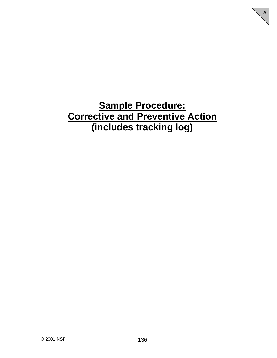## **Sample Procedure: Corrective and Preventive Action (includes tracking log)**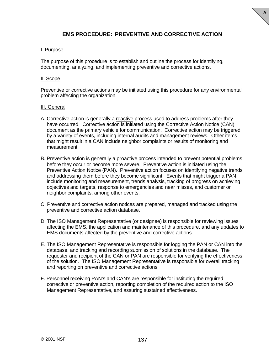### **EMS PROCEDURE: PREVENTIVE AND CORRECTIVE ACTION**

**A**

#### I. Purpose

The purpose of this procedure is to establish and outline the process for identifying, documenting, analyzing, and implementing preventive and corrective actions.

#### II. Scope

Preventive or corrective actions may be initiated using this procedure for any environmental problem affecting the organization.

#### III. General

- A. Corrective action is generally a reactive process used to address problems after they have occurred. Corrective action is initiated using the Corrective Action Notice (CAN) document as the primary vehicle for communication. Corrective action may be triggered by a variety of events, including internal audits and management reviews. Other items that might result in a CAN include neighbor complaints or results of monitoring and measurement.
- B. Preventive action is generally a proactive process intended to prevent potential problems before they occur or become more severe. Preventive action is initiated using the Preventive Action Notice (PAN). Preventive action focuses on identifying negative trends and addressing them before they become significant. Events that might trigger a PAN include monitoring and measurement, trends analysis, tracking of progress on achieving objectives and targets, response to emergencies and near misses, and customer or neighbor complaints, among other events.
- C. Preventive and corrective action notices are prepared, managed and tracked using the preventive and corrective action database.
- D. The ISO Management Representative (or designee) is responsible for reviewing issues affecting the EMS, the application and maintenance of this procedure, and any updates to EMS documents affected by the preventive and corrective actions.
- E. The ISO Management Representative is responsible for logging the PAN or CAN into the database, and tracking and recording submission of solutions in the database. The requester and recipient of the CAN or PAN are responsible for verifying the effectiveness of the solution. The ISO Management Representative is responsible for overall tracking and reporting on preventive and corrective actions.
- F. Personnel receiving PAN's and CAN's are responsible for instituting the required corrective or preventive action, reporting completion of the required action to the ISO Management Representative, and assuring sustained effectiveness.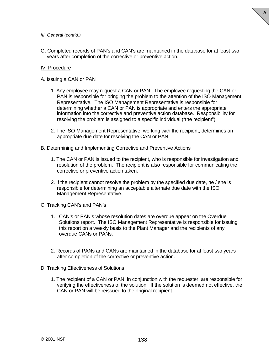

- *III. General (cont'd.)*
- G. Completed records of PAN's and CAN's are maintained in the database for at least two years after completion of the corrective or preventive action.

#### IV. Procedure

A. Issuing a CAN or PAN

- 1. Any employee may request a CAN or PAN. The employee requesting the CAN or PAN is responsible for bringing the problem to the attention of the ISO Management Representative. The ISO Management Representative is responsible for determining whether a CAN or PAN is appropriate and enters the appropriate information into the corrective and preventive action database. Responsibility for resolving the problem is assigned to a specific individual ("the recipient").
- 2. The ISO Management Representative, working with the recipient, determines an appropriate due date for resolving the CAN or PAN.

B. Determining and Implementing Corrective and Preventive Actions

- 1. The CAN or PAN is issued to the recipient, who is responsible for investigation and resolution of the problem. The recipient is also responsible for communicating the corrective or preventive action taken.
- 2. If the recipient cannot resolve the problem by the specified due date, he / she is responsible for determining an acceptable alternate due date with the ISO Management Representative.
- C. Tracking CAN's and PAN's
	- 1. CAN's or PAN's whose resolution dates are overdue appear on the Overdue Solutions report. The ISO Management Representative is responsible for issuing this report on a weekly basis to the Plant Manager and the recipients of any overdue CANs or PANs.
	- 2. Records of PANs and CANs are maintained in the database for at least two years after completion of the corrective or preventive action.
- D. Tracking Effectiveness of Solutions
	- 1. The recipient of a CAN or PAN, in conjunction with the requester, are responsible for verifying the effectiveness of the solution. If the solution is deemed not effective, the CAN or PAN will be reissued to the original recipient.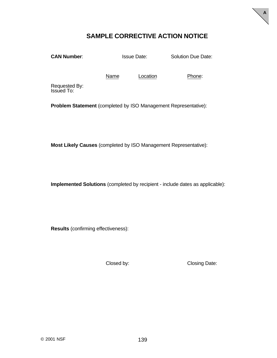## **SAMPLE CORRECTIVE ACTION NOTICE**

**CAN Number:** Issue Date: Solution Due Date:

**A**

Name Location **Phone:** 

Requested By: Issued To:

**Problem Statement** (completed by ISO Management Representative):

**Most Likely Causes** (completed by ISO Management Representative):

**Implemented Solutions** (completed by recipient - include dates as applicable):

**Results** (confirming effectiveness):

Closed by: Closing Date: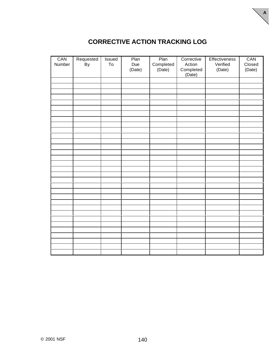

| CAN    | Requested | <b>Issued</b> | Plan   | Plan                | Corrective          | Effectiveness | CAN    |
|--------|-----------|---------------|--------|---------------------|---------------------|---------------|--------|
| Number | By        | To            | Due    |                     | Action              | Verified      | Closed |
|        |           |               | (Date) | Completed<br>(Date) |                     | (Date)        | (Date) |
|        |           |               |        |                     | Completed<br>(Date) |               |        |
|        |           |               |        |                     |                     |               |        |
|        |           |               |        |                     |                     |               |        |
|        |           |               |        |                     |                     |               |        |
|        |           |               |        |                     |                     |               |        |
|        |           |               |        |                     |                     |               |        |
|        |           |               |        |                     |                     |               |        |
|        |           |               |        |                     |                     |               |        |
|        |           |               |        |                     |                     |               |        |
|        |           |               |        |                     |                     |               |        |
|        |           |               |        |                     |                     |               |        |
|        |           |               |        |                     |                     |               |        |
|        |           |               |        |                     |                     |               |        |
|        |           |               |        |                     |                     |               |        |
|        |           |               |        |                     |                     |               |        |
|        |           |               |        |                     |                     |               |        |
|        |           |               |        |                     |                     |               |        |
|        |           |               |        |                     |                     |               |        |
|        |           |               |        |                     |                     |               |        |
|        |           |               |        |                     |                     |               |        |
|        |           |               |        |                     |                     |               |        |
|        |           |               |        |                     |                     |               |        |
|        |           |               |        |                     |                     |               |        |
|        |           |               |        |                     |                     |               |        |
|        |           |               |        |                     |                     |               |        |
|        |           |               |        |                     |                     |               |        |
|        |           |               |        |                     |                     |               |        |
|        |           |               |        |                     |                     |               |        |
|        |           |               |        |                     |                     |               |        |
|        |           |               |        |                     |                     |               |        |
|        |           |               |        |                     |                     |               |        |
|        |           |               |        |                     |                     |               |        |
|        |           |               |        |                     |                     |               |        |
|        |           |               |        |                     |                     |               |        |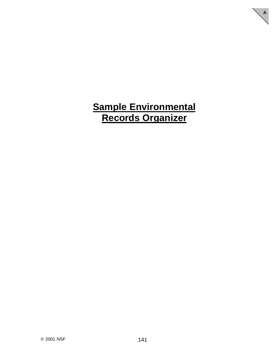## **Sample Environmental Records Organizer**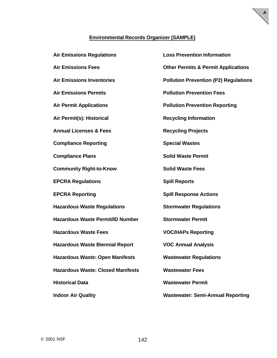### **Environmental Records Organizer (SAMPLE)**

| <b>Air Emissions Regulations</b>         | <b>Loss Prevention Information</b>             |
|------------------------------------------|------------------------------------------------|
| <b>Air Emissions Fees</b>                | <b>Other Permits &amp; Permit Applications</b> |
| <b>Air Emissions Inventories</b>         | <b>Pollution Prevention (P2) Regulations</b>   |
| <b>Air Emissions Permits</b>             | <b>Pollution Prevention Fees</b>               |
| <b>Air Permit Applications</b>           | <b>Pollution Prevention Reporting</b>          |
| Air Permit(s): Historical                | <b>Recycling Information</b>                   |
| <b>Annual Licenses &amp; Fees</b>        | <b>Recycling Projects</b>                      |
| <b>Compliance Reporting</b>              | <b>Special Wastes</b>                          |
| <b>Compliance Plans</b>                  | <b>Solid Waste Permit</b>                      |
| <b>Community Right-to-Know</b>           | <b>Solid Waste Fees</b>                        |
| <b>EPCRA Regulations</b>                 | <b>Spill Reports</b>                           |
| <b>EPCRA Reporting</b>                   | <b>Spill Response Actions</b>                  |
| <b>Hazardous Waste Regulations</b>       | <b>Stormwater Regulations</b>                  |
| <b>Hazardous Waste Permit/ID Number</b>  | <b>Stormwater Permit</b>                       |
| <b>Hazardous Waste Fees</b>              | <b>VOC/HAPs Reporting</b>                      |
| <b>Hazardous Waste Biennial Report</b>   | <b>VOC Annual Analysis</b>                     |
| <b>Hazardous Waste: Open Manifests</b>   | <b>Wastewater Regulations</b>                  |
| <b>Hazardous Waste: Closed Manifests</b> | <b>Wastewater Fees</b>                         |
| <b>Historical Data</b>                   | <b>Wastewater Permit</b>                       |
| <b>Indoor Air Quality</b>                | <b>Wastewater: Semi-Annual Reporting</b>       |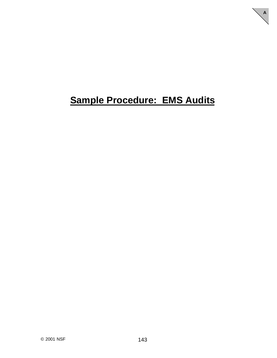# **Sample Procedure: EMS Audits**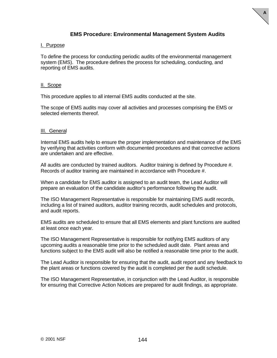

**A**

#### I. Purpose

To define the process for conducting periodic audits of the environmental management system (EMS). The procedure defines the process for scheduling, conducting, and reporting of EMS audits.

#### II. Scope

This procedure applies to all internal EMS audits conducted at the site.

The scope of EMS audits may cover all activities and processes comprising the EMS or selected elements thereof.

#### III. General

Internal EMS audits help to ensure the proper implementation and maintenance of the EMS by verifying that activities conform with documented procedures and that corrective actions are undertaken and are effective.

All audits are conducted by trained auditors. Auditor training is defined by Procedure #. Records of auditor training are maintained in accordance with Procedure #.

When a candidate for EMS auditor is assigned to an audit team, the Lead Auditor will prepare an evaluation of the candidate auditor's performance following the audit.

The ISO Management Representative is responsible for maintaining EMS audit records, including a list of trained auditors, auditor training records, audit schedules and protocols, and audit reports.

EMS audits are scheduled to ensure that all EMS elements and plant functions are audited at least once each year.

The ISO Management Representative is responsible for notifying EMS auditors of any upcoming audits a reasonable time prior to the scheduled audit date. Plant areas and functions subject to the EMS audit will also be notified a reasonable time prior to the audit.

The Lead Auditor is responsible for ensuring that the audit, audit report and any feedback to the plant areas or functions covered by the audit is completed per the audit schedule.

The ISO Management Representative, in conjunction with the Lead Auditor, is responsible for ensuring that Corrective Action Notices are prepared for audit findings, as appropriate.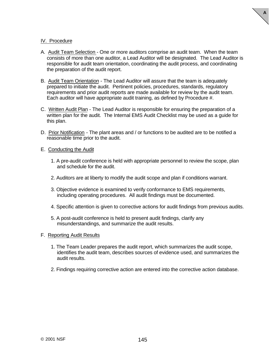

#### IV. Procedure

- A. Audit Team Selection One or more auditors comprise an audit team. When the team consists of more than one auditor, a Lead Auditor will be designated. The Lead Auditor is responsible for audit team orientation, coordinating the audit process, and coordinating the preparation of the audit report.
- B. Audit Team Orientation The Lead Auditor will assure that the team is adequately prepared to initiate the audit. Pertinent policies, procedures, standards, regulatory requirements and prior audit reports are made available for review by the audit team. Each auditor will have appropriate audit training, as defined by Procedure #.
- C. Written Audit Plan The Lead Auditor is responsible for ensuring the preparation of a written plan for the audit. The Internal EMS Audit Checklist may be used as a guide for this plan.
- D. Prior Notification The plant areas and / or functions to be audited are to be notified a reasonable time prior to the audit.

#### E. Conducting the Audit

- 1. A pre-audit conference is held with appropriate personnel to review the scope, plan and schedule for the audit.
- 2. Auditors are at liberty to modify the audit scope and plan if conditions warrant.
- 3. Objective evidence is examined to verify conformance to EMS requirements, including operating procedures. All audit findings must be documented.
- 4. Specific attention is given to corrective actions for audit findings from previous audits.
- 5. A post-audit conference is held to present audit findings, clarify any misunderstandings, and summarize the audit results.
- F. Reporting Audit Results
	- 1. The Team Leader prepares the audit report, which summarizes the audit scope, identifies the audit team, describes sources of evidence used, and summarizes the audit results.
	- 2. Findings requiring corrective action are entered into the corrective action database.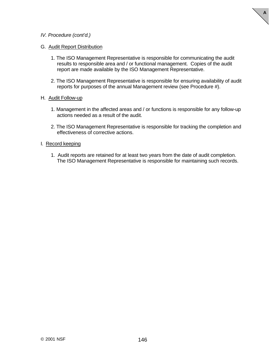

#### *IV. Procedure (cont'd.)*

#### G. Audit Report Distribution

- 1. The ISO Management Representative is responsible for communicating the audit results to responsible area and / or functional management. Copies of the audit report are made available by the ISO Management Representative.
- 2. The ISO Management Representative is responsible for ensuring availability of audit reports for purposes of the annual Management review (see Procedure #).

#### H. Audit Follow-up

- 1. Management in the affected areas and / or functions is responsible for any follow-up actions needed as a result of the audit.
- 2. The ISO Management Representative is responsible for tracking the completion and effectiveness of corrective actions.

#### I. Record keeping

1. Audit reports are retained for at least two years from the date of audit completion. The ISO Management Representative is responsible for maintaining such records.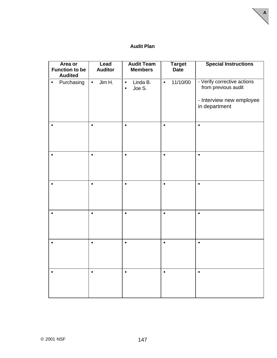### **Audit Plan**

| Area or<br><b>Function to be</b><br><b>Audited</b> | Lead<br><b>Auditor</b> | <b>Audit Team</b><br><b>Members</b>          | <b>Target</b><br><b>Date</b> | <b>Special Instructions</b>                                                                     |
|----------------------------------------------------|------------------------|----------------------------------------------|------------------------------|-------------------------------------------------------------------------------------------------|
| Purchasing<br>$\bullet$                            | Jim H.<br>$\bullet$    | Linda B.<br>$\bullet$<br>Joe S.<br>$\bullet$ | 11/10/00<br>$\bullet$        | - Verify corrective actions<br>from previous audit<br>- Interview new employee<br>in department |
| $\bullet$                                          | $\bullet$              | $\bullet$                                    | $\bullet$                    | $\bullet$                                                                                       |
| $\bullet$                                          | $\bullet$              | $\bullet$                                    | $\bullet$                    | $\bullet$                                                                                       |
|                                                    | $\bullet$              | $\bullet$                                    | $\bullet$                    | $\bullet$                                                                                       |
| $\bullet$                                          | $\bullet$              | $\bullet$                                    | $\bullet$                    | $\bullet$                                                                                       |
|                                                    | $\bullet$              | $\bullet$                                    | $\bullet$                    | $\bullet$                                                                                       |
|                                                    | $\bullet$              | $\bullet$                                    | $\bullet$                    | $\bullet$                                                                                       |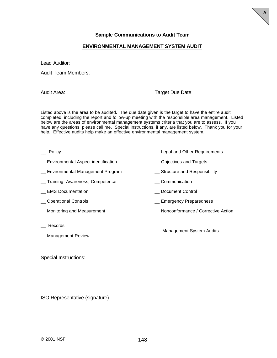#### **ENVIRONMENTAL MANAGEMENT SYSTEM AUDIT**

Lead Auditor:

Audit Team Members:

Audit Area: Target Due Date:

**A**

Listed above is the area to be audited. The due date given is the target to have the entire audit completed, including the report and follow-up meeting with the responsible area management. Listed below are the areas of environmental management systems criteria that you are to assess. If you have any questions, please call me. Special instructions, if any, are listed below. Thank you for your help. Effective audits help make an effective environmental management system.

- Legal and Other Requirements **Containers** Elegal and Other Requirements
- \_\_ Environmental Aspect identification \_\_ Objectives and Targets
- Let Environmental Management Program Theory Contracture and Responsibility
- \_\_ Training, Awareness, Competence \_\_ Communication
- \_\_ EMS Documentation \_\_ Document Control
- \_\_ Operational Controls \_\_ Emergency Preparedness
- \_\_ Monitoring and Measurement \_\_ Nonconformance / Corrective Action
- \_\_ Records
- \_\_ Management Review

\_\_ Management System Audits

Special Instructions:

ISO Representative (signature)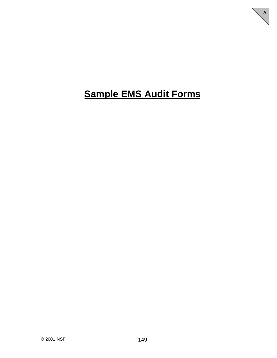# **Sample EMS Audit Forms**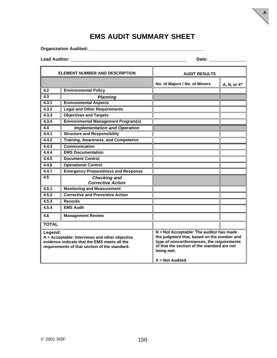## **EMS AUDIT SUMMARY SHEET**

**Organization Audited:\_\_\_\_\_\_\_\_\_\_\_\_\_\_\_\_\_\_\_\_\_\_\_\_\_\_\_\_\_\_\_\_\_\_\_\_\_\_\_\_\_\_\_\_\_\_**

**Lead Auditor: Date:** 

| <b>ELEMENT NUMBER AND DESCRIPTION</b>                                                                                                                      |                                                 | <b>AUDIT RESULTS</b>                                                                                                                                                                                                  |                |  |
|------------------------------------------------------------------------------------------------------------------------------------------------------------|-------------------------------------------------|-----------------------------------------------------------------------------------------------------------------------------------------------------------------------------------------------------------------------|----------------|--|
|                                                                                                                                                            |                                                 | No. of Majors / No. of Minors                                                                                                                                                                                         | A, N, or $X^*$ |  |
| 4.2                                                                                                                                                        | <b>Environmental Policy</b>                     |                                                                                                                                                                                                                       |                |  |
| 4.3                                                                                                                                                        | <b>Planning</b>                                 |                                                                                                                                                                                                                       |                |  |
| 4.3.1                                                                                                                                                      | <b>Environmental Aspects</b>                    |                                                                                                                                                                                                                       |                |  |
| 4.3.2                                                                                                                                                      | <b>Legal and Other Requirements</b>             |                                                                                                                                                                                                                       |                |  |
| 4.3.3                                                                                                                                                      | <b>Objectives and Targets</b>                   |                                                                                                                                                                                                                       |                |  |
| 4.3.4                                                                                                                                                      | <b>Environmental Management Program(s)</b>      |                                                                                                                                                                                                                       |                |  |
| 4.4                                                                                                                                                        | <b>Implementation and Operation</b>             |                                                                                                                                                                                                                       |                |  |
| 4.4.1                                                                                                                                                      | <b>Structure and Responsibility</b>             |                                                                                                                                                                                                                       |                |  |
| 4.4.2                                                                                                                                                      | <b>Training, Awareness, and Competence</b>      |                                                                                                                                                                                                                       |                |  |
| 4.4.3                                                                                                                                                      | <b>Communication</b>                            |                                                                                                                                                                                                                       |                |  |
| 4.4.4                                                                                                                                                      | <b>EMS Documentation</b>                        |                                                                                                                                                                                                                       |                |  |
| 4.4.5                                                                                                                                                      | <b>Document Control</b>                         |                                                                                                                                                                                                                       |                |  |
| 4.4.6                                                                                                                                                      | <b>Operational Control</b>                      |                                                                                                                                                                                                                       |                |  |
| 4.4.7                                                                                                                                                      | <b>Emergency Preparedness and Response</b>      |                                                                                                                                                                                                                       |                |  |
| 4.5                                                                                                                                                        | <b>Checking and</b><br><b>Corrective Action</b> |                                                                                                                                                                                                                       |                |  |
| 4.5.1                                                                                                                                                      | <b>Monitoring and Measurement</b>               |                                                                                                                                                                                                                       |                |  |
| 4.5.2                                                                                                                                                      | <b>Corrective and Preventive Action</b>         |                                                                                                                                                                                                                       |                |  |
| 4.5.3                                                                                                                                                      | <b>Records</b>                                  |                                                                                                                                                                                                                       |                |  |
| 4.5.4                                                                                                                                                      | <b>EMS Audit</b>                                |                                                                                                                                                                                                                       |                |  |
| 4.6                                                                                                                                                        | <b>Management Review</b>                        |                                                                                                                                                                                                                       |                |  |
| <b>TOTAL</b>                                                                                                                                               |                                                 |                                                                                                                                                                                                                       |                |  |
| Legend:<br>A = Acceptable: Interviews and other objective<br>evidence indicate that the EMS meets all the<br>requirements of that section of the standard. |                                                 | N = Not Acceptable: The auditor has made<br>the judgment that, based on the number and<br>type of nonconformances, the requirements<br>of that the section of the standard are not<br>being met.<br>$X = Not$ Audited |                |  |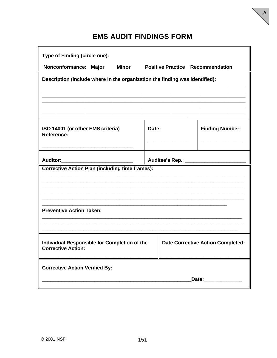## **EMS AUDIT FINDINGS FORM**

| Type of Finding (circle one):                                               |       |  |                                          |  |  |  |
|-----------------------------------------------------------------------------|-------|--|------------------------------------------|--|--|--|
| Nonconformance: Major Minor                                                 |       |  | <b>Positive Practice Recommendation</b>  |  |  |  |
| Description (include where in the organization the finding was identified): |       |  |                                          |  |  |  |
|                                                                             |       |  |                                          |  |  |  |
| ISO 14001 (or other EMS criteria)<br><b>Reference:</b>                      | Date: |  | <b>Finding Number:</b>                   |  |  |  |
| Auditor:______________________________                                      |       |  |                                          |  |  |  |
| <b>Corrective Action Plan (including time frames):</b>                      |       |  |                                          |  |  |  |
|                                                                             |       |  |                                          |  |  |  |
|                                                                             |       |  |                                          |  |  |  |
| <b>Preventive Action Taken:</b>                                             |       |  |                                          |  |  |  |
|                                                                             |       |  |                                          |  |  |  |
| Individual Responsible for Completion of the<br><b>Corrective Action:</b>   |       |  | <b>Date Corrective Action Completed:</b> |  |  |  |
| <b>Corrective Action Verified By:</b>                                       |       |  |                                          |  |  |  |
|                                                                             |       |  | Date:                                    |  |  |  |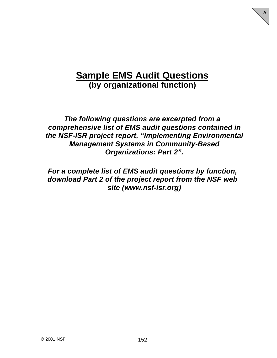## **Sample EMS Audit Questions (by organizational function)**

**A**

*The following questions are excerpted from a comprehensive list of EMS audit questions contained in the NSF-ISR project report, "Implementing Environmental Management Systems in Community-Based Organizations: Part 2".*

*For a complete list of EMS audit questions by function, download Part 2 of the project report from the NSF web site (www.nsf-isr.org)*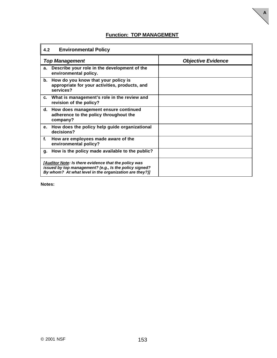**A**

| 4.2<br><b>Environmental Policy</b>                                                                                                                                       |                           |  |  |  |
|--------------------------------------------------------------------------------------------------------------------------------------------------------------------------|---------------------------|--|--|--|
| <b>Top Management</b>                                                                                                                                                    | <b>Objective Evidence</b> |  |  |  |
| Describe your role in the development of the<br>a.<br>environmental policy.                                                                                              |                           |  |  |  |
| How do you know that your policy is<br>b.<br>appropriate for your activities, products, and<br>services?                                                                 |                           |  |  |  |
| What is management's role in the review and<br>C.<br>revision of the policy?                                                                                             |                           |  |  |  |
| How does management ensure continued<br>d.<br>adherence to the policy throughout the<br>company?                                                                         |                           |  |  |  |
| How does the policy help guide organizational<br>е.<br>decisions?                                                                                                        |                           |  |  |  |
| f.<br>How are employees made aware of the<br>environmental policy?                                                                                                       |                           |  |  |  |
| How is the policy made available to the public?<br>q.                                                                                                                    |                           |  |  |  |
| [Auditor Note: Is there evidence that the policy was<br>issued by top management? (e.g., Is the policy signed?<br>By whom? At what level in the organization are they?)] |                           |  |  |  |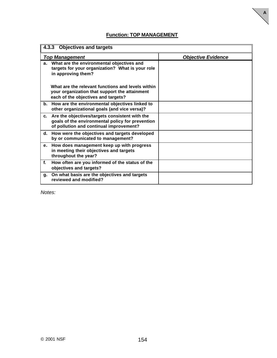**A**

| <b>Objectives and targets</b><br>4.3.3                                                                                                           |  |  |  |
|--------------------------------------------------------------------------------------------------------------------------------------------------|--|--|--|
| <b>Objective Evidence</b><br><b>Top Management</b>                                                                                               |  |  |  |
| a. What are the environmental objectives and<br>targets for your organization? What is your role<br>in approving them?                           |  |  |  |
| What are the relevant functions and levels within<br>your organization that support the attainment<br>each of the objectives and targets?        |  |  |  |
| b. How are the environmental objectives linked to<br>other organizational goals (and vice versa)?                                                |  |  |  |
| c. Are the objectives/targets consistent with the<br>goals of the environmental policy for prevention<br>of pollution and continual improvement? |  |  |  |
| d. How were the objectives and targets developed<br>by or communicated to management?                                                            |  |  |  |
| How does management keep up with progress<br>е.<br>in meeting their objectives and targets<br>throughout the year?                               |  |  |  |
| f.<br>How often are you informed of the status of the<br>objectives and targets?                                                                 |  |  |  |
| On what basis are the objectives and targets<br>g.<br>reviewed and modified?                                                                     |  |  |  |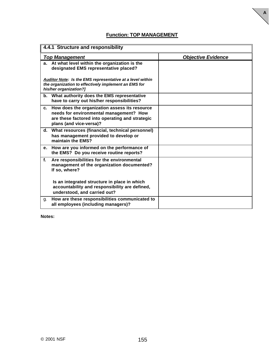**A**

| 4.4.1 Structure and responsibility                                                                                                                                           |                           |  |  |
|------------------------------------------------------------------------------------------------------------------------------------------------------------------------------|---------------------------|--|--|
| <b>Top Management</b>                                                                                                                                                        | <b>Objective Evidence</b> |  |  |
| a. At what level within the organization is the<br>designated EMS representative placed?                                                                                     |                           |  |  |
| Auditor Note: Is the EMS representative at a level within<br>the organization to effectively implement an EMS for<br>his/her organization?]                                  |                           |  |  |
| b. What authority does the EMS representative<br>have to carry out his/her responsibilities?                                                                                 |                           |  |  |
| How does the organization assess its resource<br>C.<br>needs for environmental management? How<br>are these factored into operating and strategic<br>plans (and vice-versa)? |                           |  |  |
| What resources (financial, technical personnel)<br>d.<br>has management provided to develop or<br>maintain the EMS?                                                          |                           |  |  |
| How are you informed on the performance of<br>е.<br>the EMS? Do you receive routine reports?                                                                                 |                           |  |  |
| $f_{\rm{L}}$<br>Are responsibilities for the environmental<br>management of the organization documented?<br>If so, where?                                                    |                           |  |  |
| Is an integrated structure in place in which<br>accountability and responsibility are defined,<br>understood, and carried out?                                               |                           |  |  |
| How are these responsibilities communicated to<br>g.<br>all employees (including managers)?                                                                                  |                           |  |  |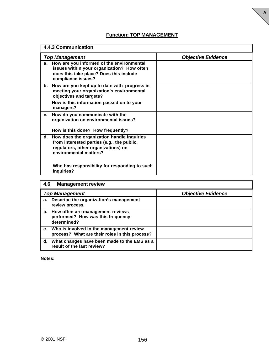**A**

| 4.4.3 Communication                                                                                                                                             |                           |  |  |
|-----------------------------------------------------------------------------------------------------------------------------------------------------------------|---------------------------|--|--|
| <b>Top Management</b>                                                                                                                                           | <b>Objective Evidence</b> |  |  |
| How are you informed of the environmental<br>а.<br>issues within your organization? How often<br>does this take place? Does this include<br>compliance issues?  |                           |  |  |
| How are you kept up to date with progress in<br>b.<br>meeting your organization's environmental<br>objectives and targets?                                      |                           |  |  |
| How is this information passed on to your<br>managers?                                                                                                          |                           |  |  |
| How do you communicate with the<br>c.<br>organization on environmental issues?                                                                                  |                           |  |  |
| How is this done? How frequently?                                                                                                                               |                           |  |  |
| How does the organization handle inquiries<br>d.<br>from interested parties (e.g., the public,<br>regulators, other organizations) on<br>environmental matters? |                           |  |  |
| Who has responsibility for responding to such<br>inquiries?                                                                                                     |                           |  |  |

| $\overline{4.6}$ | <b>Management review</b>                                                                      |  |  |  |  |
|------------------|-----------------------------------------------------------------------------------------------|--|--|--|--|
|                  | <b>Objective Evidence</b><br><b>Top Management</b>                                            |  |  |  |  |
| а.               | Describe the organization's management<br>review process.                                     |  |  |  |  |
|                  | b. How often are management reviews<br>performed? How was this frequency<br>determined?       |  |  |  |  |
|                  | c. Who is involved in the management review<br>process? What are their roles in this process? |  |  |  |  |
|                  | d. What changes have been made to the EMS as a<br>result of the last review?                  |  |  |  |  |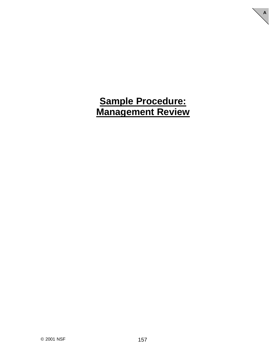## **Sample Procedure: Management Review**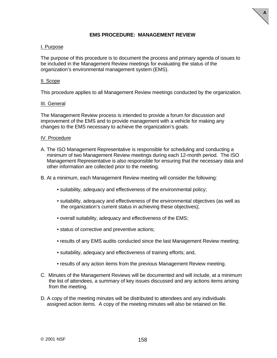

#### **EMS PROCEDURE: MANAGEMENT REVIEW**

#### I. Purpose

The purpose of this procedure is to document the process and primary agenda of issues to be included in the Management Review meetings for evaluating the status of the organization's environmental management system (EMS).

#### II. Scope

This procedure applies to all Management Review meetings conducted by the organization.

#### III. General

The Management Review process is intended to provide a forum for discussion and improvement of the EMS and to provide management with a vehicle for making any changes to the EMS necessary to achieve the organization's goals.

#### IV. Procedure

A. The ISO Management Representative is responsible for scheduling and conducting a minimum of two Management Review meetings during each 12-month period. The ISO Management Representative is also responsible for ensuring that the necessary data and other information are collected prior to the meeting.

B. At a minimum, each Management Review meeting will consider the following:

- suitability, adequacy and effectiveness of the environmental policy;
- suitability, adequacy and effectiveness of the environmental objectives (as well as the organization's current status in achieving these objectives);
- overall suitability, adequacy and effectiveness of the EMS;
- status of corrective and preventive actions;
- results of any EMS audits conducted since the last Management Review meeting;
- suitability, adequacy and effectiveness of training efforts; and,
- results of any action items from the previous Management Review meeting.
- C. Minutes of the Management Reviews will be documented and will include, at a minimum the list of attendees, a summary of key issues discussed and any actions items arising from the meeting.
- D. A copy of the meeting minutes will be distributed to attendees and any individuals assigned action items. A copy of the meeting minutes will also be retained on file.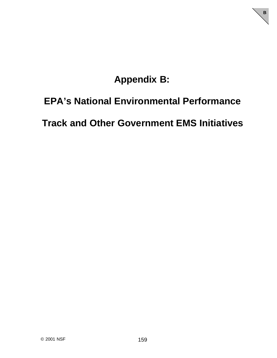# **Appendix B:**

**B**

## **EPA's National Environmental Performance**

**Track and Other Government EMS Initiatives**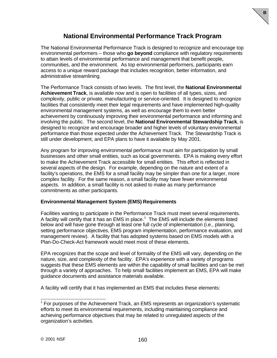### **National Environmental Performance Track Program**

**B**

The National Environmental Performance Track is designed to recognize and encourage top environmental performers – those who **go beyond** compliance with regulatory requirements to attain levels of environmental performance and management that benefit people, communities, and the environment. As top environmental performers, participants earn access to a unique reward package that includes recognition, better information, and administrative streamlining.

The Performance Track consists of two levels. The first level, the **National Environmental Achievement Track**, is available now and is open to facilities of all types, sizes, and complexity, public or private, manufacturing or service-oriented. It is designed to recognize facilities that consistently meet their legal requirements and have implemented high-quality environmental management systems, as well as encourage them to even better achievement by continuously improving their environmental performance and informing and involving the public. The second level, the **National Environmental Stewardship Track**, is designed to recognize and encourage broader and higher levels of voluntary environmental performance than those expected under the Achievement Track. The Stewardship Track is still under development, and EPA plans to have it available by May 2001.

Any program for improving environmental performance must aim for participation by small businesses and other small entities, such as local governments. EPA is making every effort to make the Achievement Track accessible for small entities. This effort is reflected in several aspects of the design. For example, depending on the nature and extent of a facility's operations, the EMS for a small facility may be simpler than one for a larger, more complex facility. For the same reason, a small facility may have fewer environmental aspects. In addition, a small facility is not asked to make as many performance commitments as other participants.

#### **Environmental Management System (EMS) Requirements**

Facilities wanting to participate in the Performance Track must meet several requirements. A facility will certify that it has an EMS in place.<sup>1</sup> The EMS will include the elements listed below and will have gone through at least one full cycle of implementation (i.e., planning, setting performance objectives, EMS program implementation, performance evaluation, and management review). A facility that has adopted systems based on EMS models with a Plan-Do-Check-Act framework would meet most of these elements.

EPA recognizes that the scope and level of formality of the EMS will vary, depending on the nature, size, and complexity of the facility. EPA's experience with a variety of programs suggests that these EMS elements are within the capability of small facilities and can be met through a variety of approaches. To help small facilities implement an EMS, EPA will make guidance documents and assistance materials available.

A facility will certify that it has implemented an EMS that includes these elements:

 1 For purposes of the Achievement Track, an EMS represents an organization's systematic efforts to meet its environmental requirements, including maintaining compliance and achieving performance objectives that may be related to unregulated aspects of the organization's activities.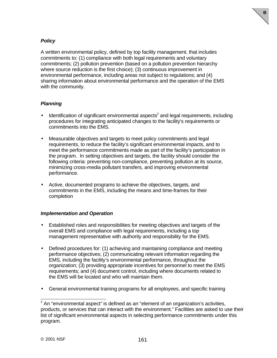#### *Policy*

A written environmental policy, defined by top facility management, that includes commitments to: (1) compliance with both legal requirements and voluntary commitments; (2) pollution prevention (based on a pollution prevention hierarchy where source reduction is the first choice); (3) continuous improvement in environmental performance, including areas not subject to regulations; and (4) sharing information about environmental performance and the operation of the EMS with the community.

**B**

#### *Planning*

- $\bullet$  Identification of significant environmental aspects<sup>2</sup> and legal requirements, including procedures for integrating anticipated changes to the facility's requirements or commitments into the EMS.
- Measurable objectives and targets to meet policy commitments and legal requirements, to reduce the facility's significant environmental impacts, and to meet the performance commitments made as part of the facility's participation in the program. In setting objectives and targets, the facility should consider the following criteria: preventing non-compliance, preventing pollution at its source, minimizing cross-media pollutant transfers, and improving environmental performance.
- Active, documented programs to achieve the objectives, targets, and commitments in the EMS, including the means and time-frames for their completion

#### *Implementation and Operation*

- Established roles and responsibilities for meeting objectives and targets of the overall EMS and compliance with legal requirements, including a top management representative with authority and responsibility for the EMS.
- Defined procedures for: (1) achieving and maintaining compliance and meeting performance objectives; (2) communicating relevant information regarding the EMS, including the facility's environmental performance, throughout the organization; (3) providing appropriate incentives for personnel to meet the EMS requirements; and (4) document control, including where documents related to the EMS will be located and who will maintain them.
- General environmental training programs for all employees, and specific training

 2 An "environmental aspect" is defined as an "element of an organization's activities, products, or services that can interact with the environment." Facilities are asked to use their list of significant environmental aspects in selecting performance commitments under this program.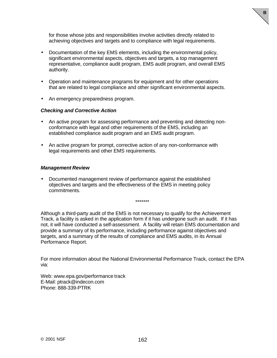for those whose jobs and responsibilities involve activities directly related to achieving objectives and targets and to compliance with legal requirements. **B**

- Documentation of the key EMS elements, including the environmental policy, significant environmental aspects, objectives and targets, a top management representative, compliance audit program, EMS audit program, and overall EMS authority.
- Operation and maintenance programs for equipment and for other operations that are related to legal compliance and other significant environmental aspects.
- An emergency preparedness program.

#### *Checking and Corrective Action*

- An active program for assessing performance and preventing and detecting nonconformance with legal and other requirements of the EMS, including an established compliance audit program and an EMS audit program.
- An active program for prompt, corrective action of any non-conformance with legal requirements and other EMS requirements.

#### *Management Review*

• Documented management review of performance against the established objectives and targets and the effectiveness of the EMS in meeting policy commitments.

\*\*\*\*\*\*\*

Although a third-party audit of the EMS is not necessary to qualify for the Achievement Track, a facility is asked in the application form if it has undergone such an audit. If it has not, it will have conducted a self-assessment. A facility will retain EMS documentation and provide a summary of its performance, including performance against objectives and targets, and a summary of the results of compliance and EMS audits, in its Annual Performance Report.

For more information about the National Environmental Performance Track, contact the EPA via:

Web: www.epa.gov/performance track E-Mail: ptrack@indecon.com Phone: 888-339-PTRK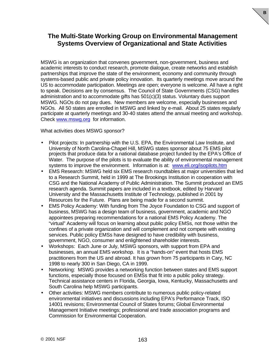## **The Multi-State Working Group on Environmental Management Systems Overview of Organizational and State Activities**

**B**

MSWG is an organization that convenes government, non-government, business and academic interests to conduct research, promote dialogue, create networks and establish partnerships that improve the state of the environment, economy and community through systems-based public and private policy innovation. Its quarterly meetings move around the US to accommodate participation. Meetings are open; everyone is welcome. All have a right to speak. Decisions are by consensus. The Council of State Governments (CSG) handles administration and to accommodate gifts has 501(c)(3) status. Voluntary dues support MSWG. NGOs do not pay dues. New members are welcome, especially businesses and NGOs. All 50 states are enrolled in MSWG and linked by e-mail. About 25 states regularly participate at quarterly meetings and 30-40 states attend the annual meeting and workshop. Check www.mswg.org for information.

What activities does MSWG sponsor?

- Pilot projects: In partnership with the U.S. EPA, the Environmental Law Institute, and University of North Carolina-Chapel Hill, MSWG states sponsor about 75 EMS pilot projects that produce data for a national database project funded by the EPA's Office of Water. The purpose of the pilots is to evaluate the ability of environmental management systems to improve the environment. Information is at: www.eli.org/isopilots.htm
- EMS Research: MSWG held six EMS research roundtables at major universities that led to a Research Summit, held in 1999 at The Brookings Institution in cooperation with CSG and the National Academy of Public Administration. The Summit produced an EMS research agenda. Summit papers are included in a textbook, edited by Harvard University and the Massachusetts Institute of Technology, published in 2001 by Resources for the Future. Plans are being made for a second summit.
- EMS Policy Academy: With funding from The Joyce Foundation to CSG and support of business, MSWG has a design team of business, government, academic and NGO appointees preparing recommendations for a national EMS Policy Academy. The "virtual" Academy will focus on learning about public policy EMSs, not those within the confines of a private organization and will complement and not compete with existing services. Public policy EMSs have designed to have credibility with business, government, NGO, consumer and enlightened shareholder interests.
- Workshops: Each June or July, MSWG sponsors, with support from EPA and businesses, an annual EMS workshop. It is a "hands-on" event that hosts EMS practitioners from the US and abroad. It has grown from 75 participants in Cary, NC 1998 to nearly 300 in San Diego, CA in 1999.
- Networking: MSWG provides a networking function between states and EMS support functions, especially those focused on EMSs that fit into a public policy strategy. Technical assistance centers in Florida, Georgia, Iowa, Kentucky, Massachusetts and South Carolina help MSWG participants.
- Other activities: MSWG members contribute to numerous public policy-related environmental initiatives and discussions including EPA's Performance Track, ISO 14001 revisions; Environmental Council of States forums; Global Environmental Management Initiative meetings; professional and trade association programs and Commission for Environmental Cooperation.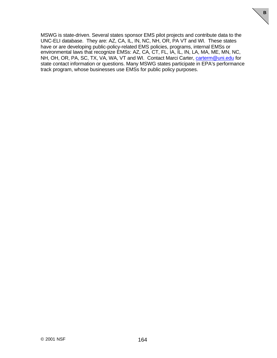MSWG is state-driven. Several states sponsor EMS pilot projects and contribute data to the UNC-ELI database. They are: AZ, CA, IL, IN, NC, NH, OR, PA VT and WI. These states have or are developing public-policy-related EMS policies, programs, internal EMSs or environmental laws that recognize EMSs: AZ, CA, CT, FL, IA, IL, IN, LA, MA, ME, MN, NC, NH, OH, OR, PA, SC, TX, VA, WA, VT and WI. Contact Marci Carter, carterm@uni.edu for state contact information or questions. Many MSWG states participate in EPA's performance track program, whose businesses use EMSs for public policy purposes.

**B**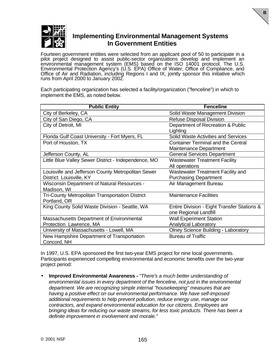

### **Implementing Environmental Management Systems In Government Entities**

**B**

Fourteen government entities were selected from an applicant pool of 50 to participate in a pilot project designed to assist public-sector organizations develop and implement an environmental management system (EMS) based on the ISO 14001 protocol. The U.S. Environmental Protection Agency's (U.S. EPA) Office of Water, Office of Compliance, and Office of Air and Radiation, including Regions I and IX, jointly sponsor this initiative which runs from April 2000 to January 2002.

Each participating organization has selected a facility/organization ("fenceline") in which to implement the EMS, as noted below.

| <b>Public Entity</b>                                 | <b>Fenceline</b>                            |
|------------------------------------------------------|---------------------------------------------|
| City of Berkeley, CA                                 | Solid Waste Management Division             |
| City of San Diego, CA                                | <b>Refuse Disposal Division</b>             |
| City of Detroit, MI                                  | Department of Recreation & Public           |
|                                                      | Lighting                                    |
| Florida Gulf Coast University - Fort Myers, FL       | Solid Waste Activities and Services         |
| Port of Houston, TX                                  | <b>Container Terminal and the Central</b>   |
|                                                      | Maintenance Department                      |
| Jefferson County, AL                                 | <b>General Services Department</b>          |
| Little Blue Valley Sewer District - Independence, MO | <b>Wastewater Treatment Facility</b>        |
|                                                      | All operations                              |
| Louisville and Jefferson County Metropolitan Sewer   | Wastewater Treatment Facility and           |
| District Louisville, KY                              | <b>Purchasing Department</b>                |
| <b>Wisconsin Department of Natural Resources -</b>   | Air Management Bureau                       |
| Madison, WI                                          |                                             |
| Tri-County Metropolitan Transportation District      | <b>Maintenance Facilities</b>               |
| Portland, OR                                         |                                             |
| King County Solid Waste Division - Seattle, WA       | Entire Division - Eight Transfer Stations & |
|                                                      | one Regional Landfill                       |
| Massachusetts Department of Environmental            | <b>Wall Experiment Station</b>              |
| Protection Lawrence, MA                              | <b>Analytical Laboratory</b>                |
| University of Massachusetts - Lowell, MA             | <b>Olney Science Building - Laboratory</b>  |
| New Hampshire Department of Transportation           | <b>Bureau of Traffic</b>                    |
| Concord, NH                                          |                                             |

In 1997, U.S. EPA sponsored the first two-year EMS project for nine local governments. Participants experienced compelling environmental and economic benefits over the two-year project period:

• **Improved Environmental Awareness -** "*There's a much better understanding of environmental issues in every department of the fenceline, not just in the environmental department. We are recognizing simple internal "housekeeping" measures that are having a positive effect on our environmental performance. We have self-imposed additional requirements to help prevent pollution, reduce energy use, manage our contractors, and expand environmental education for our citizens. Employees are bringing ideas for reducing our waste streams, for less toxic products. There has been a definite improvement in involvement and morale."*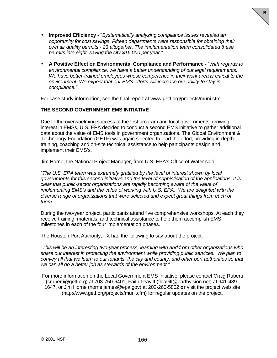• **Improved Efficiency -** "*Systematically analyzing compliance issues revealed an opportunity for cost savings. Fifteen departments were responsible for obtaining their own air quality permits - 23 altogether. The implementation team consolidated these permits into eight, saving the city \$16,000 per year."*

**B**

• **A Positive Effect on Environmental Compliance and Performance -** "*With regards to environmental compliance, we have a better understanding of our legal requirements. We have better-trained employees whose competence in their work area is critical to the environment. We expect that our EMS efforts will increase our ability to stay in compliance."*

For case study information, see the final report at www.getf.org/projects/muni.cfm.

#### **THE SECOND GOVERNMENT EMS INITIATIVE**

Due to the overwhelming success of the first program and local governments' growing interest in EMSs, U.S. EPA decided to conduct a second EMS initiative to gather additional data about the value of EMS tools in government organizations. The Global Environment & Technology Foundation (GETF) was again selected to lead the effort, providing in-depth training, coaching and on-site technical assistance to help participants design and implement their EMS's.

Jim Horne, the National Project Manager, from U.S. EPA's Office of Water said,

*"The U.S. EPA team was extremely gratified by the level of interest shown by local governments for this second initiative and the level of sophistication of the applications. It is clear that public-sector organizations are rapidly becoming aware of the value of implementing EMS's and the value of working with U.S. EPA. We are delighted with the diverse range of organizations that were selected and expect great things from each of them."*

During the two-year project, participants attend five comprehensive workshops. At each they receive training, materials, and technical assistance to help them accomplish EMS milestones in each of the four implementation phases.

The Houston Port Authority, TX had the following to say about the project:

"*This will be an interesting two-year process, learning with and from other organizations who share our interest in protecting the environment while providing public services. We plan to convey all that we learn to our tenants, the city and county, and other port authorities so that we can all do a better job as stewards of the environment."*

For more information on the Local Government EMS Initiative, please contact Craig Ruberti (cruberti@getf.org) at 703-750-6401, Faith Leavitt (fleavitt@earthvision.net) at 941-489- 1647, or Jim Horne (horne.james@epa.gov) at 202-260-5802 **or** visit the project web site (http://www.getf.org/projects/muni.cfm) for regular updates on the project.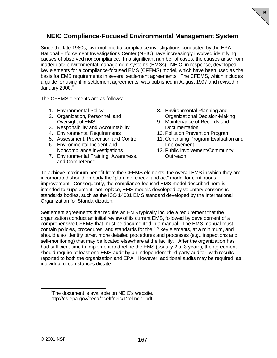## **NEIC Compliance-Focused Environmental Management System**

Since the late 1980s, civil multimedia compliance investigations conducted by the EPA National Enforcement Investigations Center (NEIC) have increasingly involved identifying causes of observed noncompliance. In a significant number of cases, the causes arise from inadequate environmental management systems (EMSs). NEIC, in response, developed key elements for a compliance-focused EMS (CFEMS) model, which have been used as the basis for EMS requirements in several settlement agreements. The CFEMS, which includes a guide for using it in settlement agreements, was published in August 1997 and revised in January  $2000.<sup>3</sup>$ 

The CFEMS elements are as follows:

- 1. Environmental Policy
- 2. Organization, Personnel, and Oversight of EMS
- 3. Responsibility and Accountability
- 4. Environmental Requirements
- 5. Assessment, Prevention and Control
- 6. Environmental Incident and Noncompliance Investigations
- 7. Environmental Training, Awareness, and Competence

8. Environmental Planning and Organizational Decision-Making **B**

- 9. Maintenance of Records and **Documentation**
- 10. Pollution Prevention Program
- 11. Continuing Program Evaluation and Improvement
- 12. Public Involvement/Community **Outreach**

To achieve maximum benefit from the CFEMS elements, the overall EMS in which they are incorporated should embody the "plan, do, check, and act" model for continuous improvement. Consequently, the compliance-focused EMS model described here is intended to supplement, not replace, EMS models developed by voluntary consensus standards bodies, such as the ISO 14001 EMS standard developed by the International Organization for Standardization.

Settlement agreements that require an EMS typically include a requirement that the organization conduct an initial review of its current EMS, followed by development of a comprehensive CFEMS that must be documented in a manual. The EMS manual must contain policies, procedures, and standards for the 12 key elements, at a minimum, and should also identify other, more detailed procedures and processes (e.g., inspections and self-monitoring) that may be located elsewhere at the facility. After the organization has had sufficient time to implement and refine the EMS (usually 2 to 3 years), the agreement should require at least one EMS audit by an independent third-party auditor, with results reported to both the organization and EPA. However, additional audits may be required, as individual circumstances dictate

 $\overline{a}$ 

<sup>&</sup>lt;sup>3</sup>The document is available on NEIC's website. http://es.epa.gov/oeca/oceft/neic/12elmenr.pdf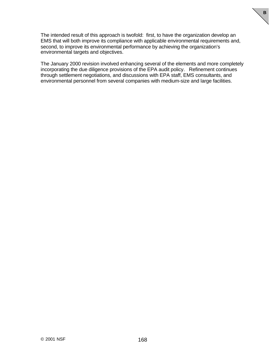The intended result of this approach is twofold: first, to have the organization develop an EMS that will both improve its compliance with applicable environmental requirements and, second, to improve its environmental performance by achieving the organization's environmental targets and objectives.

**B**

The January 2000 revision involved enhancing several of the elements and more completely incorporating the due diligence provisions of the EPA audit policy. Refinement continues through settlement negotiations, and discussions with EPA staff, EMS consultants, and environmental personnel from several companies with medium-size and large facilities.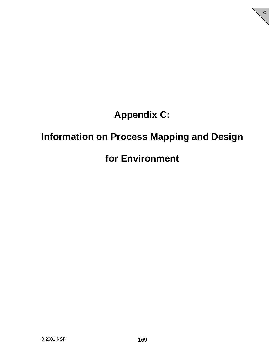# **Appendix C:**

**C**

## **Information on Process Mapping and Design**

## **for Environment**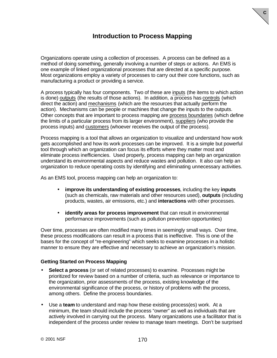### **Introduction to Process Mapping**

**C**

Organizations operate using a collection of processes. A process can be defined as a method of doing something, generally involving a number of steps or actions. An EMS is one example of linked organizational processes that are directed at a specific purpose. Most organizations employ a variety of processes to carry out their core functions, such as manufacturing a product or providing a service.

A process typically has four components. Two of these are inputs (the items to which action is done) outputs (the results of those actions). In addition, a process has controls (which direct the action) and mechanisms (which are the resources that actually perform the action). Mechanisms can be people or machines that change the inputs to the outputs. Other concepts that are important to process mapping are process boundaries (which define the limits of a particular process from its larger environment), suppliers (who provide the process inputs) and customers (whoever receives the output of the process).

Process mapping is a tool that allows an organization to visualize and understand how work gets accomplished and how its work processes can be improved. It is a simple but powerful tool through which an organization can focus its efforts where they matter most and eliminate process inefficiencies. Used properly, process mapping can help an organization understand its environmental aspects and reduce wastes and pollution. It also can help an organization to reduce operating costs by identifying and eliminating unnecessary activities.

As an EMS tool, process mapping can help an organization to:

- **improve its understanding of existing processes**, including the key **inputs** (such as chemicals, raw materials and other resources used), **outputs** (including products, wastes, air emissions, etc.) and **interactions** with other processes.
- **identify areas for process improvement** that can result in environmental performance improvements (such as pollution prevention opportunities)

Over time, processes are often modified many times in seemingly small ways. Over time, these process modifications can result in a process that is ineffective. This is one of the bases for the concept of "re-engineering" which seeks to examine processes in a holistic manner to ensure they are effective and necessary to achieve an organization's mission.

#### **Getting Started on Process Mapping**

- **Select a process** (or set of related processes) to examine. Processes might be prioritized for review based on a number of criteria, such as relevance or importance to the organization, prior assessments of the process, existing knowledge of the environmental significance of the process, or history of problems with the process, among others. Define the process boundaries.
- Use a **team** to understand and map how these existing process(es) work. At a minimum, the team should include the process "owner" as well as individuals that are actively involved in carrying out the process. Many organizations use a facilitator that is independent of the process under review to manage team meetings. Don't be surprised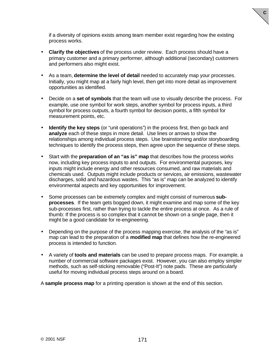

if a diversity of opinions exists among team member exist regarding how the existing process works.

- **Clarify the objectives** of the process under review. Each process should have a primary customer and a primary performer, although additional (secondary) customers and performers also might exist.
- As a team, **determine the level of detail** needed to accurately map your processes. Initially, you might map at a fairly high level, then get into more detail as improvement opportunities as identified.
- Decide on a **set of symbols** that the team will use to visually describe the process. For example, use one symbol for work steps, another symbol for process inputs, a third symbol for process outputs, a fourth symbol for decision points, a fifth symbol for measurement points, etc.
- **Identify the key steps** (or "unit operations") in the process first, then go back and **analyze** each of these steps in more detail. Use lines or arrows to show the relationships among individual process steps. Use brainstorming and/or storyboarding techniques to identify the process steps, then agree upon the sequence of these steps.
- Start with the **preparation of an "as is" map** that describes how the process works now, including key process inputs to and outputs. For environmental purposes, key inputs might include energy and other resources consumed, and raw materials and chemicals used. Outputs might include products or services, air emissions, wastewater discharges, solid and hazardous wastes. This "as is" map can be analyzed to identify environmental aspects and key opportunities for improvement.
- Some processes can be extremely complex and might consist of numerous **subprocesses**. If the team gets bogged down, it might examine and map some of the key sub-processes first, rather than trying to tackle the entire process at once. As a rule of thumb: If the process is so complex that it cannot be shown on a single page, then it might be a good candidate for re-engineering.
- Depending on the purpose of the process mapping exercise, the analysis of the "as is" map can lead to the preparation of a **modified map** that defines how the re-engineered process is intended to function.
- A variety of **tools and materials** can be used to prepare process maps. For example, a number of commercial software packages exist. However, you can also employ simpler methods, such as self-sticking removable ("Post-It") note pads. These are particularly useful for moving individual process steps around on a board.

A **sample process map** for a printing operation is shown at the end of this section.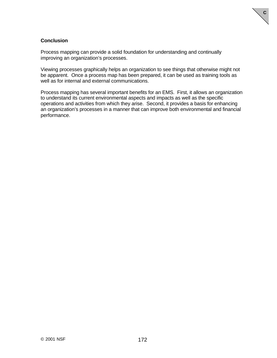#### **Conclusion**

Process mapping can provide a solid foundation for understanding and continually improving an organization's processes.

Viewing processes graphically helps an organization to see things that otherwise might not be apparent. Once a process map has been prepared, it can be used as training tools as well as for internal and external communications.

**C**

Process mapping has several important benefits for an EMS. First, it allows an organization to understand its current environmental aspects and impacts as well as the specific operations and activities from which they arise. Second, it provides a basis for enhancing an organization's processes in a manner that can improve both environmental and financial performance.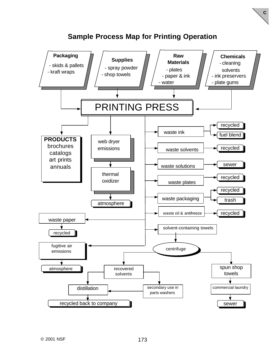

## **Sample Process Map for Printing Operation**

**C**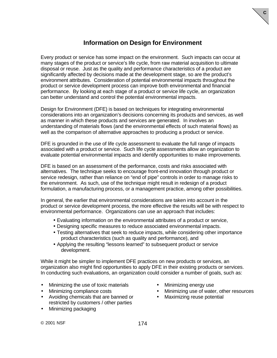## **Information on Design for Environment**

Every product or service has some impact on the environment. Such impacts can occur at many stages of the product or service's life cycle, from raw material acquisition to ultimate disposal or reuse. Just as the quality and performance characteristics of a product are significantly affected by decisions made at the development stage, so are the product's environment attributes. Consideration of potential environmental impacts throughout the product or service development process can improve both environmental and financial performance. By looking at each stage of a product or service life cycle, an organization can better understand and control the potential environmental impacts.

Design for Environment (DFE) is based on techniques for integrating environmental considerations into an organization's decisions concerning its products and services, as well as manner in which these products and services are generated. In involves an understanding of materials flows (and the environmental effects of such material flows) as well as the comparison of alternative approaches to producing a product or service.

DFE is grounded in the use of life cycle assessment to evaluate the full range of impacts associated with a product or service. Such life cycle assessments allow an organization to evaluate potential environmental impacts and identify opportunities to make improvements.

DFE is based on an assessment of the performance, costs and risks associated with alternatives. The technique seeks to encourage front-end innovation through product or service redesign, rather than reliance on "end of pipe" controls in order to manage risks to the environment. As such, use of the technique might result in redesign of a product formulation, a manufacturing process, or a management practice, among other possibilities.

In general, the earlier that environmental considerations are taken into account in the product or service development process, the more effective the results will be with respect to environmental performance. Organizations can use an approach that includes:

- Evaluating information on the environmental attributes of a product or service,
- Designing specific measures to reduce associated environmental impacts.
- Testing alternatives that seek to reduce impacts, while considering other importance product characteristics (such as quality and performance), and
- Applying the resulting "lessons learned" to subsequent product or service development.

While it might be simpler to implement DFE practices on new products or services, an organization also might find opportunities to apply DFE in their existing products or services. In conducting such evaluations, an organization could consider a number of goals, such as:

- Minimizing the use of toxic materials Minimizing energy use
- 
- Avoiding chemicals that are banned or restricted by customers / other parties
- Minimizing packaging

• Minimizing compliance costs • Minimizing use of water, other resources

**C**

• Maximizing reuse potential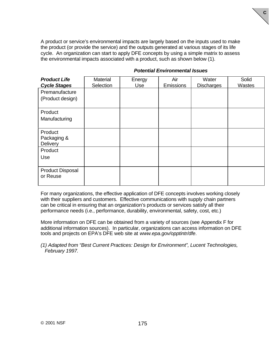A product or service's environmental impacts are largely based on the inputs used to make the product (or provide the service) and the outputs generated at various stages of its life cycle. An organization can start to apply DFE concepts by using a simple matrix to assess the environmental impacts associated with a product, such as shown below (1).

| <b>Product Life</b><br><b>Cycle Stages</b> | <b>Material</b><br>Selection | Energy<br>Use | Air<br>Emissions | Water<br><b>Discharges</b> | Solid<br>Wastes |
|--------------------------------------------|------------------------------|---------------|------------------|----------------------------|-----------------|
| Premanufacture<br>(Product design)         |                              |               |                  |                            |                 |
| Product<br>Manufacturing                   |                              |               |                  |                            |                 |
| Product<br>Packaging &<br>Delivery         |                              |               |                  |                            |                 |
| Product<br>Use                             |                              |               |                  |                            |                 |
| <b>Product Disposal</b><br>or Reuse        |                              |               |                  |                            |                 |

#### *Potential Environmental Issues*

**C**

For many organizations, the effective application of DFE concepts involves working closely with their suppliers and customers. Effective communications with supply chain partners can be critical in ensuring that an organization's products or services satisfy all their performance needs (i.e., performance, durability, environmental, safety, cost, etc.)

More information on DFE can be obtained from a variety of sources (see Appendix F for additional information sources). In particular, organizations can access information on DFE tools and projects on EPA's DFE web site at *www.epa.gov/opptintr/dfe*.

*(1) Adapted from "Best Current Practices: Design for Environment", Lucent Technologies, February 1997.*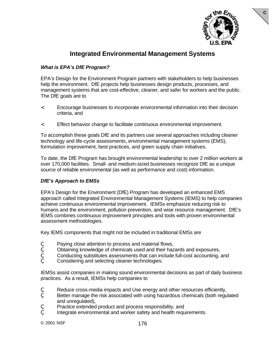

**C**

### **Integrated Environmental Management Systems**

### *What is EPA's DfE Program?*

EPA's Design for the Environment Program partners with stakeholders to help businesses help the environment. DfE projects help businesses design products, processes, and management systems that are cost-effective, cleaner, and safer for workers and the public. The DfE goals are to

- < Encourage businesses to incorporate environmental information into their decision criteria, and
- < Effect behavior change to facilitate continuous environmental improvement.

To accomplish these goals DfE and its partners use several approaches including cleaner technology and life-cycle assessments, environmental management systems (EMS), formulation improvement, best practices, and green supply chain initiatives.

To date, the DfE Program has brought environmental leadership to over 2 million workers at over 170,000 facilities. Small- and medium-sized businesses recognize DfE as a unique source of reliable environmental (as well as performance and cost) information.

#### *DfE's Approach to EMSs*

EPA's Design for the Environment (DfE) Program has developed an enhanced EMS approach called Integrated Environmental Management Systems (IEMS) to help companies achieve continuous environmental improvement. IEMSs emphasize reducing risk to humans and the environment, pollution prevention, and wise resource management. DfE's IEMS combines continuous improvement principles and tools with proven environmental assessment methodologies.

Key IEMS components that might not be included in traditional EMSs are

- Paying close attention to process and material flows,
- ' Obtaining knowledge of chemicals used and their hazards and exposures,
- ' Conducting substitutes assessments that can include full-cost accounting, and
- Considering and selecting cleaner technologies.

IEMSs assist companies in making sound environmental decisions as part of daily business practices. As a result, IEMSs help companies to

- Reduce cross-media impacts and Use energy and other resources efficiently,
- Better manage the risk associated with using hazardous chemicals (both regulated and unregulated),
- Practice extended product and process responsibility, and
- Integrate environmental and worker safety and health requirements.

© 2001 NSF 176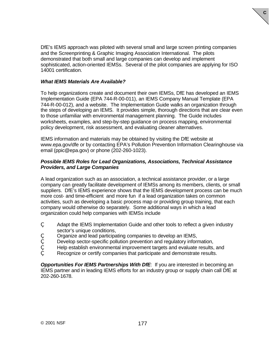DfE's IEMS approach was piloted with several small and large screen printing companies and the Screenprinting & Graphic Imaging Association International. The pilots demonstrated that both small and large companies can develop and implement sophisticated, action-oriented IEMSs. Several of the pilot companies are applying for ISO 14001 certification.

**C**

#### *What IEMS Materials Are Available?*

To help organizations create and document their own IEMSs, DfE has developed an IEMS Implementation Guide (EPA 744-R-00-011), an IEMS Company Manual Template (EPA 744-R-00-012), and a website. The Implementation Guide walks an organization through the steps of developing an IEMS. It provides simple, thorough directions that are clear even to those unfamiliar with environmental management planning. The Guide includes worksheets, examples, and step-by-step guidance on process mapping, environmental policy development, risk assessment, and evaluating cleaner alternatives.

IEMS information and materials may be obtained by visiting the DfE website at www.epa.gov/dfe or by contacting EPA's Pollution Prevention Information Clearinghouse via email (ppic@epa.gov) or phone (202-260-1023).

#### *Possible IEMS Roles for Lead Organizations, Associations, Technical Assistance Providers, and Large Companies*

A lead organization such as an association, a technical assistance provider, or a large company can greatly facilitate development of IEMSs among its members, clients, or small suppliers. DfE's IEMS experience shows that the IEMS development process can be much more cost- and time-efficient and more fun if a lead organization takes on common activities, such as developing a basic process map or providing group training, that each company would otherwise do separately. Some additional ways in which a lead organization could help companies with IEMSs include

- Adapt the IEMS Implementation Guide and other tools to reflect a given industry sector's unique conditions,
- ' Organize and lead participating companies to develop an IEMS,
- Develop sector-specific pollution prevention and regulatory information,
- Help establish environmental improvement targets and evaluate results, and
- Recognize or certify companies that participate and demonstrate results.

**Opportunities For IEMS Partnerships With DfE:** If you are interested in becoming an IEMS partner and in leading IEMS efforts for an industry group or supply chain call DfE at 202-260-1678.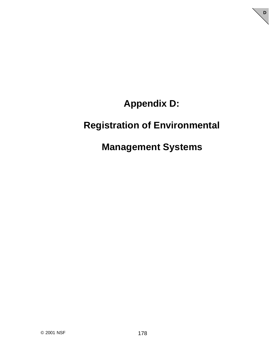# **Appendix D:**

**D**

# **Registration of Environmental**

## **Management Systems**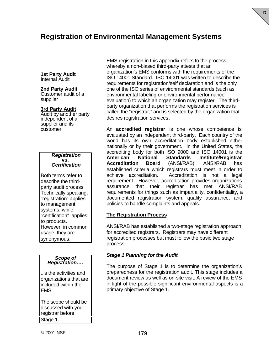## **Registration of Environmental Management Systems**

#### **1st Party Audit** Internal Audit

#### **2nd Party Audit**

Customer audit of a supplier

#### **3rd Party Audit**

Audit by another party independent of a supplier and its customer

#### *Registration* **vs.** *Certification*

Both terms refer to describe the thirdparty audit process. Technically speaking, "registration" applies to management systems, while "certification" applies to products. However, in common usage, they are synonymous.

#### *Scope of Registration….*

..is the activities and organizations that are included within the EMS.

The scope should be discussed with your registrar before Stage 1.

EMS registration in this appendix refers to the process whereby a non-biased third-party attests that an organization's EMS conforms with the requirements of the ISO 14001 Standard. ISO 14001 was written to describe the requirements for registration/self declaration and is the only one of the ISO series of environmental standards (such as environmental labeling or environmental performance evaluation) to which an organization may register. The thirdparty organization that performs the registration services is called the "registrar," and is selected by the organization that desires registration services.

An **accredited registrar** is one whose competence is evaluated by an independent third-party. Each country of the world has its own accreditation body established either nationally or by their government. In the United States, the accrediting body for both ISO 9000 and ISO 14001 is the **American National Standards Institute/Registrar Accreditation Board** (ANSI/RAB). ANSI/RAB has established criteria which registrars must meet in order to achieve accreditation. Accreditation is not a legal requirement. However, accreditation provides organizations assurance that their registrar has met ANSI/RAB requirements for things such as impartiality, confidentiality, a documented registration system, quality assurance, and policies to handle complaints and appeals.

#### **The Registration Process**

ANSI/RAB has established a two-stage registration approach for accredited registrars. Registrars may have different registration processes but must follow the basic two stage process:

#### *Stage 1 Planning for the Audit*

The purpose of Stage 1 is to determine the organization's preparedness for the registration audit. This stage includes a document review as well as on-site visit. A review of the EMS in light of the possible significant environmental aspects is a primary objective of Stage 1.

**D**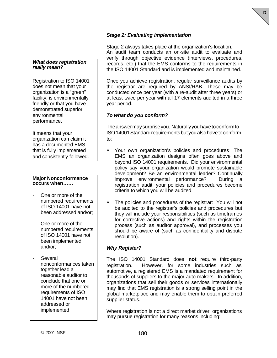# **D**

### *Stage 2: Evaluating Implementation*

#### *What does registration really mean?*

Registration to ISO 14001 does not mean that your organization is a "green" facility, is environmentally friendly or that you have demonstrated superior environmental performance.

It means that your organization can claim it has a documented EMS that is fully implemented and consistently followed.

#### **Major Nonconformance occurs when……**

- One or more of the numbered requirements of ISO 14001 have not been addressed and/or;
- One or more of the numbered requirements of ISO 14001 have not been implemented and/or;
- **Several** nonconformances taken together lead a reasonable auditor to conclude that one or more of the numbered requirements of ISO 14001 have not been addressed or implemented

Stage 2 always takes place at the organization's location. An audit team conducts an on-site audit to evaluate and verify through objective evidence (interviews, procedures, records, etc.) that the EMS conforms to the requirements in the ISO 14001 Standard and is implemented and maintained.

Once you achieve registration, regular surveillance audits by the registrar are required by ANSI/RAB. These may be conducted once per year (with a re-audit after three years) or at least twice per year with all 17 elements audited in a three year period.

### *To what do you conform?*

The answer may surprise you. Naturally you have to conform to ISO 14001 Standard requirements but you also have to conform to:

- Your own organization's policies and procedures: The EMS an organization designs often goes above and beyond ISO 14001 requirements. Did your environmental policy say your organization would promote sustainable development? Be an environmental leader? Continually improve environmental performance? During a registration audit, your policies and procedures become criteria to which you will be audited.
- The policies and procedures of the registrar: You will not be audited to the registrar's policies and procedures but they will include your responsibilities (such as timeframes for corrective actions) and rights within the registration process (such as auditor approval), and processes you should be aware of (such as confidentiality and dispute resolution).

### *Why Register?*

The ISO 14001 Standard does **not** require third-party registration. However, for some industries such as automotive, a registered EMS is a mandated requirement for thousands of suppliers to the major auto makers. In addition, organizations that sell their goods or services internationally may find that EMS registration is a strong selling point in the global marketplace and may enable them to obtain preferred supplier status.

Where registration is not a direct market driver, organizations may pursue registration for many reasons including: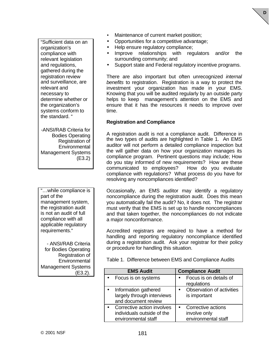"Sufficient data on an organization's compliance with relevant legislation and regulations, gathered during the registration review and surveillance, are relevant and necessary to determine whether or the organization's systems conform to the standard. "

-ANSI/RAB Criteria for Bodies Operating Registration of **Environmental** Management Systems (E3.2)

"…while compliance is part of the management system, the registration audit is not an audit of full compliance with all applicable regulatory requirements."

- ANSI/RAB Criteria for Bodies Operating Registration of **Environmental** Management Systems (E3.2).

- Maintenance of current market position;
- Opportunities for a competitive advantage;
- Help ensure regulatory compliance;
- Improve relationships with regulators and/or the surrounding community; and

**D**

Support state and Federal regulatory incentive programs.

There are also important but often unrecognized *internal benefits* to registration. Registration is a way to protect the investment your organization has made in your EMS. Knowing that you will be audited regularly by an outside party helps to keep management's attention on the EMS and ensure that it has the resources it needs to improve over time.

#### **Registration and Compliance**

A registration audit is not a compliance audit. Difference in the two types of audits are highlighted in Table 1. An EMS auditor will not perform a detailed compliance inspection but the will gather data on how your organization manages its compliance program. Pertinent questions may include; How do you stay informed of new requirements? How are these communicated to employees? How do you evaluate compliance with regulations? What process do you have for resolving any noncompliances identified?

Occasionally, an EMS auditor may identify a regulatory noncompliance during the registration audit. Does this mean you automatically fail the audit? No, it does not. The registrar must verify that the EMS is set up to handle noncompliances and that taken together, the noncompliances do not indicate a major nonconformance.

Accredited registrars are required to have a method for handling and reporting regulatory noncompliance identified during a registration audit. Ask your registrar for their policy or procedure for handling this situation.

Table 1. Difference between EMS and Compliance Audits

| <b>EMS Audit</b>                                                                | <b>Compliance Audit</b>                                   |
|---------------------------------------------------------------------------------|-----------------------------------------------------------|
| Focus is on systems                                                             | Focus is on details of<br>regulations                     |
| Information gathered<br>largely through interviews<br>and document review       | Observation of activities<br>is important                 |
| Corrective action involves<br>individuals outside of the<br>environmental staff | Corrective actions<br>involve only<br>environmental staff |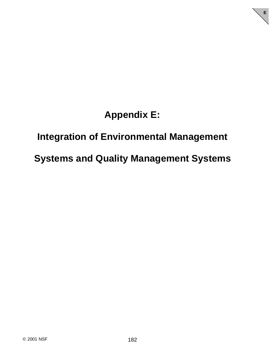# **Appendix E:**

**E**

## **Integration of Environmental Management**

## **Systems and Quality Management Systems**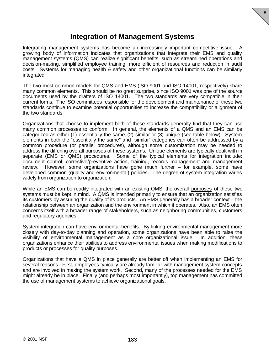### **Integration of Management Systems**

**E**

Integrating management systems has become an increasingly important competitive issue. A growing body of information indicates that organizations that integrate their EMS and quality management systems (QMS) can realize significant benefits, such as streamlined operations and decision-making, simplified employee training, more efficient of resources and reduction in audit costs. Systems for managing health & safety and other organizational functions can be similarly integrated.

The two most common models for QMS and EMS (ISO 9001 and ISO 14001, respectively) share many common elements. This should be no great surprise, since ISO 9001 was one of the source documents used by the drafters of ISO 14001. The two standards are very compatible in their current forms. The ISO committees responsible for the development and maintenance of these two standards continue to examine potential opportunities to increase the compatibility or alignment of the two standards.

Organizations that choose to implement both of these standards generally find that they can use many common processes to conform. In general, the elements of a QMS and an EMS can be categorized as either (1) essentially the same, (2) similar or (3) unique (see table below). System elements in both the "essentially the same" and "similar" categories can often be addressed by a common procedure (or parallel procedures), although some customization may be needed to address the differing overall purposes of these systems. Unique elements are typically dealt with in separate (EMS or QMS) procedures. Some of the typical elements for integration include: document control, corrective/preventive action, training, records management and management review. However, some organizations have gone much further – for example, some have developed common (quality and environmental) policies. The degree of system integration varies widely from organization to organization.

While an EMS can be readily integrated with an existing QMS, the overall purposes of these two systems must be kept in mind. A QMS is intended primarily to ensure that an organization satisfies its customers by assuring the quality of its products. An EMS generally has a broader context – the relationship between an organization and the environment in which it operates. Also, an EMS often concerns itself with a broader range of stakeholders, such as neighboring communities, customers and regulatory agencies.

System integration can have environmental benefits. By linking environmental management more closely with day-to-day planning and operation, some organizations have been able to raise the visibility of environmental management as a core organizational issue. In addition, these organizations enhance their abilities to address environmental issues when making modifications to products or processes for quality purposes.

Organizations that have a QMS in place generally are better off when implementing an EMS for several reasons. First, employees typically are already familiar with management system concepts and are involved in making the system work. Second, many of the processes needed for the EMS might already be in place. Finally (and perhaps most importantly), top management has committed the use of management systems to achieve organizational goals.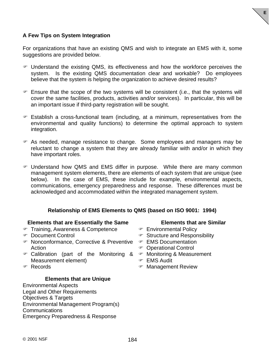

### **A Few Tips on System Integration**

For organizations that have an existing QMS and wish to integrate an EMS with it, some suggestions are provided below.

- F Understand the existing QMS, its effectiveness and how the workforce perceives the system. Is the existing QMS documentation clear and workable? Do employees believe that the system is helping the organization to achieve desired results?
- $\mathcal F$  Ensure that the scope of the two systems will be consistent (i.e., that the systems will cover the same facilities, products, activities and/or services). In particular, this will be an important issue if third-party registration will be sought.
- $\mathcal F$  Establish a cross-functional team (including, at a minimum, representatives from the environmental and quality functions) to determine the optimal approach to system integration.
- F As needed, manage resistance to change. Some employees and managers may be reluctant to change a system that they are already familiar with and/or in which they have important roles.
- F Understand how QMS and EMS differ in purpose. While there are many common management system elements, there are elements of each system that are unique (see below). In the case of EMS, these include for example, environmental aspects, communications, emergency preparedness and response. These differences must be acknowledged and accommodated within the integrated management system.

### **Relationship of EMS Elements to QMS (based on ISO 9001: 1994)**

#### **Elements that are Essentially the Same**

- F Training, Awareness & Competence
- F Document Control
- F Nonconformance, Corrective & Preventive F EMS Documentation Action
- F Calibration (part of the Monitoring & F Monitoring & Measurement Measurement element)
- F Records

#### **Elements that are Unique**

Environmental Aspects Legal and Other Requirements Objectives & Targets Environmental Management Program(s) **Communications** Emergency Preparedness & Response

#### **Elements that are Similar**

- F Environmental Policy
- $\mathcal F$  Structure and Responsibility
- 
- F Operational Control
- 
- F EMS Audit
- F Management Review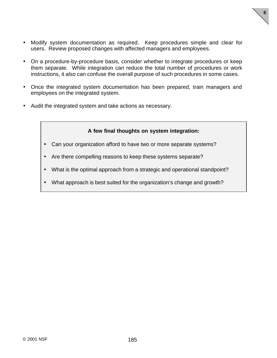

- Modify system documentation as required. Keep procedures simple and clear for users. Review proposed changes with affected managers and employees.
- On a procedure-by-procedure basis, consider whether to integrate procedures or keep them separate. While integration can reduce the total number of procedures or work instructions, it also can confuse the overall purpose of such procedures in some cases.
- Once the integrated system documentation has been prepared, train managers and employees on the integrated system.
- Audit the integrated system and take actions as necessary.

### **A few final thoughts on system integration:**

- Can your organization afford to have two or more separate systems?
- Are there compelling reasons to keep these systems separate?
- What is the optimal approach from a strategic and operational standpoint?
- What approach is best suited for the organization's change and growth?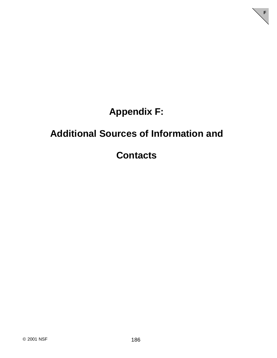# **Appendix F:**

**F**

# **Additional Sources of Information and**

# **Contacts**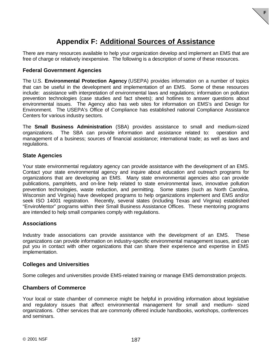## **Appendix F: Additional Sources of Assistance**

**F**

There are many resources available to help your organization develop and implement an EMS that are free of charge or relatively inexpensive. The following is a description of some of these resources.

### **Federal Government Agencies**

The U.S. **Environmental Protection Agency** (USEPA) provides information on a number of topics that can be useful in the development and implementation of an EMS. Some of these resources include: assistance with interpretation of environmental laws and regulations; information on pollution prevention technologies (case studies and fact sheets); and hotlines to answer questions about environmental issues. The Agency also has web sites for information on EMS's and Design for Environment. The USEPA's Office of Compliance has established national Compliance Assistance Centers for various industry sectors.

The **Small Business Administration** (SBA) provides assistance to small and medium-sized organizations. The SBA can provide information and assistance related to: operation and management of a business; sources of financial assistance; international trade; as well as laws and regulations.

#### **State Agencies**

Your state environmental regulatory agency can provide assistance with the development of an EMS. Contact your state environmental agency and inquire about education and outreach programs for organizations that are developing an EMS. Many state environmental agencies also can provide publications, pamphlets, and on-line help related to state environmental laws, innovative pollution prevention technologies, waste reduction, and permitting. Some states (such as North Carolina, Wisconsin and Virginia) have developed programs to help organizations implement and EMS and/or seek ISO 14001 registration. Recently, several states (including Texas and Virginia) established "EnviroMentor" programs within their Small Business Assistance Offices. These mentoring programs are intended to help small companies comply with regulations.

#### **Associations**

Industry trade associations can provide assistance with the development of an EMS. These organizations can provide information on industry-specific environmental management issues, and can put you in contact with other organizations that can share their experience and expertise in EMS implementation.

#### **Colleges and Universities**

Some colleges and universities provide EMS-related training or manage EMS demonstration projects.

#### **Chambers of Commerce**

Your local or state chamber of commerce might be helpful in providing information about legislative and regulatory issues that affect environmental management for small and medium- sized organizations. Other services that are commonly offered include handbooks, workshops, conferences and seminars.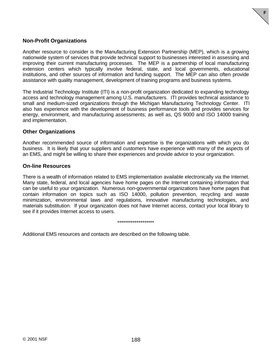

### **Non-Profit Organizations**

Another resource to consider is the Manufacturing Extension Partnership (MEP), which is a growing nationwide system of services that provide technical support to businesses interested in assessing and improving their current manufacturing processes. The MEP is a partnership of local manufacturing extension centers which typically involve federal, state, and local governments, educational institutions, and other sources of information and funding support. The MEP can also often provide assistance with quality management, development of training programs and business systems.

The Industrial Technology Institute (ITI) is a non-profit organization dedicated to expanding technology access and technology management among U.S. manufacturers. ITI provides technical assistance to small and medium-sized organizations through the Michigan Manufacturing Technology Center. ITI also has experience with the development of business performance tools and provides services for energy, environment, and manufacturing assessments; as well as, QS 9000 and ISO 14000 training and implementation.

#### **Other Organizations**

Another recommended source of information and expertise is the organizations with which you do business. It is likely that your suppliers and customers have experience with many of the aspects of an EMS, and might be willing to share their experiences and provide advice to your organization.

#### **On-line Resources**

There is a wealth of information related to EMS implementation available electronically via the Internet. Many state, federal, and local agencies have home pages on the Internet containing information that can be useful to your organization. Numerous non-governmental organizations have home pages that contain information on topics such as ISO 14000, pollution prevention, recycling and waste minimization, environmental laws and regulations, innovative manufacturing technologies, and materials substitution. If your organization does not have Internet access, contact your local library to see if it provides Internet access to users.

#### \*\*\*\*\*\*\*\*\*\*\*\*\*\*\*\*\*\*\*

Additional EMS resources and contacts are described on the following table.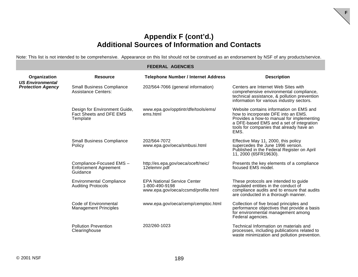### **Appendix F (cont'd.) Additional Sources of Information and Contacts**

**F**

Note: This list is not intended to be comprehensive. Appearance on this list should not be construed as an endorsement by NSF of any products/service.

#### **FEDERAL AGENCIES Organization Resource Telephone Number / Internet Address Description** *US Environmental <u>Protection</u>* Small Business Compliance Assistance Centers: 202/564-7066 (general information) Centers are Internet Web Sites with comprehensive environmental compliance, technical assistance, & pollution prevention information for various industry sectors. Design for Environment Guide. Fact Sheets and DFE EMS **Template** www.epa.gov/opptintr/dfe/tools/ems/ ems.html Website contains information on EMS and how to incorporate DFE into an EMS. Provides a how-to manual for implementing a DFE-based EMS and a set of integration tools for companies that already have an EMS. Small Business Compliance Policy 202/564-7072 www.epa.gov/oeca/smbusi.html Effective May 11, 2000, this policy supercedes the June 1996 version. Published in the Federal Register on April 11, 2000 (65FR19630). Compliance-Focused EMS – Enforcement Agreement Guidance http://es.epa.gov/oeca/oceft/neic/ 12elemnr.pdf Presents the key elements of a compliance focused EMS model. Environmental Compliance Auditing Protocols EPA National Service Center 1-800-490-9198 www.epa.gov/oeca/ccsmd/profile.html These protocols are intended to guide regulated entities in the conduct of compliance audits and to ensure that audits are conducted in a thorough manner. Code of Environmental Management Principles www.epa.gov/oeca/cemp/cemptoc.html Collection of five broad principles and performance objectives that provide a basis for environmental management among Federal agencies. Pollution Prevention **Clearinghouse** 202/260-1023 Technical Information on materials and processes, including publications related to

waste minimization and pollution prevention.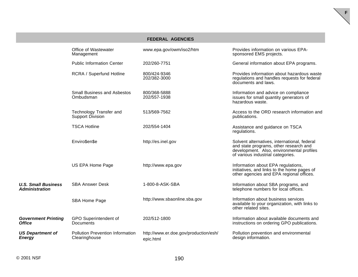| <b>FEDERAL AGENCIES</b>                             |                                                          |                                                    |                                                                                                                                                                          |
|-----------------------------------------------------|----------------------------------------------------------|----------------------------------------------------|--------------------------------------------------------------------------------------------------------------------------------------------------------------------------|
|                                                     | Office of Wastewater<br>Management                       | www.epa.gov/owm/iso2/htm                           | Provides information on various EPA-<br>sponsored EMS projects.                                                                                                          |
|                                                     | <b>Public Information Center</b>                         | 202/260-7751                                       | General information about EPA programs.                                                                                                                                  |
|                                                     | RCRA / Superfund Hotline                                 | 800/424-9346<br>202/382-3000                       | Provides information about hazardous waste<br>regulations and handles requests for federal<br>documents and laws.                                                        |
|                                                     | <b>Small Business and Asbestos</b><br>Ombudsman          | 800/368-5888<br>202/557-1938                       | Information and advice on compliance<br>issues for small quantity generators of<br>hazardous waste.                                                                      |
|                                                     | Technology Transfer and<br>Support Division              | 513/569-7562                                       | Access to the ORD research information and<br>publications.                                                                                                              |
|                                                     | <b>TSCA Hotline</b>                                      | 202/554-1404                                       | Assistance and guidance on TSCA<br>regulations.                                                                                                                          |
|                                                     | Enviro\$en\$e                                            | http://es.inel.gov                                 | Solvent alternatives, international, federal<br>and state programs, other research and<br>development. Also, environmental profiles<br>of various industrial categories. |
|                                                     | US EPA Home Page                                         | http://www.epa.gov                                 | Information about EPA regulations,<br>initiatives, and links to the home pages of<br>other agencies and EPA regional offices.                                            |
| <b>U.S. Small Business</b><br><b>Administration</b> | <b>SBA Answer Desk</b>                                   | 1-800-8-ASK-SBA                                    | Information about SBA programs, and<br>telephone numbers for local offices.                                                                                              |
|                                                     | SBA Home Page                                            | http://www.sbaonline.sba.gov                       | Information about business services<br>available to your organization, with links to<br>other related sites.                                                             |
| <b>Government Printing</b><br><b>Office</b>         | GPO Superintendent of<br>Documents                       | 202/512-1800                                       | Information about available documents and<br>instructions on ordering GPO publications.                                                                                  |
| <b>US Department of</b><br><b>Energy</b>            | <b>Pollution Prevention Information</b><br>Clearinghouse | http://www.er.doe.gov/production/esh/<br>epic.html | Pollution prevention and environmental<br>design information.                                                                                                            |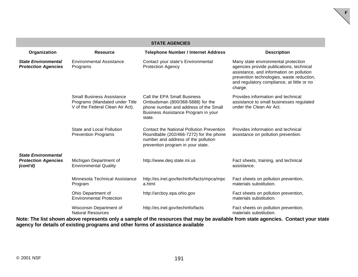| <b>STATE AGENCIES</b>                                                |                                                                                                        |                                                                                                                                                                  |                                                                                                                                                                                                                                   |
|----------------------------------------------------------------------|--------------------------------------------------------------------------------------------------------|------------------------------------------------------------------------------------------------------------------------------------------------------------------|-----------------------------------------------------------------------------------------------------------------------------------------------------------------------------------------------------------------------------------|
| Organization                                                         | <b>Resource</b>                                                                                        | <b>Telephone Number / Internet Address</b>                                                                                                                       | <b>Description</b>                                                                                                                                                                                                                |
| <b>State Environmental</b><br><b>Protection Agencies</b>             | <b>Environmental Assistance</b><br>Programs                                                            | Contact your state's Environmental<br><b>Protection Agency</b>                                                                                                   | Many state environmental protection<br>agencies provide publications, technical<br>assistance, and information on pollution<br>prevention technologies, waste reduction,<br>and regulatory compliance, at little or no<br>charge. |
|                                                                      | <b>Small Business Assistance</b><br>Programs (Mandated under Title<br>V of the Federal Clean Air Act). | Call the EPA Small Business<br>Ombudsman (800/368-5888) for the<br>phone number and address of the Small<br>Business Assistance Program in your<br>state.        | Provides information and technical<br>assistance to small businesses regulated<br>under the Clean Air Act.                                                                                                                        |
|                                                                      | State and Local Pollution<br><b>Prevention Programs</b>                                                | Contact the National Pollution Prevention<br>Roundtable (202/466-7272) for the phone<br>number and address of the pollution<br>prevention program in your state. | Provides information and technical<br>assistance on pollution prevention.                                                                                                                                                         |
| <b>State Environmental</b><br><b>Protection Agencies</b><br>(cont'd) | Michigan Department of<br><b>Environmental Quality</b>                                                 | http://www.deq.state.mi.us                                                                                                                                       | Fact sheets, training, and technical<br>assistance.                                                                                                                                                                               |
|                                                                      | Minnesota Technical Assistance<br>Program                                                              | http://es.inel.gov/techinfo/facts/mpca/mpc<br>a.html                                                                                                             | Fact sheets on pollution prevention,<br>materials substitution.                                                                                                                                                                   |
|                                                                      | Ohio Department of<br><b>Environmental Protection</b>                                                  | http://arcboy.epa.ohio.gov                                                                                                                                       | Fact sheets on pollution prevention,<br>materials substitution.                                                                                                                                                                   |
|                                                                      | Wisconsin Department of<br><b>Natural Resources</b>                                                    | http://es.inel.gov/techinfo/facts                                                                                                                                | Fact sheets on pollution prevention,<br>materials substitution.                                                                                                                                                                   |

**Note: The list shown above represents only a sample of the resources that may be available from state agencies. Contact your state agency for details of existing programs and other forms of assistance available**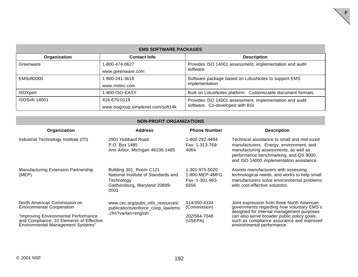| <b>EMS SOFTWARE PACKAGES</b> |                                    |                                                                     |  |
|------------------------------|------------------------------------|---------------------------------------------------------------------|--|
| Organization                 | <b>Contact Info</b>                | <b>Description</b>                                                  |  |
| Greenware                    | 1-800-474-0627                     | Provides ISO 14001 assessment, implementation and audit<br>software |  |
|                              | www.greenware.com                  |                                                                     |  |
| EMSoft2000                   | 1-800-241-3618                     | Software package based on LotusNotes to support EMS                 |  |
|                              | www.rmtinc.com                     | implementation                                                      |  |
| <b>ISOXpert</b>              | 1-800-ISO-EASY                     | Built on LotusNotes platform. Customizable document formats.        |  |
| <b>ISOSoft 14001</b>         | 416-679-0119                       | Provides ISO 14001 assessment, implementation and audit             |  |
|                              | www.isogroup.simplenet.com/soft14k | software. Co-developed with BSI.                                    |  |

#### **NON-PROFIT ORGANIZATIONS**

|                                                                                                                       | Organization                                                     | <b>Address</b>                                                                                                        | <b>Phone Number</b>                                         | <b>Description</b>                                                                                                                                                                                                   |
|-----------------------------------------------------------------------------------------------------------------------|------------------------------------------------------------------|-----------------------------------------------------------------------------------------------------------------------|-------------------------------------------------------------|----------------------------------------------------------------------------------------------------------------------------------------------------------------------------------------------------------------------|
|                                                                                                                       | Industrial Technology Institute (ITI)                            | 2901 Hubbard Road<br>P.O. Box 1485<br>Ann Arbor, Michigan 48106-1485                                                  | 1-800-292-4484<br>Fax: 1-313-769-<br>4064                   | Technical assistance to small and mid-sized<br>manufacturers. Energy, environment, and<br>manufacturing assessments, as well as<br>performance benchmarking, and QS 9000<br>and ISO 14000 implementation assistance. |
|                                                                                                                       | Manufacturing Extension Partnership<br>(MEP)                     | Building 301, Room C121<br>National Institute of Standards and<br>Technology<br>Gaithersburg, Maryland 20899-<br>0001 | 1-301-975-5020<br>1-800-MEP-4MFG<br>Fax: 1-301-963-<br>6556 | Assists manufacturers with assessing<br>technological needs, and works to help small<br>manufacturers solve environmental problems<br>with cost-effective solutions.                                                 |
|                                                                                                                       | North American Commission on<br><b>Environmental Cooperation</b> | www.cec.org/pubs_info_resources/<br>publications/enforce_coop_law/ems                                                 | 514/350-4334<br>(Commission)                                | Joint expression from three North American<br>governments regarding how voluntary EMS's                                                                                                                              |
| "Improving Environmental Performance<br>and Compliance: 10 Elements of Effective<br>Environmental Management Systems" |                                                                  | .cfm?varlan=english                                                                                                   | 202/564-7048<br>(USEPA)                                     | designed for internal management purposes<br>can also serve broader public policy goals,<br>such as compliance assurance and improved<br>environmental performance.                                                  |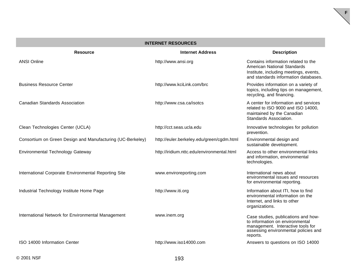| <b>INTERNET RESOURCES</b>                                  |                                            |                                                                                                                                                                 |  |
|------------------------------------------------------------|--------------------------------------------|-----------------------------------------------------------------------------------------------------------------------------------------------------------------|--|
| <b>Resource</b>                                            | <b>Internet Address</b>                    | <b>Description</b>                                                                                                                                              |  |
| <b>ANSI Online</b>                                         | http://www.ansi.org                        | Contains information related to the<br>American National Standards<br>Institute, including meetings, events,<br>and standards information databases.            |  |
| <b>Business Resource Center</b>                            | http://www.kciLink.com/brc                 | Provides information on a variety of<br>topics, including tips on management,<br>recycling, and financing.                                                      |  |
| <b>Canadian Standards Association</b>                      | http://www.csa.ca/isotcs                   | A center for information and services<br>related to ISO 9000 and ISO 14000,<br>maintained by the Canadian<br>Standards Association.                             |  |
| Clean Technologies Center (UCLA)                           | http://cct.seas.ucla.edu                   | Innovative technologies for pollution<br>prevention.                                                                                                            |  |
| Consortium on Green Design and Manufacturing (UC-Berkeley) | http://euler.berkeley.edu/green/cgdm.html  | Environmental design and<br>sustainable development.                                                                                                            |  |
| Environmental Technology Gateway                           | http://iridium.nttc.edu/environmental.html | Access to other environmental links<br>and information, environmental<br>technologies.                                                                          |  |
| International Corporate Environmental Reporting Site       | www.enviroreporting.com                    | International news about<br>environmental issues and resources<br>for environmental reporting.                                                                  |  |
| Industrial Technology Institute Home Page                  | http://www.iti.org                         | Information about ITI, how to find<br>environmental information on the<br>Internet, and links to other<br>organizations.                                        |  |
| International Network for Environmental Management         | www.inem.org                               | Case studies, publications and how-<br>to information on environmental<br>management. Interactive tools for<br>assessing environmental policies and<br>reports. |  |
| ISO 14000 Information Center                               | http://www.iso14000.com                    | Answers to questions on ISO 14000                                                                                                                               |  |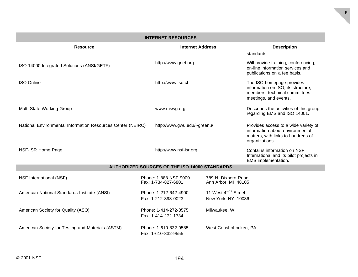| <b>INTERNET RESOURCES</b>                                   |  |                                              |                                                       |                                                                                                                                 |
|-------------------------------------------------------------|--|----------------------------------------------|-------------------------------------------------------|---------------------------------------------------------------------------------------------------------------------------------|
| <b>Resource</b>                                             |  | <b>Internet Address</b>                      |                                                       | <b>Description</b><br>standards.                                                                                                |
| ISO 14000 Integrated Solutions (ANSI/GETF)                  |  | http://www.gnet.org                          |                                                       | Will provide training, conferencing,<br>on-line information services and<br>publications on a fee basis.                        |
| <b>ISO Online</b>                                           |  | http://www.iso.ch                            |                                                       | The ISO homepage provides<br>information on ISO, its structure,<br>members, technical committees,<br>meetings, and events.      |
| Multi-State Working Group                                   |  | www.mswg.org                                 |                                                       | Describes the activities of this group<br>regarding EMS and ISO 14001.                                                          |
| National Environmental Information Resources Center (NEIRC) |  | http://www.gwu.edu/~greenu/                  |                                                       | Provides access to a wide variety of<br>information about environmental<br>matters, with links to hundreds of<br>organizations. |
| NSF-ISR Home Page                                           |  | http://www.nsf-isr.org                       |                                                       | Contains information on NSF<br>International and its pilot projects in<br>EMS implementation.                                   |
| <b>AUTHORIZED SOURCES OF THE ISO 14000 STANDARDS</b>        |  |                                              |                                                       |                                                                                                                                 |
| NSF International (NSF)                                     |  | Phone: 1-888-NSF-9000<br>Fax: 1-734-827-6801 | 789 N. Dixboro Road<br>Ann Arbor, MI 48105            |                                                                                                                                 |
| American National Standards Institute (ANSI)                |  | Phone: 1-212-642-4900<br>Fax: 1-212-398-0023 | 11 West 42 <sup>nd</sup> Street<br>New York, NY 10036 |                                                                                                                                 |
| American Society for Quality (ASQ)                          |  | Phone: 1-414-272-8575<br>Fax: 1-414-272-1734 | Milwaukee, WI                                         |                                                                                                                                 |
| American Society for Testing and Materials (ASTM)           |  | Phone: 1-610-832-9585<br>Fax: 1-610-832-9555 | West Conshohocken, PA                                 |                                                                                                                                 |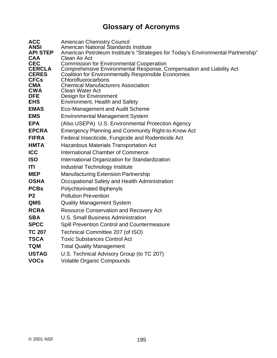## **Glossary of Acronyms**

| <b>ACC</b><br><b>ANSI</b><br><b>API STEP</b><br><b>CAA</b><br><b>CEC</b><br><b>CERCLA</b><br><b>CERES</b><br><b>CFCs</b><br><b>CMA</b><br><b>CWA</b><br><b>DFE</b><br><b>EHS</b> | <b>American Chemistry Council</b><br>American National Standards Institute<br>American Petroleum Institute's "Strategies for Today's Environmental Partnership"<br>Clean Air Act<br><b>Commission for Environmental Cooperation</b><br>Comprehensive Environmental Response, Compensation and Liability Act<br><b>Coalition for Environmentally Responsible Economies</b><br>Chlorofluorocarbons<br><b>Chemical Manufacturers Association</b><br><b>Clean Water Act</b><br>Design for Environment<br><b>Environment, Health and Safety</b> |
|----------------------------------------------------------------------------------------------------------------------------------------------------------------------------------|--------------------------------------------------------------------------------------------------------------------------------------------------------------------------------------------------------------------------------------------------------------------------------------------------------------------------------------------------------------------------------------------------------------------------------------------------------------------------------------------------------------------------------------------|
| <b>EMAS</b>                                                                                                                                                                      | Eco-Management and Audit Scheme                                                                                                                                                                                                                                                                                                                                                                                                                                                                                                            |
| <b>EMS</b>                                                                                                                                                                       | <b>Environmental Management System</b>                                                                                                                                                                                                                                                                                                                                                                                                                                                                                                     |
| <b>EPA</b>                                                                                                                                                                       | (Also USEPA) U.S. Environmental Protection Agency                                                                                                                                                                                                                                                                                                                                                                                                                                                                                          |
| <b>EPCRA</b>                                                                                                                                                                     | Emergency Planning and Community Right-to-Know Act                                                                                                                                                                                                                                                                                                                                                                                                                                                                                         |
| <b>FIFRA</b>                                                                                                                                                                     | Federal Insecticide, Fungicide and Rodenticide Act                                                                                                                                                                                                                                                                                                                                                                                                                                                                                         |
| <b>HMTA</b>                                                                                                                                                                      | <b>Hazardous Materials Transportation Act</b>                                                                                                                                                                                                                                                                                                                                                                                                                                                                                              |
| <b>ICC</b>                                                                                                                                                                       | International Chamber of Commerce                                                                                                                                                                                                                                                                                                                                                                                                                                                                                                          |
| <b>ISO</b>                                                                                                                                                                       | International Organization for Standardization                                                                                                                                                                                                                                                                                                                                                                                                                                                                                             |
| ITI                                                                                                                                                                              | <b>Industrial Technology Institute</b>                                                                                                                                                                                                                                                                                                                                                                                                                                                                                                     |
| <b>MEP</b>                                                                                                                                                                       | <b>Manufacturing Extension Partnership</b>                                                                                                                                                                                                                                                                                                                                                                                                                                                                                                 |
| <b>OSHA</b>                                                                                                                                                                      | Occupational Safety and Health Administration                                                                                                                                                                                                                                                                                                                                                                                                                                                                                              |
| <b>PCBs</b>                                                                                                                                                                      | <b>Polychlorinated Biphenyls</b>                                                                                                                                                                                                                                                                                                                                                                                                                                                                                                           |
| P <sub>2</sub>                                                                                                                                                                   | <b>Pollution Prevention</b>                                                                                                                                                                                                                                                                                                                                                                                                                                                                                                                |
| <b>QMS</b>                                                                                                                                                                       | <b>Quality Management System</b>                                                                                                                                                                                                                                                                                                                                                                                                                                                                                                           |
| <b>RCRA</b>                                                                                                                                                                      | <b>Resource Conservation and Recovery Act</b>                                                                                                                                                                                                                                                                                                                                                                                                                                                                                              |
| <b>SBA</b>                                                                                                                                                                       | U.S. Small Business Administration                                                                                                                                                                                                                                                                                                                                                                                                                                                                                                         |
| <b>SPCC</b>                                                                                                                                                                      | Spill Prevention Control and Countermeasure                                                                                                                                                                                                                                                                                                                                                                                                                                                                                                |
| <b>TC 207</b>                                                                                                                                                                    | Technical Committee 207 (of ISO)                                                                                                                                                                                                                                                                                                                                                                                                                                                                                                           |
| <b>TSCA</b>                                                                                                                                                                      | <b>Toxic Substances Control Act</b>                                                                                                                                                                                                                                                                                                                                                                                                                                                                                                        |
| <b>TQM</b>                                                                                                                                                                       | <b>Total Quality Management</b>                                                                                                                                                                                                                                                                                                                                                                                                                                                                                                            |
| <b>USTAG</b>                                                                                                                                                                     | U.S. Technical Advisory Group (to TC 207)                                                                                                                                                                                                                                                                                                                                                                                                                                                                                                  |
| <b>VOCs</b>                                                                                                                                                                      | <b>Volatile Organic Compounds</b>                                                                                                                                                                                                                                                                                                                                                                                                                                                                                                          |